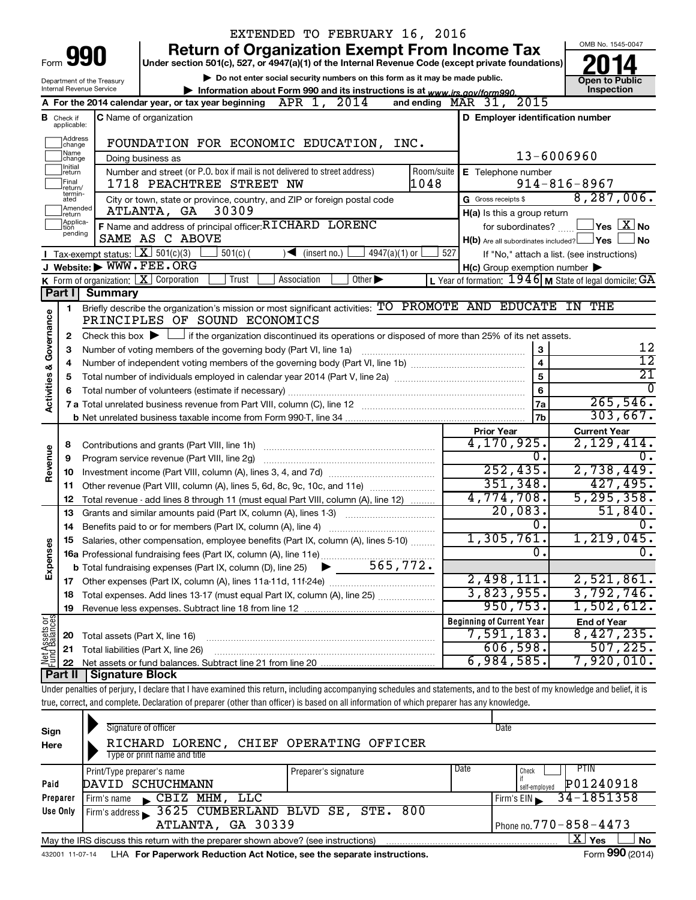|                                |                                                                                                                                                                                                                     |                                        | EXTENDED TO FEBRUARY 16, 2016                                                                                                                                              |                                                           |                                            |  |  |  |  |  |
|--------------------------------|---------------------------------------------------------------------------------------------------------------------------------------------------------------------------------------------------------------------|----------------------------------------|----------------------------------------------------------------------------------------------------------------------------------------------------------------------------|-----------------------------------------------------------|--------------------------------------------|--|--|--|--|--|
|                                |                                                                                                                                                                                                                     |                                        | <b>Return of Organization Exempt From Income Tax</b>                                                                                                                       |                                                           | OMB No. 1545-0047                          |  |  |  |  |  |
|                                | Form 990<br>Under section 501(c), 527, or 4947(a)(1) of the Internal Revenue Code (except private foundations)                                                                                                      |                                        |                                                                                                                                                                            |                                                           |                                            |  |  |  |  |  |
|                                | Do not enter social security numbers on this form as it may be made public.<br>Department of the Treasury<br>Internal Revenue Service<br>Information about Form 990 and its instructions is at www.irs.gov/form990. |                                        |                                                                                                                                                                            |                                                           |                                            |  |  |  |  |  |
|                                |                                                                                                                                                                                                                     |                                        | A For the 2014 calendar year, or tax year beginning APR 1, 2014                                                                                                            | 2015<br>and ending $MAR$ 31,                              | Inspection                                 |  |  |  |  |  |
|                                |                                                                                                                                                                                                                     |                                        | <b>C</b> Name of organization                                                                                                                                              | D Employer identification number                          |                                            |  |  |  |  |  |
|                                | <b>B</b> Check if applicable:                                                                                                                                                                                       |                                        |                                                                                                                                                                            |                                                           |                                            |  |  |  |  |  |
|                                | Address<br>change                                                                                                                                                                                                   |                                        | FOUNDATION FOR ECONOMIC EDUCATION, INC.                                                                                                                                    |                                                           |                                            |  |  |  |  |  |
|                                | Name<br> change                                                                                                                                                                                                     |                                        | Doing business as                                                                                                                                                          | 13-6006960                                                |                                            |  |  |  |  |  |
|                                | Initial<br> return                                                                                                                                                                                                  |                                        | Number and street (or P.O. box if mail is not delivered to street address)<br>Room/suite<br>1048<br>1718 PEACHTREE STREET NW                                               | E Telephone number                                        | $914 - 816 - 8967$                         |  |  |  |  |  |
|                                | Final<br> return/<br>termin-                                                                                                                                                                                        |                                        |                                                                                                                                                                            | G Gross receipts \$                                       | 8,287,006.                                 |  |  |  |  |  |
|                                | ated<br>Amended<br>Ireturn                                                                                                                                                                                          |                                        | City or town, state or province, country, and ZIP or foreign postal code<br>30309<br>ATLANTA, GA                                                                           | H(a) Is this a group return                               |                                            |  |  |  |  |  |
|                                | Applica-<br>tion                                                                                                                                                                                                    |                                        | F Name and address of principal officer: RICHARD LORENC                                                                                                                    | for subordinates?                                         | $\Box$ Yes $\Box$ X $\Box$ No              |  |  |  |  |  |
|                                | pending                                                                                                                                                                                                             |                                        | SAME AS C ABOVE                                                                                                                                                            | $H(b)$ Are all subordinates included? $\Box$ Yes          | <b>No</b>                                  |  |  |  |  |  |
|                                |                                                                                                                                                                                                                     | Tax-exempt status: $X \over 301(c)(3)$ | $501(c)$ (<br>$\sqrt{\bullet}$ (insert no.)<br>4947(a)(1) or                                                                                                               | 527                                                       | If "No," attach a list. (see instructions) |  |  |  |  |  |
|                                |                                                                                                                                                                                                                     | J Website: WWW.FEE.ORG                 |                                                                                                                                                                            | $H(c)$ Group exemption number $\blacktriangleright$       |                                            |  |  |  |  |  |
|                                |                                                                                                                                                                                                                     |                                        | K Form of organization: $X$ Corporation<br>Trust<br>Other $\blacktriangleright$<br>Association                                                                             | L Year of formation: $1946$ M State of legal domicile: GA |                                            |  |  |  |  |  |
|                                | Part I                                                                                                                                                                                                              | <b>Summary</b>                         |                                                                                                                                                                            |                                                           |                                            |  |  |  |  |  |
|                                | 1                                                                                                                                                                                                                   |                                        | Briefly describe the organization's mission or most significant activities: TO PROMOTE AND EDUCATE IN THE                                                                  |                                                           |                                            |  |  |  |  |  |
|                                |                                                                                                                                                                                                                     |                                        | PRINCIPLES OF SOUND ECONOMICS                                                                                                                                              |                                                           |                                            |  |  |  |  |  |
| Governance                     | 2                                                                                                                                                                                                                   |                                        | Check this box $\blacktriangleright$ $\Box$ if the organization discontinued its operations or disposed of more than 25% of its net assets.                                |                                                           |                                            |  |  |  |  |  |
|                                | 3                                                                                                                                                                                                                   |                                        | Number of voting members of the governing body (Part VI, line 1a)                                                                                                          | 3<br>$\overline{\mathbf{4}}$                              | 12<br>$\overline{12}$                      |  |  |  |  |  |
|                                | 4                                                                                                                                                                                                                   |                                        | $\overline{21}$                                                                                                                                                            |                                                           |                                            |  |  |  |  |  |
|                                | 5                                                                                                                                                                                                                   |                                        | <sup>0</sup>                                                                                                                                                               |                                                           |                                            |  |  |  |  |  |
| <b>Activities &amp;</b>        | 6                                                                                                                                                                                                                   |                                        |                                                                                                                                                                            | $6\phantom{a}$<br>7a                                      | 265,546.                                   |  |  |  |  |  |
|                                |                                                                                                                                                                                                                     |                                        |                                                                                                                                                                            | 7b                                                        | 303,667.                                   |  |  |  |  |  |
|                                |                                                                                                                                                                                                                     |                                        |                                                                                                                                                                            | <b>Prior Year</b>                                         | <b>Current Year</b>                        |  |  |  |  |  |
|                                | 8                                                                                                                                                                                                                   |                                        |                                                                                                                                                                            | 4,170,925.                                                | 2,129,414.                                 |  |  |  |  |  |
| Revenue                        | 9                                                                                                                                                                                                                   |                                        | Program service revenue (Part VIII, line 2g)                                                                                                                               | 0.                                                        |                                            |  |  |  |  |  |
|                                | 10                                                                                                                                                                                                                  |                                        |                                                                                                                                                                            | 252, 435.                                                 | 2,738,449.                                 |  |  |  |  |  |
|                                | 11                                                                                                                                                                                                                  |                                        | Other revenue (Part VIII, column (A), lines 5, 6d, 8c, 9c, 10c, and 11e)                                                                                                   | 351,348.                                                  | 427, 495.                                  |  |  |  |  |  |
|                                | 12                                                                                                                                                                                                                  |                                        | Total revenue - add lines 8 through 11 (must equal Part VIII, column (A), line 12)                                                                                         | 4,774,708.                                                | 5, 295, 358.                               |  |  |  |  |  |
|                                | 13                                                                                                                                                                                                                  |                                        | Grants and similar amounts paid (Part IX, column (A), lines 1-3)                                                                                                           | 20,083.                                                   | 51,840.                                    |  |  |  |  |  |
|                                | 14                                                                                                                                                                                                                  |                                        |                                                                                                                                                                            | 0.                                                        | О.                                         |  |  |  |  |  |
|                                |                                                                                                                                                                                                                     |                                        | Salaries, other compensation, employee benefits (Part IX, column (A), lines 5-10)                                                                                          | 1,305,761.                                                | 1, 219, 045.                               |  |  |  |  |  |
|                                |                                                                                                                                                                                                                     |                                        |                                                                                                                                                                            | 0.                                                        | 0.                                         |  |  |  |  |  |
| Expenses                       |                                                                                                                                                                                                                     |                                        |                                                                                                                                                                            |                                                           |                                            |  |  |  |  |  |
|                                | 17                                                                                                                                                                                                                  |                                        | Other expenses (Part IX, column (A), lines 11a-11d, 11f-24e)                                                                                                               | 2,498,111.                                                | 2,521,861.                                 |  |  |  |  |  |
|                                | 18                                                                                                                                                                                                                  |                                        | Total expenses. Add lines 13-17 (must equal Part IX, column (A), line 25)                                                                                                  | 3,823,955.                                                | 3,792,746.                                 |  |  |  |  |  |
|                                | 19                                                                                                                                                                                                                  |                                        |                                                                                                                                                                            | 950, 753.                                                 | 1,502,612.                                 |  |  |  |  |  |
| Net Assets or<br>Fund Balances |                                                                                                                                                                                                                     |                                        |                                                                                                                                                                            | <b>Beginning of Current Year</b>                          | <b>End of Year</b>                         |  |  |  |  |  |
|                                | 20                                                                                                                                                                                                                  | Total assets (Part X, line 16)         |                                                                                                                                                                            | 7,591,183.                                                | 8,427,235.                                 |  |  |  |  |  |
|                                | 21                                                                                                                                                                                                                  |                                        | Total liabilities (Part X, line 26)                                                                                                                                        | 606,598.                                                  | 507, 225.<br>7,920,010.                    |  |  |  |  |  |
|                                | 22<br>Part II                                                                                                                                                                                                       | Signature Block                        |                                                                                                                                                                            | 6,984,585.                                                |                                            |  |  |  |  |  |
|                                |                                                                                                                                                                                                                     |                                        | Under penalties of perjury, I declare that I have examined this return, including accompanying schedules and statements, and to the best of my knowledge and belief, it is |                                                           |                                            |  |  |  |  |  |
|                                |                                                                                                                                                                                                                     |                                        | true, correct, and complete. Declaration of preparer (other than officer) is based on all information of which preparer has any knowledge.                                 |                                                           |                                            |  |  |  |  |  |
|                                |                                                                                                                                                                                                                     |                                        |                                                                                                                                                                            |                                                           |                                            |  |  |  |  |  |
|                                |                                                                                                                                                                                                                     |                                        |                                                                                                                                                                            |                                                           |                                            |  |  |  |  |  |

| Sign<br>Here | Signature of officer<br>RICHARD LORENC, CHIEF OPERATING OFFICER<br>Type or print name and title |                      | Date                       |  |  |  |  |  |  |  |  |
|--------------|-------------------------------------------------------------------------------------------------|----------------------|----------------------------|--|--|--|--|--|--|--|--|
|              |                                                                                                 | Date                 | <b>PTIN</b><br>Check       |  |  |  |  |  |  |  |  |
| Paid         | Print/Type preparer's name<br>DAVID SCHUCHMANN                                                  | Preparer's signature | P01240918                  |  |  |  |  |  |  |  |  |
|              |                                                                                                 |                      | self-employed              |  |  |  |  |  |  |  |  |
| Preparer     | CBIZ MHM, LLC<br>Firm's name                                                                    |                      | 34-1851358<br>Firm's $EIN$ |  |  |  |  |  |  |  |  |
| Use Only     | Firm's address 3625 CUMBERLAND BLVD SE, STE. 800                                                |                      |                            |  |  |  |  |  |  |  |  |
|              | ATLANTA, GA 30339<br>Phone no. $770 - 858 - 4473$                                               |                      |                            |  |  |  |  |  |  |  |  |
|              | May the IRS discuss this return with the preparer shown above? (see instructions)               |                      | ΧI<br>Yes<br>No            |  |  |  |  |  |  |  |  |
|              |                                                                                                 |                      | $\cdots$                   |  |  |  |  |  |  |  |  |

432001 11-07-14 **For Paperwork Reduction Act Notice, see the separate instructions.** LHA Form (2014)

Form **990** (2014)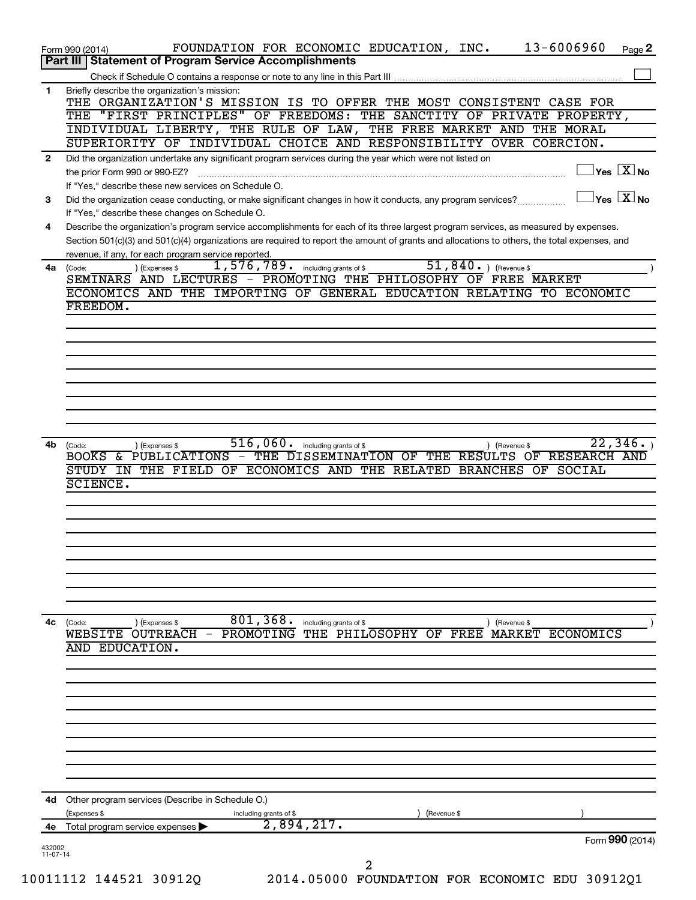|              | 13-6006960<br>FOUNDATION FOR ECONOMIC EDUCATION, INC.<br>Page 2<br>Form 990 (2014)                                                                                                      |
|--------------|-----------------------------------------------------------------------------------------------------------------------------------------------------------------------------------------|
|              | Part III   Statement of Program Service Accomplishments                                                                                                                                 |
| 1.           | Briefly describe the organization's mission:                                                                                                                                            |
|              | THE ORGANIZATION'S MISSION IS TO OFFER THE MOST CONSISTENT CASE FOR                                                                                                                     |
|              | THE "FIRST PRINCIPLES" OF FREEDOMS: THE SANCTITY OF PRIVATE PROPERTY,                                                                                                                   |
|              | INDIVIDUAL LIBERTY, THE RULE OF LAW, THE FREE MARKET AND THE MORAL                                                                                                                      |
|              | SUPERIORITY OF INDIVIDUAL CHOICE AND RESPONSIBILITY OVER COERCION.                                                                                                                      |
| $\mathbf{2}$ | Did the organization undertake any significant program services during the year which were not listed on                                                                                |
|              | $\overline{\ }$ Yes $\overline{\rm \ }X$ No<br>the prior Form 990 or 990-EZ?                                                                                                            |
|              | If "Yes," describe these new services on Schedule O.                                                                                                                                    |
| 3            | $\exists$ Yes $\boxed{\text{X}}$ No<br>Did the organization cease conducting, or make significant changes in how it conducts, any program services?                                     |
| 4            | If "Yes," describe these changes on Schedule O.<br>Describe the organization's program service accomplishments for each of its three largest program services, as measured by expenses. |
|              | Section 501(c)(3) and 501(c)(4) organizations are required to report the amount of grants and allocations to others, the total expenses, and                                            |
|              | revenue, if any, for each program service reported.                                                                                                                                     |
| 4a           | 51,840. $ $ (Revenue \$<br>$\overline{1,576,789}$ including grants of \$<br>) (Expenses \$<br>(Code:                                                                                    |
|              | SEMINARS AND LECTURES - PROMOTING THE PHILOSOPHY OF FREE MARKET                                                                                                                         |
|              | ECONOMICS AND THE IMPORTING OF GENERAL EDUCATION RELATING TO ECONOMIC                                                                                                                   |
|              | FREEDOM.                                                                                                                                                                                |
|              |                                                                                                                                                                                         |
|              |                                                                                                                                                                                         |
|              |                                                                                                                                                                                         |
|              |                                                                                                                                                                                         |
|              |                                                                                                                                                                                         |
|              |                                                                                                                                                                                         |
|              |                                                                                                                                                                                         |
|              |                                                                                                                                                                                         |
| 4b           | 22, 346.<br>$516,060$ $\cdot$ including grants of \$<br>(Expenses \$<br>) (Revenue \$<br>(Code:                                                                                         |
|              | BOOKS & PUBLICATIONS - THE DISSEMINATION OF THE RESULTS OF RESEARCH AND                                                                                                                 |
|              | STUDY IN THE FIELD OF ECONOMICS AND THE RELATED BRANCHES OF SOCIAL                                                                                                                      |
|              | <b>SCIENCE.</b>                                                                                                                                                                         |
|              |                                                                                                                                                                                         |
|              |                                                                                                                                                                                         |
|              |                                                                                                                                                                                         |
|              |                                                                                                                                                                                         |
|              |                                                                                                                                                                                         |
|              |                                                                                                                                                                                         |
|              |                                                                                                                                                                                         |
|              |                                                                                                                                                                                         |
| 4c           | 801,368.<br>(Code:<br>(Expenses \$<br>including grants of \$<br>) (Revenue \$                                                                                                           |
|              | PROMOTING<br>THE PHILOSOPHY OF FREE<br>MARKET ECONOMICS<br>WEBSITE OUTREACH                                                                                                             |
|              | AND EDUCATION.                                                                                                                                                                          |
|              |                                                                                                                                                                                         |
|              |                                                                                                                                                                                         |
|              |                                                                                                                                                                                         |
|              |                                                                                                                                                                                         |
|              |                                                                                                                                                                                         |
|              |                                                                                                                                                                                         |
|              |                                                                                                                                                                                         |
|              |                                                                                                                                                                                         |
|              |                                                                                                                                                                                         |
| 4d           | Other program services (Describe in Schedule O.)                                                                                                                                        |
|              | (Expenses \$<br>(Revenue \$<br>including grants of \$                                                                                                                                   |
| 4e           | 2,894,217.<br>Total program service expenses                                                                                                                                            |
| 432002       | Form 990 (2014)                                                                                                                                                                         |
| $11-07-14$   | 2                                                                                                                                                                                       |
|              | 10011112 144521 309120<br>2014.05000 FOUNDATION FOR ECONOMIC EDU 30912Q1                                                                                                                |
|              |                                                                                                                                                                                         |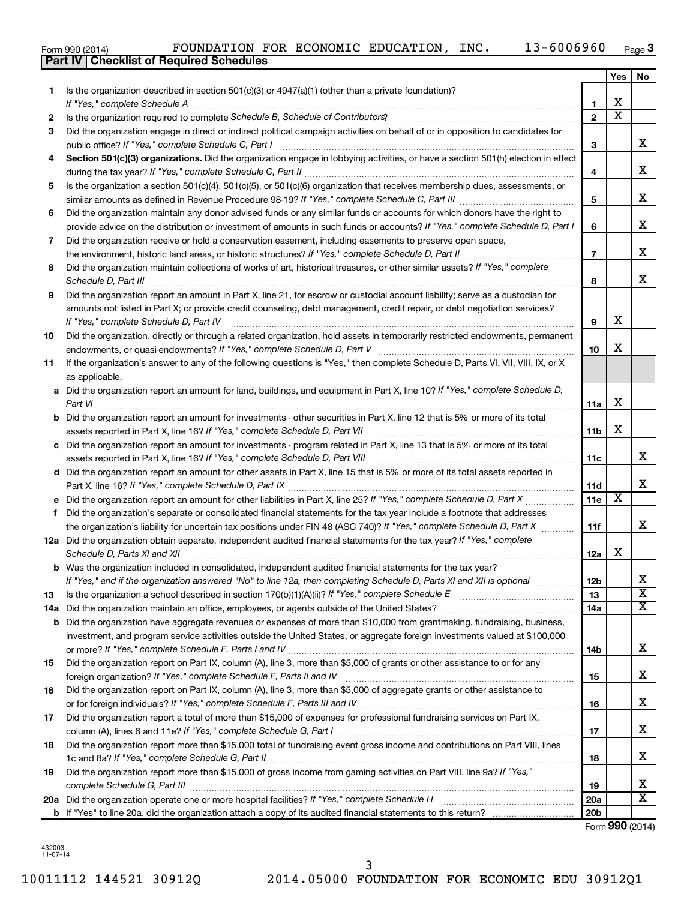|  | Form 990 (2014) |
|--|-----------------|
|  |                 |

|     | Part IV   Checklist of Required Schedules                                                                                                                                                                                                                                                                                                                                                                                                                                                                                                                                                                                    |                 |                         |    |
|-----|------------------------------------------------------------------------------------------------------------------------------------------------------------------------------------------------------------------------------------------------------------------------------------------------------------------------------------------------------------------------------------------------------------------------------------------------------------------------------------------------------------------------------------------------------------------------------------------------------------------------------|-----------------|-------------------------|----|
|     |                                                                                                                                                                                                                                                                                                                                                                                                                                                                                                                                                                                                                              |                 | Yes                     | No |
| 1.  | Is the organization described in section $501(c)(3)$ or $4947(a)(1)$ (other than a private foundation)?                                                                                                                                                                                                                                                                                                                                                                                                                                                                                                                      |                 |                         |    |
|     |                                                                                                                                                                                                                                                                                                                                                                                                                                                                                                                                                                                                                              | $\mathbf{1}$    | х                       |    |
| 2   | Is the organization required to complete Schedule B, Schedule of Contributors? [11] The organization required to complete Schedule B, Schedule of Contributors?                                                                                                                                                                                                                                                                                                                                                                                                                                                              | $\overline{2}$  | $\overline{\textbf{x}}$ |    |
| 3   | Did the organization engage in direct or indirect political campaign activities on behalf of or in opposition to candidates for                                                                                                                                                                                                                                                                                                                                                                                                                                                                                              |                 |                         |    |
|     |                                                                                                                                                                                                                                                                                                                                                                                                                                                                                                                                                                                                                              | 3               |                         | х  |
| 4   | Section 501(c)(3) organizations. Did the organization engage in lobbying activities, or have a section 501(h) election in effect                                                                                                                                                                                                                                                                                                                                                                                                                                                                                             |                 |                         |    |
|     |                                                                                                                                                                                                                                                                                                                                                                                                                                                                                                                                                                                                                              | 4               |                         | х  |
|     |                                                                                                                                                                                                                                                                                                                                                                                                                                                                                                                                                                                                                              |                 |                         |    |
| 5   | Is the organization a section 501(c)(4), 501(c)(5), or 501(c)(6) organization that receives membership dues, assessments, or                                                                                                                                                                                                                                                                                                                                                                                                                                                                                                 |                 |                         | х  |
|     |                                                                                                                                                                                                                                                                                                                                                                                                                                                                                                                                                                                                                              | 5               |                         |    |
| 6   | Did the organization maintain any donor advised funds or any similar funds or accounts for which donors have the right to                                                                                                                                                                                                                                                                                                                                                                                                                                                                                                    |                 |                         | х  |
|     | provide advice on the distribution or investment of amounts in such funds or accounts? If "Yes," complete Schedule D, Part I                                                                                                                                                                                                                                                                                                                                                                                                                                                                                                 | 6               |                         |    |
| 7   | Did the organization receive or hold a conservation easement, including easements to preserve open space,                                                                                                                                                                                                                                                                                                                                                                                                                                                                                                                    |                 |                         |    |
|     |                                                                                                                                                                                                                                                                                                                                                                                                                                                                                                                                                                                                                              | $\overline{7}$  |                         | х  |
| 8   | Did the organization maintain collections of works of art, historical treasures, or other similar assets? If "Yes," complete<br>Schedule D, Part III <b>Marting Community</b> Contract and Technical Contract of Technical Contract of Technical Contract of Technical Contract of Technical Contract of Technical Contract of Technical Contract of Technical Cont                                                                                                                                                                                                                                                          | 8               |                         | х  |
| 9   | Did the organization report an amount in Part X, line 21, for escrow or custodial account liability; serve as a custodian for                                                                                                                                                                                                                                                                                                                                                                                                                                                                                                |                 |                         |    |
|     | amounts not listed in Part X; or provide credit counseling, debt management, credit repair, or debt negotiation services?                                                                                                                                                                                                                                                                                                                                                                                                                                                                                                    |                 |                         |    |
|     |                                                                                                                                                                                                                                                                                                                                                                                                                                                                                                                                                                                                                              | 9               | х                       |    |
| 10  | Did the organization, directly or through a related organization, hold assets in temporarily restricted endowments, permanent                                                                                                                                                                                                                                                                                                                                                                                                                                                                                                |                 |                         |    |
|     |                                                                                                                                                                                                                                                                                                                                                                                                                                                                                                                                                                                                                              | 10              | х                       |    |
|     |                                                                                                                                                                                                                                                                                                                                                                                                                                                                                                                                                                                                                              |                 |                         |    |
| 11  | If the organization's answer to any of the following questions is "Yes," then complete Schedule D, Parts VI, VII, VIII, IX, or X                                                                                                                                                                                                                                                                                                                                                                                                                                                                                             |                 |                         |    |
|     | as applicable.                                                                                                                                                                                                                                                                                                                                                                                                                                                                                                                                                                                                               |                 |                         |    |
|     | a Did the organization report an amount for land, buildings, and equipment in Part X, line 10? If "Yes," complete Schedule D,<br>Part VI                                                                                                                                                                                                                                                                                                                                                                                                                                                                                     | 11a             | Х                       |    |
|     | <b>b</b> Did the organization report an amount for investments - other securities in Part X, line 12 that is 5% or more of its total                                                                                                                                                                                                                                                                                                                                                                                                                                                                                         |                 |                         |    |
|     |                                                                                                                                                                                                                                                                                                                                                                                                                                                                                                                                                                                                                              | 11 <sub>b</sub> | Х                       |    |
|     | c Did the organization report an amount for investments - program related in Part X, line 13 that is 5% or more of its total                                                                                                                                                                                                                                                                                                                                                                                                                                                                                                 |                 |                         |    |
|     |                                                                                                                                                                                                                                                                                                                                                                                                                                                                                                                                                                                                                              | 11c             |                         | x  |
|     | d Did the organization report an amount for other assets in Part X, line 15 that is 5% or more of its total assets reported in                                                                                                                                                                                                                                                                                                                                                                                                                                                                                               |                 |                         |    |
|     |                                                                                                                                                                                                                                                                                                                                                                                                                                                                                                                                                                                                                              | 11d             |                         | х  |
|     |                                                                                                                                                                                                                                                                                                                                                                                                                                                                                                                                                                                                                              | 11e             | $\overline{\textbf{X}}$ |    |
|     | f Did the organization's separate or consolidated financial statements for the tax year include a footnote that addresses                                                                                                                                                                                                                                                                                                                                                                                                                                                                                                    |                 |                         |    |
|     | the organization's liability for uncertain tax positions under FIN 48 (ASC 740)? If "Yes," complete Schedule D, Part X                                                                                                                                                                                                                                                                                                                                                                                                                                                                                                       | 11f             |                         | х  |
|     | 12a Did the organization obtain separate, independent audited financial statements for the tax year? If "Yes," complete                                                                                                                                                                                                                                                                                                                                                                                                                                                                                                      |                 |                         |    |
|     | Schedule D, Parts XI and XII                                                                                                                                                                                                                                                                                                                                                                                                                                                                                                                                                                                                 | 12a             | х                       |    |
| b   | $\begin{minipage}{0.5\textwidth} \centering \begin{tabular}{ c c c c c } \hline \multicolumn{1}{ c }{0.5\textwidth} \centering \centering \end{tabular} \end{minipage} \begin{minipage}{0.5\textwidth} \centering \begin{tabular}{ c c c c c } \hline \multicolumn{1}{ c }{0.5\textwidth} \centering \centering \end{tabular} \end{minipage} \begin{minipage}{0.5\textwidth} \centering \centering \end{tabular} \end{minipage} \begin{minipage}{0.5\textwidth} \centering \begin{tabular}{ c c c c } \hline \$<br>Was the organization included in consolidated, independent audited financial statements for the tax year? |                 |                         |    |
|     | If "Yes," and if the organization answered "No" to line 12a, then completing Schedule D, Parts XI and XII is optional                                                                                                                                                                                                                                                                                                                                                                                                                                                                                                        | 12 <sub>b</sub> |                         | х  |
| 13  |                                                                                                                                                                                                                                                                                                                                                                                                                                                                                                                                                                                                                              | 13              |                         | х  |
|     |                                                                                                                                                                                                                                                                                                                                                                                                                                                                                                                                                                                                                              | 14a             |                         | х  |
| 14a | Did the organization have aggregate revenues or expenses of more than \$10,000 from grantmaking, fundraising, business,                                                                                                                                                                                                                                                                                                                                                                                                                                                                                                      |                 |                         |    |
| b   | investment, and program service activities outside the United States, or aggregate foreign investments valued at \$100,000                                                                                                                                                                                                                                                                                                                                                                                                                                                                                                   |                 |                         |    |
|     |                                                                                                                                                                                                                                                                                                                                                                                                                                                                                                                                                                                                                              |                 |                         | x  |
|     | Did the organization report on Part IX, column (A), line 3, more than \$5,000 of grants or other assistance to or for any                                                                                                                                                                                                                                                                                                                                                                                                                                                                                                    | 14b             |                         |    |
| 15  |                                                                                                                                                                                                                                                                                                                                                                                                                                                                                                                                                                                                                              |                 |                         | x  |
|     |                                                                                                                                                                                                                                                                                                                                                                                                                                                                                                                                                                                                                              | 15              |                         |    |
| 16  | Did the organization report on Part IX, column (A), line 3, more than \$5,000 of aggregate grants or other assistance to                                                                                                                                                                                                                                                                                                                                                                                                                                                                                                     |                 |                         | x  |
|     |                                                                                                                                                                                                                                                                                                                                                                                                                                                                                                                                                                                                                              | 16              |                         |    |
| 17  | Did the organization report a total of more than \$15,000 of expenses for professional fundraising services on Part IX,                                                                                                                                                                                                                                                                                                                                                                                                                                                                                                      |                 |                         | х  |
|     |                                                                                                                                                                                                                                                                                                                                                                                                                                                                                                                                                                                                                              | 17              |                         |    |
| 18  | Did the organization report more than \$15,000 total of fundraising event gross income and contributions on Part VIII, lines                                                                                                                                                                                                                                                                                                                                                                                                                                                                                                 |                 |                         |    |
|     |                                                                                                                                                                                                                                                                                                                                                                                                                                                                                                                                                                                                                              | 18              |                         | х  |
| 19  | Did the organization report more than \$15,000 of gross income from gaming activities on Part VIII, line 9a? If "Yes,"                                                                                                                                                                                                                                                                                                                                                                                                                                                                                                       |                 |                         |    |
|     |                                                                                                                                                                                                                                                                                                                                                                                                                                                                                                                                                                                                                              | 19              |                         | х  |
|     | 20a Did the organization operate one or more hospital facilities? If "Yes," complete Schedule H                                                                                                                                                                                                                                                                                                                                                                                                                                                                                                                              | 20a             |                         | х  |
|     |                                                                                                                                                                                                                                                                                                                                                                                                                                                                                                                                                                                                                              | 20 <sub>b</sub> |                         |    |

Form (2014) **990**

432003 11-07-14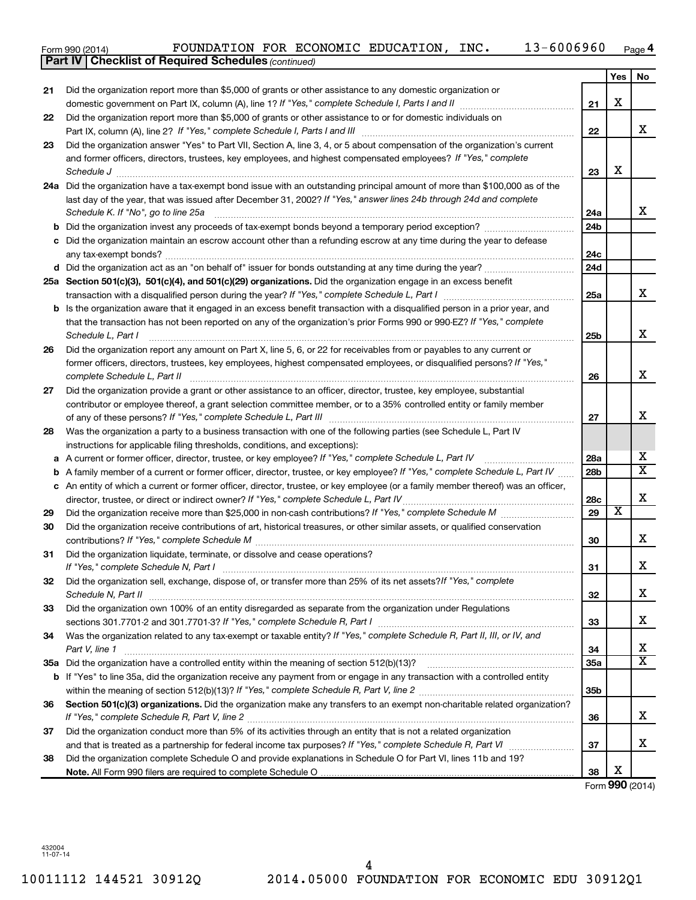|    | 13-6006960<br>FOUNDATION FOR ECONOMIC EDUCATION, INC.<br>Form 990 (2014)<br>Part IV   Checklist of Required Schedules (continued)                                                      |                 |     | Page 4                  |
|----|----------------------------------------------------------------------------------------------------------------------------------------------------------------------------------------|-----------------|-----|-------------------------|
|    |                                                                                                                                                                                        |                 |     |                         |
|    |                                                                                                                                                                                        |                 | Yes | No                      |
| 21 | Did the organization report more than \$5,000 of grants or other assistance to any domestic organization or                                                                            |                 | х   |                         |
|    | domestic government on Part IX, column (A), line 1? If "Yes," complete Schedule I, Parts I and II manufactured with the set                                                            | 21              |     |                         |
| 22 | Did the organization report more than \$5,000 of grants or other assistance to or for domestic individuals on                                                                          |                 |     | x                       |
|    | Part IX, column (A), line 2? If "Yes," complete Schedule I, Parts I and III [11]] [11]] [11] [11] [11] [11] [1                                                                         | 22              |     |                         |
| 23 | Did the organization answer "Yes" to Part VII, Section A, line 3, 4, or 5 about compensation of the organization's current                                                             |                 |     |                         |
|    | and former officers, directors, trustees, key employees, and highest compensated employees? If "Yes," complete                                                                         | 23              | х   |                         |
|    | Schedule J <b>Execute Schedule J Execute Schedule J</b><br>24a Did the organization have a tax-exempt bond issue with an outstanding principal amount of more than \$100,000 as of the |                 |     |                         |
|    | last day of the year, that was issued after December 31, 2002? If "Yes," answer lines 24b through 24d and complete                                                                     |                 |     |                         |
|    | Schedule K. If "No", go to line 25a                                                                                                                                                    | 24a             |     | x                       |
|    |                                                                                                                                                                                        | 24 <sub>b</sub> |     |                         |
|    | c Did the organization maintain an escrow account other than a refunding escrow at any time during the year to defease                                                                 |                 |     |                         |
|    |                                                                                                                                                                                        | 24c             |     |                         |
|    |                                                                                                                                                                                        | 24d             |     |                         |
|    | 25a Section 501(c)(3), 501(c)(4), and 501(c)(29) organizations. Did the organization engage in an excess benefit                                                                       |                 |     |                         |
|    |                                                                                                                                                                                        | 25a             |     | x                       |
|    | b Is the organization aware that it engaged in an excess benefit transaction with a disqualified person in a prior year, and                                                           |                 |     |                         |
|    | that the transaction has not been reported on any of the organization's prior Forms 990 or 990-EZ? If "Yes," complete                                                                  |                 |     |                         |
|    | Schedule L, Part I                                                                                                                                                                     | 25b             |     | x                       |
| 26 | Did the organization report any amount on Part X, line 5, 6, or 22 for receivables from or payables to any current or                                                                  |                 |     |                         |
|    | former officers, directors, trustees, key employees, highest compensated employees, or disqualified persons? If "Yes,"                                                                 |                 |     |                         |
|    | complete Schedule L, Part II                                                                                                                                                           | 26              |     | x                       |
| 27 | Did the organization provide a grant or other assistance to an officer, director, trustee, key employee, substantial                                                                   |                 |     |                         |
|    | contributor or employee thereof, a grant selection committee member, or to a 35% controlled entity or family member                                                                    |                 |     |                         |
|    |                                                                                                                                                                                        | 27              |     | х                       |
| 28 | Was the organization a party to a business transaction with one of the following parties (see Schedule L, Part IV                                                                      |                 |     |                         |
|    | instructions for applicable filing thresholds, conditions, and exceptions):                                                                                                            |                 |     |                         |
|    | a A current or former officer, director, trustee, or key employee? If "Yes," complete Schedule L, Part IV                                                                              | 28a             |     | х                       |
|    | <b>b</b> A family member of a current or former officer, director, trustee, or key employee? If "Yes," complete Schedule L, Part IV                                                    | 28 <sub>b</sub> |     | $\overline{\mathbf{X}}$ |
|    | c An entity of which a current or former officer, director, trustee, or key employee (or a family member thereof) was an officer,                                                      |                 |     |                         |
|    |                                                                                                                                                                                        | 28c             |     | х                       |
| 29 |                                                                                                                                                                                        | 29              | X   |                         |
| 30 | Did the organization receive contributions of art, historical treasures, or other similar assets, or qualified conservation                                                            |                 |     |                         |
|    |                                                                                                                                                                                        | 30              |     | x                       |
| 31 | Did the organization liquidate, terminate, or dissolve and cease operations?                                                                                                           |                 |     | x                       |
|    |                                                                                                                                                                                        | 31              |     |                         |
| 32 | Did the organization sell, exchange, dispose of, or transfer more than 25% of its net assets? If "Yes," complete                                                                       |                 |     | x                       |
|    |                                                                                                                                                                                        | 32              |     |                         |
| 33 | Did the organization own 100% of an entity disregarded as separate from the organization under Regulations                                                                             |                 |     | x                       |
|    | Was the organization related to any tax-exempt or taxable entity? If "Yes," complete Schedule R, Part II, III, or IV, and                                                              | 33              |     |                         |
| 34 | Part V, line 1                                                                                                                                                                         | 34              |     | х                       |
|    |                                                                                                                                                                                        | 35a             |     | $\mathbf{x}$            |
|    | b If "Yes" to line 35a, did the organization receive any payment from or engage in any transaction with a controlled entity                                                            |                 |     |                         |
|    |                                                                                                                                                                                        | 35b             |     |                         |
| 36 | Section 501(c)(3) organizations. Did the organization make any transfers to an exempt non-charitable related organization?                                                             |                 |     |                         |
|    |                                                                                                                                                                                        | 36              |     | х                       |
| 37 | Did the organization conduct more than 5% of its activities through an entity that is not a related organization                                                                       |                 |     |                         |

and that is treated as a partnership for federal income tax purposes? If "Yes," complete Schedule R, Part VI medi

**Note.**  All Form 990 filers are required to complete Schedule O Did the organization complete Schedule O and provide explanations in Schedule O for Part VI, lines 11b and 19?

Form (2014) **990** X

X

**37**

**38**

432004 11-07-14

**38**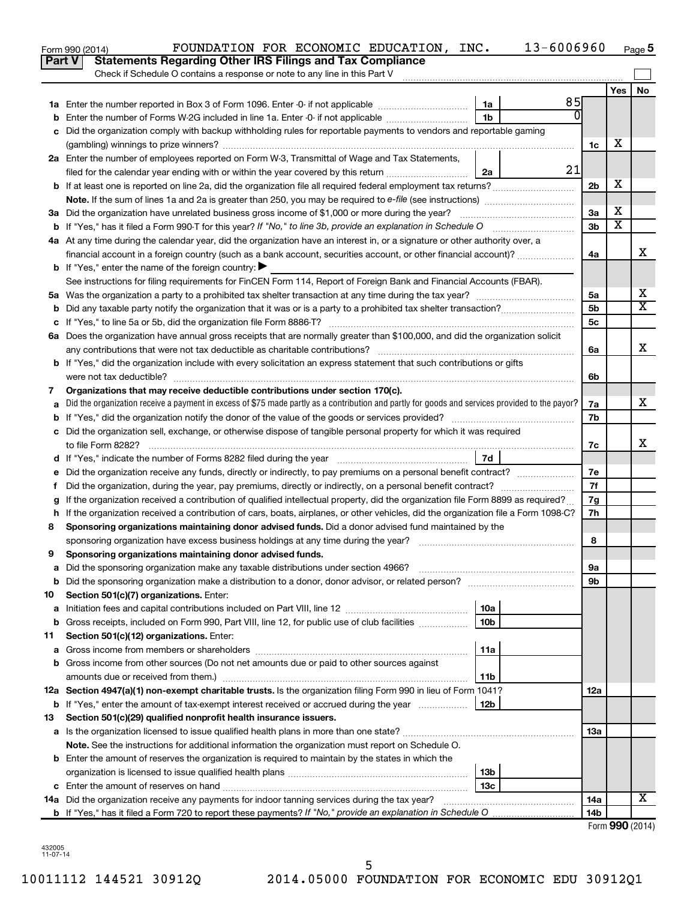|    | 13-6006960<br>FOUNDATION FOR ECONOMIC EDUCATION, INC.<br>Form 990 (2014)                                                                        |                 |                         | Page 5          |
|----|-------------------------------------------------------------------------------------------------------------------------------------------------|-----------------|-------------------------|-----------------|
|    | <b>Statements Regarding Other IRS Filings and Tax Compliance</b><br><b>Part V</b>                                                               |                 |                         |                 |
|    | Check if Schedule O contains a response or note to any line in this Part V                                                                      |                 |                         |                 |
|    |                                                                                                                                                 |                 | Yes                     | <b>No</b>       |
|    | 85<br>1a                                                                                                                                        |                 |                         |                 |
|    | $\Omega$<br>1 <sub>b</sub><br>Enter the number of Forms W-2G included in line 1a. Enter -0- if not applicable                                   |                 |                         |                 |
|    | Did the organization comply with backup withholding rules for reportable payments to vendors and reportable gaming                              |                 |                         |                 |
|    |                                                                                                                                                 | 1c              | х                       |                 |
|    | 2a Enter the number of employees reported on Form W-3, Transmittal of Wage and Tax Statements,                                                  |                 |                         |                 |
|    | 21<br>filed for the calendar year ending with or within the year covered by this return<br>2a                                                   |                 |                         |                 |
|    | b If at least one is reported on line 2a, did the organization file all required federal employment tax returns?                                | 2 <sub>b</sub>  | X                       |                 |
|    |                                                                                                                                                 |                 |                         |                 |
|    | 3a Did the organization have unrelated business gross income of \$1,000 or more during the year?                                                | 3a              | х                       |                 |
|    |                                                                                                                                                 | 3 <sub>b</sub>  | $\overline{\textbf{x}}$ |                 |
|    | 4a At any time during the calendar year, did the organization have an interest in, or a signature or other authority over, a                    |                 |                         |                 |
|    | financial account in a foreign country (such as a bank account, securities account, or other financial account)?                                | 4a              |                         | x               |
|    | <b>b</b> If "Yes," enter the name of the foreign country: $\blacktriangleright$                                                                 |                 |                         |                 |
|    | See instructions for filing requirements for FinCEN Form 114, Report of Foreign Bank and Financial Accounts (FBAR).                             |                 |                         |                 |
|    |                                                                                                                                                 | 5a              |                         | х               |
|    |                                                                                                                                                 | 5b              |                         | х               |
|    |                                                                                                                                                 | 5с              |                         |                 |
|    | 6a Does the organization have annual gross receipts that are normally greater than \$100,000, and did the organization solicit                  |                 |                         |                 |
|    |                                                                                                                                                 | 6a              |                         | X               |
|    | <b>b</b> If "Yes," did the organization include with every solicitation an express statement that such contributions or gifts                   |                 |                         |                 |
|    | were not tax deductible?                                                                                                                        | 6b              |                         |                 |
| 7  | Organizations that may receive deductible contributions under section 170(c).                                                                   |                 |                         |                 |
|    | Did the organization receive a payment in excess of \$75 made partly as a contribution and partly for goods and services provided to the payor? | 7a              |                         | х               |
|    |                                                                                                                                                 | 7b              |                         |                 |
|    | c Did the organization sell, exchange, or otherwise dispose of tangible personal property for which it was required                             |                 |                         | x               |
|    |                                                                                                                                                 | 7c              |                         |                 |
|    | 7d                                                                                                                                              |                 |                         |                 |
|    |                                                                                                                                                 | 7е<br>7f        |                         |                 |
| f. | If the organization received a contribution of qualified intellectual property, did the organization file Form 8899 as required?                | 7g              |                         |                 |
|    | h If the organization received a contribution of cars, boats, airplanes, or other vehicles, did the organization file a Form 1098-C?            | 7h              |                         |                 |
| 8  | Sponsoring organizations maintaining donor advised funds. Did a donor advised fund maintained by the                                            |                 |                         |                 |
|    |                                                                                                                                                 | 8               |                         |                 |
|    | Sponsoring organizations maintaining donor advised funds.                                                                                       |                 |                         |                 |
| а  | Did the sponsoring organization make any taxable distributions under section 4966?                                                              | 9а              |                         |                 |
| b  |                                                                                                                                                 | 9b              |                         |                 |
| 10 | Section 501(c)(7) organizations. Enter:                                                                                                         |                 |                         |                 |
| а  | 10a                                                                                                                                             |                 |                         |                 |
| b  | Gross receipts, included on Form 990, Part VIII, line 12, for public use of club facilities<br>10b                                              |                 |                         |                 |
| 11 | Section 501(c)(12) organizations. Enter:                                                                                                        |                 |                         |                 |
| а  | 11a                                                                                                                                             |                 |                         |                 |
|    | b Gross income from other sources (Do not net amounts due or paid to other sources against                                                      |                 |                         |                 |
|    | amounts due or received from them.)<br>11b                                                                                                      |                 |                         |                 |
|    | 12a Section 4947(a)(1) non-exempt charitable trusts. Is the organization filing Form 990 in lieu of Form 1041?                                  | 12a             |                         |                 |
|    | 12b<br><b>b</b> If "Yes," enter the amount of tax-exempt interest received or accrued during the year                                           |                 |                         |                 |
| 13 | Section 501(c)(29) qualified nonprofit health insurance issuers.                                                                                |                 |                         |                 |
|    | a Is the organization licensed to issue qualified health plans in more than one state?                                                          | 13a             |                         |                 |
|    | Note. See the instructions for additional information the organization must report on Schedule O.                                               |                 |                         |                 |
|    | <b>b</b> Enter the amount of reserves the organization is required to maintain by the states in which the                                       |                 |                         |                 |
|    | 13b                                                                                                                                             |                 |                         |                 |
|    | 13c                                                                                                                                             |                 |                         |                 |
|    | 14a Did the organization receive any payments for indoor tanning services during the tax year?                                                  | 14a             |                         | х               |
|    |                                                                                                                                                 | 14 <sub>b</sub> |                         |                 |
|    |                                                                                                                                                 |                 |                         | Form 990 (2014) |

432005 11-07-14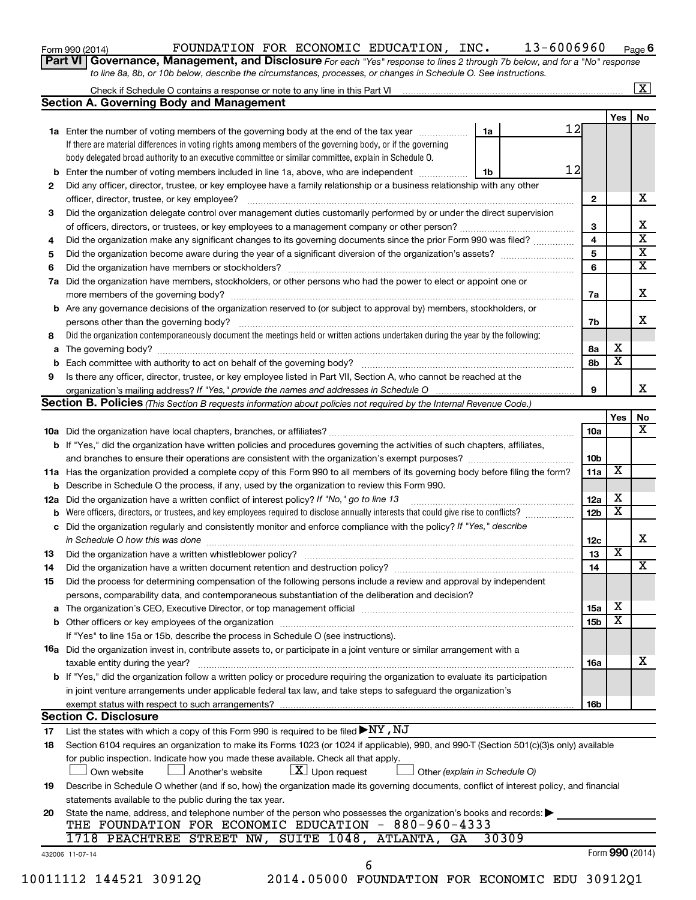| Form 990 (2014) |  |
|-----------------|--|
|-----------------|--|

#### Form 990 (2014)  $\qquad \qquad {\rm FOUNDATION\ \ FOR\ \ ECONOMIC\ \ EDUCATION\, \ INC\,.\qquad \qquad 13-6006960\qquad \qquad \qquad {\rm Page}$

**6**

**Part VI** Governance, Management, and Disclosure For each "Yes" response to lines 2 through 7b below, and for a "No" response *to line 8a, 8b, or 10b below, describe the circumstances, processes, or changes in Schedule O. See instructions.*

|     | <b>Section A. Governing Body and Management</b>                                                                                           |    |       |                 |                         | No |
|-----|-------------------------------------------------------------------------------------------------------------------------------------------|----|-------|-----------------|-------------------------|----|
|     |                                                                                                                                           |    | 12    |                 | Yes                     |    |
|     | 1a Enter the number of voting members of the governing body at the end of the tax year <i>manumum</i>                                     | 1a |       |                 |                         |    |
|     | If there are material differences in voting rights among members of the governing body, or if the governing                               |    |       |                 |                         |    |
|     | body delegated broad authority to an executive committee or similar committee, explain in Schedule O.                                     |    |       |                 |                         |    |
|     | Enter the number of voting members included in line 1a, above, who are independent                                                        | 1b | 12    |                 |                         |    |
| 2   | Did any officer, director, trustee, or key employee have a family relationship or a business relationship with any other                  |    |       |                 |                         |    |
|     |                                                                                                                                           |    |       | $\mathbf{2}$    |                         |    |
| 3   | Did the organization delegate control over management duties customarily performed by or under the direct supervision                     |    |       |                 |                         |    |
|     |                                                                                                                                           |    |       | 3               |                         |    |
| 4   | Did the organization make any significant changes to its governing documents since the prior Form 990 was filed?                          |    |       | 4               |                         |    |
| 5   |                                                                                                                                           |    |       | 5               |                         |    |
| 6   |                                                                                                                                           |    |       | 6               |                         |    |
| 7a  | Did the organization have members, stockholders, or other persons who had the power to elect or appoint one or                            |    |       |                 |                         |    |
|     |                                                                                                                                           |    |       | 7a              |                         |    |
|     | <b>b</b> Are any governance decisions of the organization reserved to (or subject to approval by) members, stockholders, or               |    |       |                 |                         |    |
|     |                                                                                                                                           |    |       | 7b              |                         |    |
| 8   | Did the organization contemporaneously document the meetings held or written actions undertaken during the year by the following:         |    |       |                 |                         |    |
| a   |                                                                                                                                           |    |       | 8а              | х                       |    |
|     |                                                                                                                                           |    |       | 8b              | $\overline{\mathbf{x}}$ |    |
| 9   | Is there any officer, director, trustee, or key employee listed in Part VII, Section A, who cannot be reached at the                      |    |       |                 |                         |    |
|     |                                                                                                                                           |    |       | 9               |                         |    |
|     | Section B. Policies (This Section B requests information about policies not required by the Internal Revenue Code.)                       |    |       |                 |                         |    |
|     |                                                                                                                                           |    |       |                 | Yes                     |    |
|     |                                                                                                                                           |    |       | 10a             |                         |    |
|     |                                                                                                                                           |    |       |                 |                         |    |
|     | b If "Yes," did the organization have written policies and procedures governing the activities of such chapters, affiliates,              |    |       |                 |                         |    |
|     |                                                                                                                                           |    |       | 10b             | X                       |    |
|     | 11a Has the organization provided a complete copy of this Form 990 to all members of its governing body before filing the form?           |    |       | 11a             |                         |    |
|     | <b>b</b> Describe in Schedule O the process, if any, used by the organization to review this Form 990.                                    |    |       |                 |                         |    |
| 12a | Did the organization have a written conflict of interest policy? If "No," go to line 13                                                   |    |       | 12a             | х                       |    |
|     | Were officers, directors, or trustees, and key employees required to disclose annually interests that could give rise to conflicts?       |    |       | 12 <sub>b</sub> | х                       |    |
| с   | Did the organization regularly and consistently monitor and enforce compliance with the policy? If "Yes," describe                        |    |       |                 |                         |    |
|     | in Schedule O how this was done manufactured and continuum and contact the was done manufactured and contact t                            |    |       | 12c             |                         |    |
| 13  |                                                                                                                                           |    |       | 13              | $\overline{\textbf{x}}$ |    |
| 14  |                                                                                                                                           |    |       | 14              |                         |    |
| 15  | Did the process for determining compensation of the following persons include a review and approval by independent                        |    |       |                 |                         |    |
|     | persons, comparability data, and contemporaneous substantiation of the deliberation and decision?                                         |    |       |                 |                         |    |
|     | The organization's CEO, Executive Director, or top management official [111] [11] manument contains an analyzi                            |    |       | 15a             | х                       |    |
|     |                                                                                                                                           |    |       | 15b             | X                       |    |
|     | If "Yes" to line 15a or 15b, describe the process in Schedule O (see instructions).                                                       |    |       |                 |                         |    |
|     | 16a Did the organization invest in, contribute assets to, or participate in a joint venture or similar arrangement with a                 |    |       |                 |                         |    |
|     | taxable entity during the year?                                                                                                           |    |       | 16a             |                         |    |
|     | b If "Yes," did the organization follow a written policy or procedure requiring the organization to evaluate its participation            |    |       |                 |                         |    |
|     | in joint venture arrangements under applicable federal tax law, and take steps to safeguard the organization's                            |    |       |                 |                         |    |
|     | exempt status with respect to such arrangements?                                                                                          |    |       | 16b             |                         |    |
|     | <b>Section C. Disclosure</b>                                                                                                              |    |       |                 |                         |    |
| 17  | List the states with which a copy of this Form 990 is required to be filed $\blacktriangleright\text{NY}$ , $\text{NJ}$                   |    |       |                 |                         |    |
| 18  | Section 6104 requires an organization to make its Forms 1023 (or 1024 if applicable), 990, and 990-T (Section 501(c)(3)s only) available  |    |       |                 |                         |    |
|     | for public inspection. Indicate how you made these available. Check all that apply.                                                       |    |       |                 |                         |    |
|     | $X$ Upon request<br>Own website<br>Another's website<br>Other (explain in Schedule O)                                                     |    |       |                 |                         |    |
|     |                                                                                                                                           |    |       |                 |                         |    |
| 19  | Describe in Schedule O whether (and if so, how) the organization made its governing documents, conflict of interest policy, and financial |    |       |                 |                         |    |
|     | statements available to the public during the tax year.                                                                                   |    |       |                 |                         |    |
| 20  | State the name, address, and telephone number of the person who possesses the organization's books and records:                           |    |       |                 |                         |    |
|     | THE FOUNDATION FOR ECONOMIC EDUCATION - 880-960-4333                                                                                      |    |       |                 |                         |    |
|     | 1718 PEACHTREE STREET NW, SUITE 1048, ATLANTA,<br>GA                                                                                      |    | 30309 |                 |                         |    |
|     | 432006 11-07-14                                                                                                                           |    |       |                 | Form 990 (2014)         |    |
|     | 6                                                                                                                                         |    |       |                 |                         |    |
|     | 10011112 144521 30912Q<br>2014.05000 FOUNDATION FOR ECONOMIC EDU 30912Q1                                                                  |    |       |                 |                         |    |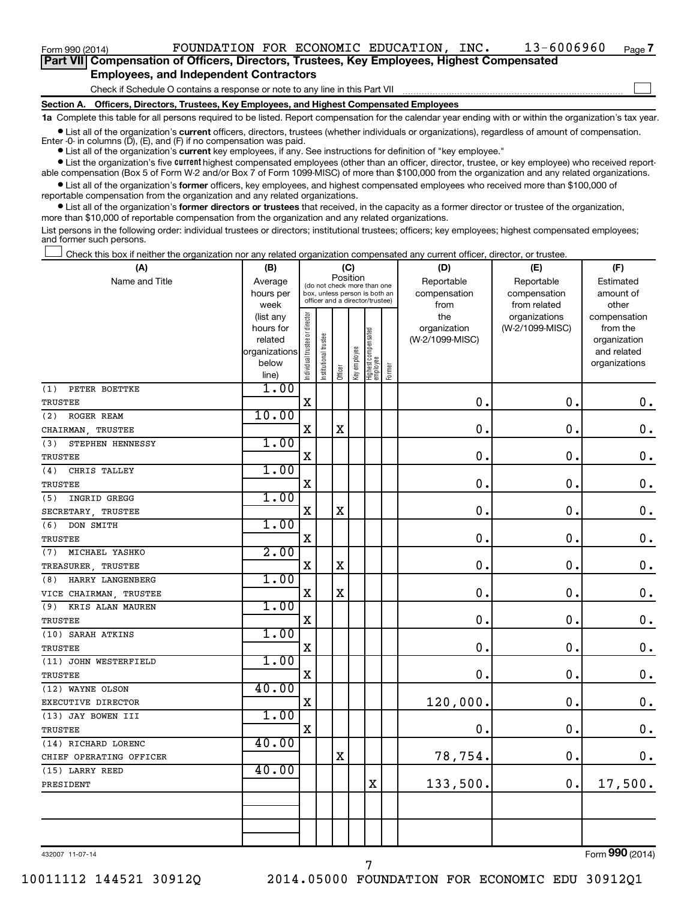$\mathcal{L}^{\text{eff}}$ 

| Part VII Compensation of Officers, Directors, Trustees, Key Employees, Highest Compensated |  |  |
|--------------------------------------------------------------------------------------------|--|--|
| <b>Employees, and Independent Contractors</b>                                              |  |  |

Check if Schedule O contains a response or note to any line in this Part VII

**Section A. Officers, Directors, Trustees, Key Employees, and Highest Compensated Employees**

**1a**  Complete this table for all persons required to be listed. Report compensation for the calendar year ending with or within the organization's tax year.

 $\bullet$  List all of the organization's current officers, directors, trustees (whether individuals or organizations), regardless of amount of compensation. Enter  $-0$ - in columns  $(D)$ ,  $(E)$ , and  $(F)$  if no compensation was paid.

**•** List all of the organization's **current** key employees, if any. See instructions for definition of "key employee."

**•** List the organization's five current highest compensated employees (other than an officer, director, trustee, or key employee) who received reportable compensation (Box 5 of Form W-2 and/or Box 7 of Form 1099-MISC) of more than \$100,000 from the organization and any related organizations.

**•** List all of the organization's former officers, key employees, and highest compensated employees who received more than \$100,000 of reportable compensation from the organization and any related organizations.

**•** List all of the organization's former directors or trustees that received, in the capacity as a former director or trustee of the organization, more than \$10,000 of reportable compensation from the organization and any related organizations.

List persons in the following order: individual trustees or directors; institutional trustees; officers; key employees; highest compensated employees; and former such persons.

Check this box if neither the organization nor any related organization compensated any current officer, director, or trustee.  $\mathcal{L}^{\text{eff}}$ 

| (A)                     | (B)                    |                                |                                                                  | (C)         |              |                                   |        | (D)                 | (E)                              | (F)                      |
|-------------------------|------------------------|--------------------------------|------------------------------------------------------------------|-------------|--------------|-----------------------------------|--------|---------------------|----------------------------------|--------------------------|
| Name and Title          | Average                |                                | (do not check more than one                                      |             | Position     |                                   |        | Reportable          | Reportable                       | Estimated                |
|                         | hours per              |                                | box, unless person is both an<br>officer and a director/trustee) |             |              |                                   |        | compensation        | compensation                     | amount of                |
|                         | week                   |                                |                                                                  |             |              |                                   |        | from                | from related                     | other                    |
|                         | (list any<br>hours for |                                |                                                                  |             |              |                                   |        | the<br>organization | organizations<br>(W-2/1099-MISC) | compensation<br>from the |
|                         | related                |                                |                                                                  |             |              |                                   |        | (W-2/1099-MISC)     |                                  | organization             |
|                         | organizations          |                                |                                                                  |             |              |                                   |        |                     |                                  | and related              |
|                         | below                  | Individual trustee or director | Institutional trustee                                            |             | Key employee |                                   |        |                     |                                  | organizations            |
|                         | line)                  |                                |                                                                  | Officer     |              | Highest compensated<br>  employee | Former |                     |                                  |                          |
| PETER BOETTKE<br>(1)    | 1.00                   |                                |                                                                  |             |              |                                   |        |                     |                                  |                          |
| TRUSTEE                 |                        | $\mathbf X$                    |                                                                  |             |              |                                   |        | $\mathbf 0$ .       | 0.                               | 0.                       |
| ROGER REAM<br>(2)       | 10.00                  |                                |                                                                  |             |              |                                   |        |                     |                                  |                          |
| CHAIRMAN, TRUSTEE       |                        | X                              |                                                                  | X           |              |                                   |        | 0                   | $\mathbf 0$                      | $\mathbf 0$ .            |
| (3)<br>STEPHEN HENNESSY | 1.00                   |                                |                                                                  |             |              |                                   |        |                     |                                  |                          |
| <b>TRUSTEE</b>          |                        | X                              |                                                                  |             |              |                                   |        | $\mathbf 0$         | $\mathbf 0$ .                    | $\mathbf 0$ .            |
| (4)<br>CHRIS TALLEY     | 1.00                   |                                |                                                                  |             |              |                                   |        |                     |                                  |                          |
| TRUSTEE                 |                        | $\rm X$                        |                                                                  |             |              |                                   |        | $\mathbf 0$         | $\mathbf 0$                      | $\mathbf 0$ .            |
| INGRID GREGG<br>(5)     | 1.00                   |                                |                                                                  |             |              |                                   |        |                     |                                  |                          |
| SECRETARY, TRUSTEE      |                        | $\mathbf X$                    |                                                                  | $\mathbf X$ |              |                                   |        | $\mathbf 0$         | $\mathbf 0$ .                    | $\mathbf 0$ .            |
| (6)<br>DON SMITH        | 1.00                   |                                |                                                                  |             |              |                                   |        |                     |                                  |                          |
| TRUSTEE                 |                        | $\rm X$                        |                                                                  |             |              |                                   |        | $\mathbf 0$         | 0.                               | $\mathbf 0$ .            |
| (7)<br>MICHAEL YASHKO   | 2.00                   |                                |                                                                  |             |              |                                   |        |                     |                                  |                          |
| TREASURER, TRUSTEE      |                        | X                              |                                                                  | $\rm X$     |              |                                   |        | $\mathbf 0$         | $\mathbf 0$ .                    | $\mathbf 0$ .            |
| HARRY LANGENBERG<br>(8) | 1.00                   |                                |                                                                  |             |              |                                   |        |                     |                                  |                          |
| VICE CHAIRMAN, TRUSTEE  |                        | $\mathbf X$                    |                                                                  | X           |              |                                   |        | $\mathbf 0$         | $\mathbf 0$                      | $\mathbf 0$ .            |
| (9)<br>KRIS ALAN MAUREN | 1.00                   |                                |                                                                  |             |              |                                   |        |                     |                                  |                          |
| TRUSTEE                 |                        | $\mathbf X$                    |                                                                  |             |              |                                   |        | $\mathbf 0$         | $\mathbf 0$ .                    | $\boldsymbol{0}$ .       |
| (10) SARAH ATKINS       | 1.00                   |                                |                                                                  |             |              |                                   |        |                     |                                  |                          |
| TRUSTEE                 |                        | $\rm X$                        |                                                                  |             |              |                                   |        | $\mathbf 0$         | 0.                               | $\mathbf 0$ .            |
| (11) JOHN WESTERFIELD   | 1.00                   |                                |                                                                  |             |              |                                   |        |                     |                                  |                          |
| TRUSTEE                 |                        | $\mathbf X$                    |                                                                  |             |              |                                   |        | $\mathbf 0$         | $\mathbf 0$ .                    | $\mathbf 0$ .            |
| (12) WAYNE OLSON        | 40.00                  |                                |                                                                  |             |              |                                   |        |                     |                                  |                          |
| EXECUTIVE DIRECTOR      |                        | $\rm X$                        |                                                                  |             |              |                                   |        | 120,000.            | $\mathbf 0$                      | $\mathbf 0$ .            |
| (13) JAY BOWEN III      | 1.00                   |                                |                                                                  |             |              |                                   |        |                     |                                  |                          |
| TRUSTEE                 |                        | $\mathbf X$                    |                                                                  |             |              |                                   |        | $\mathbf 0$         | $\mathbf 0$                      | $\mathbf 0$ .            |
| (14) RICHARD LORENC     | 40.00                  |                                |                                                                  |             |              |                                   |        |                     |                                  |                          |
| CHIEF OPERATING OFFICER |                        |                                |                                                                  | X           |              |                                   |        | 78,754.             | $\mathbf 0$ .                    | 0.                       |
| (15) LARRY REED         | 40.00                  |                                |                                                                  |             |              |                                   |        |                     |                                  |                          |
| PRESIDENT               |                        |                                |                                                                  |             |              | $\rm X$                           |        | 133,500.            | $\mathbf 0$ .                    | 17,500.                  |
|                         |                        |                                |                                                                  |             |              |                                   |        |                     |                                  |                          |
|                         |                        |                                |                                                                  |             |              |                                   |        |                     |                                  |                          |
|                         |                        |                                |                                                                  |             |              |                                   |        |                     |                                  |                          |
|                         |                        |                                |                                                                  |             |              |                                   |        |                     |                                  |                          |

7

432007 11-07-14

Form (2014) **990**

10011112 144521 30912Q 2014.05000 FOUNDATION FOR ECONOMIC EDU 30912Q1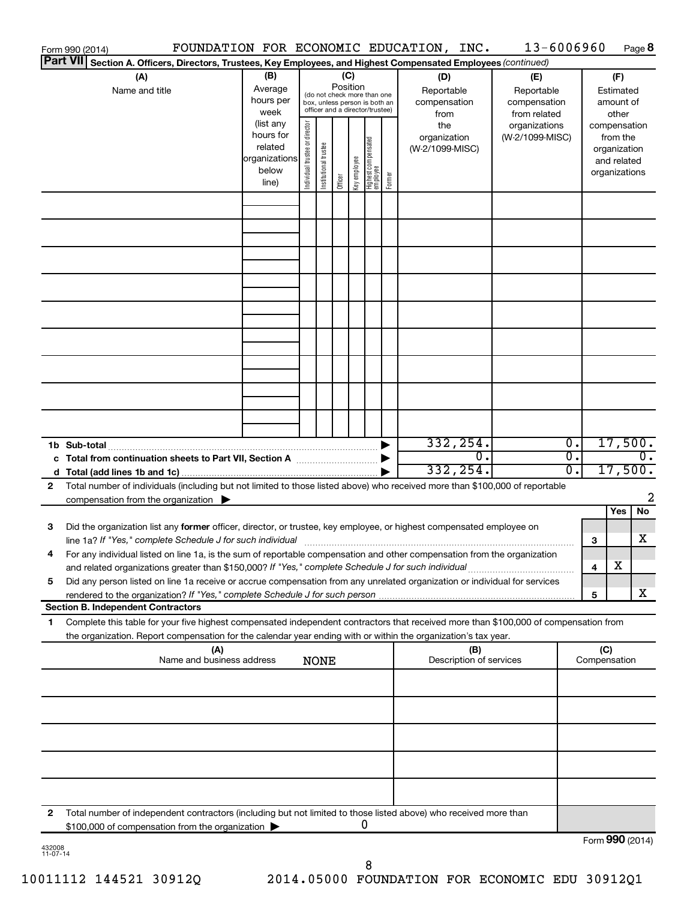|              | Form 990 (2014)                                                                                                                                                                                                                                        | FOUNDATION FOR ECONOMIC EDUCATION, INC. |                                                 |                       |                            |                                                                                                                                                    |        |                                                                                     | 13-6006960                                                                            |                     | Page 8                                                                                                             |
|--------------|--------------------------------------------------------------------------------------------------------------------------------------------------------------------------------------------------------------------------------------------------------|-----------------------------------------|-------------------------------------------------|-----------------------|----------------------------|----------------------------------------------------------------------------------------------------------------------------------------------------|--------|-------------------------------------------------------------------------------------|---------------------------------------------------------------------------------------|---------------------|--------------------------------------------------------------------------------------------------------------------|
|              | Part VII Section A. Officers, Directors, Trustees, Key Employees, and Highest Compensated Employees (continued)                                                                                                                                        |                                         |                                                 |                       |                            |                                                                                                                                                    |        |                                                                                     |                                                                                       |                     |                                                                                                                    |
|              | (A)<br>Name and title                                                                                                                                                                                                                                  |                                         | Individual trustee or director<br>organizations | Institutional trustee | (C)<br>Position<br>Officer | (do not check more than one<br>box, unless person is both an<br>officer and a director/trustee)<br>Highest compensated<br>employee<br>Key employee | Former | (D)<br>Reportable<br>compensation<br>from<br>the<br>organization<br>(W-2/1099-MISC) | (E)<br>Reportable<br>compensation<br>from related<br>organizations<br>(W-2/1099-MISC) |                     | (F)<br>Estimated<br>amount of<br>other<br>compensation<br>from the<br>organization<br>and related<br>organizations |
|              |                                                                                                                                                                                                                                                        |                                         |                                                 |                       |                            |                                                                                                                                                    |        |                                                                                     |                                                                                       |                     |                                                                                                                    |
|              |                                                                                                                                                                                                                                                        |                                         |                                                 |                       |                            |                                                                                                                                                    |        |                                                                                     |                                                                                       |                     |                                                                                                                    |
|              |                                                                                                                                                                                                                                                        |                                         |                                                 |                       |                            |                                                                                                                                                    |        |                                                                                     |                                                                                       |                     |                                                                                                                    |
|              |                                                                                                                                                                                                                                                        |                                         |                                                 |                       |                            |                                                                                                                                                    |        |                                                                                     |                                                                                       |                     |                                                                                                                    |
|              |                                                                                                                                                                                                                                                        |                                         |                                                 |                       |                            |                                                                                                                                                    |        |                                                                                     |                                                                                       |                     |                                                                                                                    |
|              |                                                                                                                                                                                                                                                        |                                         |                                                 |                       |                            |                                                                                                                                                    |        |                                                                                     |                                                                                       |                     |                                                                                                                    |
|              |                                                                                                                                                                                                                                                        |                                         |                                                 |                       |                            |                                                                                                                                                    |        |                                                                                     |                                                                                       |                     |                                                                                                                    |
|              | 1b Sub-total                                                                                                                                                                                                                                           |                                         |                                                 |                       |                            |                                                                                                                                                    |        | 332, 254.                                                                           |                                                                                       | 0.                  | 17,500.                                                                                                            |
|              |                                                                                                                                                                                                                                                        |                                         |                                                 |                       |                            |                                                                                                                                                    |        | $\overline{0}$ .<br>332, 254.                                                       | Ο.                                                                                    | $\overline{0}$ .    | $\overline{0}$ .<br>17,500.                                                                                        |
| $\mathbf{2}$ | Total number of individuals (including but not limited to those listed above) who received more than \$100,000 of reportable                                                                                                                           |                                         |                                                 |                       |                            |                                                                                                                                                    |        |                                                                                     |                                                                                       |                     |                                                                                                                    |
|              | compensation from the organization $\blacktriangleright$                                                                                                                                                                                               |                                         |                                                 |                       |                            |                                                                                                                                                    |        |                                                                                     |                                                                                       |                     | 2                                                                                                                  |
| 3            | Did the organization list any former officer, director, or trustee, key employee, or highest compensated employee on                                                                                                                                   |                                         |                                                 |                       |                            |                                                                                                                                                    |        |                                                                                     |                                                                                       | 3                   | Yes<br>No<br>х                                                                                                     |
|              | For any individual listed on line 1a, is the sum of reportable compensation and other compensation from the organization<br>and related organizations greater than \$150,000? If "Yes," complete Schedule J for such individual                        |                                         |                                                 |                       |                            |                                                                                                                                                    |        |                                                                                     |                                                                                       | 4                   | х                                                                                                                  |
| 5            | Did any person listed on line 1a receive or accrue compensation from any unrelated organization or individual for services<br>rendered to the organization? If "Yes," complete Schedule J for such person<br><b>Section B. Independent Contractors</b> |                                         |                                                 |                       |                            |                                                                                                                                                    |        |                                                                                     |                                                                                       | 5                   | х                                                                                                                  |
| 1            | Complete this table for your five highest compensated independent contractors that received more than \$100,000 of compensation from<br>the organization. Report compensation for the calendar year ending with or within the organization's tax year. |                                         |                                                 |                       |                            |                                                                                                                                                    |        |                                                                                     |                                                                                       |                     |                                                                                                                    |
|              |                                                                                                                                                                                                                                                        | (A)<br>Name and business address        |                                                 | <b>NONE</b>           |                            |                                                                                                                                                    |        | (B)<br>Description of services                                                      |                                                                                       | (C)<br>Compensation |                                                                                                                    |
|              |                                                                                                                                                                                                                                                        |                                         |                                                 |                       |                            |                                                                                                                                                    |        |                                                                                     |                                                                                       |                     |                                                                                                                    |
|              |                                                                                                                                                                                                                                                        |                                         |                                                 |                       |                            |                                                                                                                                                    |        |                                                                                     |                                                                                       |                     |                                                                                                                    |
|              |                                                                                                                                                                                                                                                        |                                         |                                                 |                       |                            |                                                                                                                                                    |        |                                                                                     |                                                                                       |                     |                                                                                                                    |
| 2            | Total number of independent contractors (including but not limited to those listed above) who received more than                                                                                                                                       |                                         |                                                 |                       |                            |                                                                                                                                                    |        |                                                                                     |                                                                                       |                     |                                                                                                                    |
|              | \$100,000 of compensation from the organization                                                                                                                                                                                                        |                                         |                                                 |                       |                            | 0                                                                                                                                                  |        |                                                                                     |                                                                                       |                     | Form 990 (2014)                                                                                                    |

| 432008   |  |
|----------|--|
| 11-07-14 |  |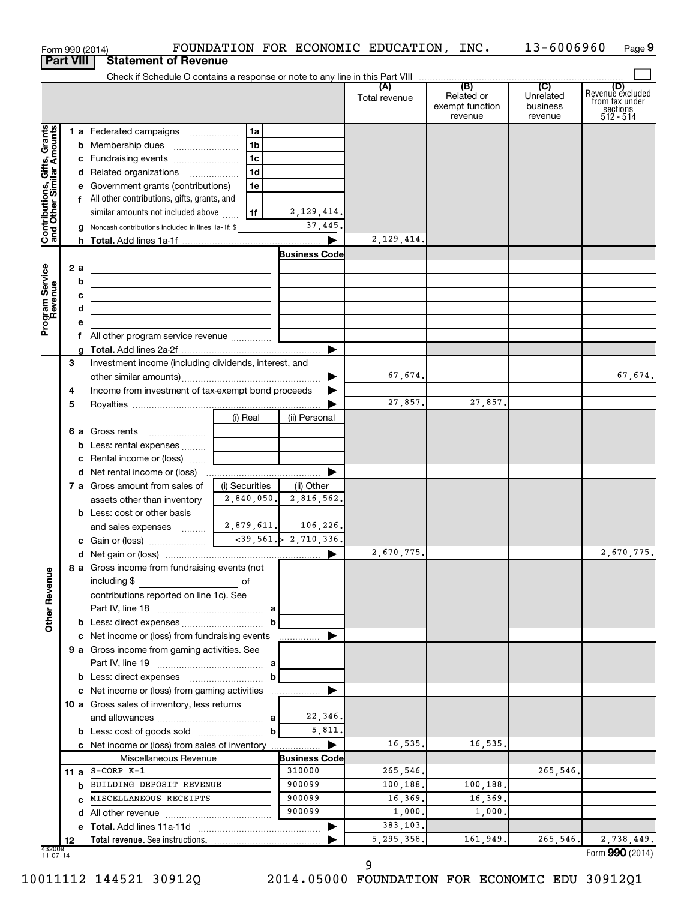| <b>Part VIII</b><br><b>Statement of Revenue</b><br>(D)<br>Revenue excluded<br>Related or<br>Unrelated<br>Total revenue<br>from tax under<br>exempt function<br>business<br>sections<br>512 - 514<br>revenue<br>revenue<br>Contributions, Gifts, Grants<br>and Other Similar Amounts<br>1 a Federated campaigns<br>  1a<br>1b<br>c Fundraising events<br>1c<br>1 <sub>d</sub><br>d Related organizations<br>e Government grants (contributions)<br>1e<br>f All other contributions, gifts, grants, and<br>2, 129, 414.<br>similar amounts not included above<br>l 1f<br>37,445.<br>g Noncash contributions included in lines 1a-1f: \$<br>2, 129, 414.<br><b>Business Code</b><br>Program Service<br>Revenue<br>2 a<br>the contract of the contract of the contract of the contract of<br>b<br>the contract of the contract of the contract of the contract of the<br>с<br><u> 1989 - Johann Barbara, martin amerikan basal dan berasal dan berasal dalam basal dalam basal dalam basal dan</u><br>d<br><u> 1989 - Johann Barbara, martin amerikan basar dan berasal dalam basar dalam basar dalam basar dalam basar dala</u><br>е<br>f.<br>Investment income (including dividends, interest, and<br>З<br>67,674.<br>67,674.<br>Income from investment of tax-exempt bond proceeds<br>4<br>27,857.<br>27,857.<br>5<br>(i) Real<br>(ii) Personal<br>b Less: rental expenses<br>c Rental income or (loss)<br>▶<br>(i) Securities<br>7 a Gross amount from sales of<br>(ii) Other<br>2,840,050.<br>2,816,562.<br>assets other than inventory<br><b>b</b> Less: cost or other basis<br>2,879,611.<br>106,226.<br>and sales expenses<br>2,670,775.<br>8 a Gross income from fundraising events (not<br><b>Other Revenue</b><br>including \$<br>of<br>contributions reported on line 1c). See<br><b>b</b> Less: direct expenses <i></i><br>b<br>c Net income or (loss) from fundraising events<br>9 a Gross income from gaming activities. See<br>b<br>10 a Gross sales of inventory, less returns<br>22,346.<br>5,811.<br><b>b</b> Less: cost of goods sold<br>b<br>16,535.<br>16,535.<br>c Net income or (loss) from sales of inventory<br>Miscellaneous Revenue<br><b>Business Code</b><br>11 a $S-CORP K-1$<br>310000<br>265,546.<br>265,546.<br><b>b</b> BUILDING DEPOSIT REVENUE<br>900099<br>100,188.<br>100,188.<br>MISCELLANEOUS RECEIPTS<br>900099<br>16,369.<br>16,369.<br>C.<br>900099<br>1,000.<br>1,000.<br>d<br>383,103.<br>5, 295, 358.<br>161,949.<br>265,546.<br>12<br>432009<br>11-07-14 | Form 990 (2014) |  | FOUNDATION FOR ECONOMIC EDUCATION, INC. | 13-6006960 | Page 9 |
|------------------------------------------------------------------------------------------------------------------------------------------------------------------------------------------------------------------------------------------------------------------------------------------------------------------------------------------------------------------------------------------------------------------------------------------------------------------------------------------------------------------------------------------------------------------------------------------------------------------------------------------------------------------------------------------------------------------------------------------------------------------------------------------------------------------------------------------------------------------------------------------------------------------------------------------------------------------------------------------------------------------------------------------------------------------------------------------------------------------------------------------------------------------------------------------------------------------------------------------------------------------------------------------------------------------------------------------------------------------------------------------------------------------------------------------------------------------------------------------------------------------------------------------------------------------------------------------------------------------------------------------------------------------------------------------------------------------------------------------------------------------------------------------------------------------------------------------------------------------------------------------------------------------------------------------------------------------------------------------------------------------------------------------------------------------------------------------------------------------------------------------------------------------------------------------------------------------------------------------------------------------------------------------------------------------------------------------------------------------------------------------------------------------------------------------------------------------------------------------------------|-----------------|--|-----------------------------------------|------------|--------|
|                                                                                                                                                                                                                                                                                                                                                                                                                                                                                                                                                                                                                                                                                                                                                                                                                                                                                                                                                                                                                                                                                                                                                                                                                                                                                                                                                                                                                                                                                                                                                                                                                                                                                                                                                                                                                                                                                                                                                                                                                                                                                                                                                                                                                                                                                                                                                                                                                                                                                                      |                 |  |                                         |            |        |
|                                                                                                                                                                                                                                                                                                                                                                                                                                                                                                                                                                                                                                                                                                                                                                                                                                                                                                                                                                                                                                                                                                                                                                                                                                                                                                                                                                                                                                                                                                                                                                                                                                                                                                                                                                                                                                                                                                                                                                                                                                                                                                                                                                                                                                                                                                                                                                                                                                                                                                      |                 |  |                                         |            |        |
|                                                                                                                                                                                                                                                                                                                                                                                                                                                                                                                                                                                                                                                                                                                                                                                                                                                                                                                                                                                                                                                                                                                                                                                                                                                                                                                                                                                                                                                                                                                                                                                                                                                                                                                                                                                                                                                                                                                                                                                                                                                                                                                                                                                                                                                                                                                                                                                                                                                                                                      |                 |  |                                         |            |        |
|                                                                                                                                                                                                                                                                                                                                                                                                                                                                                                                                                                                                                                                                                                                                                                                                                                                                                                                                                                                                                                                                                                                                                                                                                                                                                                                                                                                                                                                                                                                                                                                                                                                                                                                                                                                                                                                                                                                                                                                                                                                                                                                                                                                                                                                                                                                                                                                                                                                                                                      |                 |  |                                         |            |        |
|                                                                                                                                                                                                                                                                                                                                                                                                                                                                                                                                                                                                                                                                                                                                                                                                                                                                                                                                                                                                                                                                                                                                                                                                                                                                                                                                                                                                                                                                                                                                                                                                                                                                                                                                                                                                                                                                                                                                                                                                                                                                                                                                                                                                                                                                                                                                                                                                                                                                                                      |                 |  |                                         |            |        |
|                                                                                                                                                                                                                                                                                                                                                                                                                                                                                                                                                                                                                                                                                                                                                                                                                                                                                                                                                                                                                                                                                                                                                                                                                                                                                                                                                                                                                                                                                                                                                                                                                                                                                                                                                                                                                                                                                                                                                                                                                                                                                                                                                                                                                                                                                                                                                                                                                                                                                                      |                 |  |                                         |            |        |
|                                                                                                                                                                                                                                                                                                                                                                                                                                                                                                                                                                                                                                                                                                                                                                                                                                                                                                                                                                                                                                                                                                                                                                                                                                                                                                                                                                                                                                                                                                                                                                                                                                                                                                                                                                                                                                                                                                                                                                                                                                                                                                                                                                                                                                                                                                                                                                                                                                                                                                      |                 |  |                                         |            |        |
|                                                                                                                                                                                                                                                                                                                                                                                                                                                                                                                                                                                                                                                                                                                                                                                                                                                                                                                                                                                                                                                                                                                                                                                                                                                                                                                                                                                                                                                                                                                                                                                                                                                                                                                                                                                                                                                                                                                                                                                                                                                                                                                                                                                                                                                                                                                                                                                                                                                                                                      |                 |  |                                         |            |        |
|                                                                                                                                                                                                                                                                                                                                                                                                                                                                                                                                                                                                                                                                                                                                                                                                                                                                                                                                                                                                                                                                                                                                                                                                                                                                                                                                                                                                                                                                                                                                                                                                                                                                                                                                                                                                                                                                                                                                                                                                                                                                                                                                                                                                                                                                                                                                                                                                                                                                                                      |                 |  |                                         |            |        |
|                                                                                                                                                                                                                                                                                                                                                                                                                                                                                                                                                                                                                                                                                                                                                                                                                                                                                                                                                                                                                                                                                                                                                                                                                                                                                                                                                                                                                                                                                                                                                                                                                                                                                                                                                                                                                                                                                                                                                                                                                                                                                                                                                                                                                                                                                                                                                                                                                                                                                                      |                 |  |                                         |            |        |
|                                                                                                                                                                                                                                                                                                                                                                                                                                                                                                                                                                                                                                                                                                                                                                                                                                                                                                                                                                                                                                                                                                                                                                                                                                                                                                                                                                                                                                                                                                                                                                                                                                                                                                                                                                                                                                                                                                                                                                                                                                                                                                                                                                                                                                                                                                                                                                                                                                                                                                      |                 |  |                                         |            |        |
|                                                                                                                                                                                                                                                                                                                                                                                                                                                                                                                                                                                                                                                                                                                                                                                                                                                                                                                                                                                                                                                                                                                                                                                                                                                                                                                                                                                                                                                                                                                                                                                                                                                                                                                                                                                                                                                                                                                                                                                                                                                                                                                                                                                                                                                                                                                                                                                                                                                                                                      |                 |  |                                         |            |        |
|                                                                                                                                                                                                                                                                                                                                                                                                                                                                                                                                                                                                                                                                                                                                                                                                                                                                                                                                                                                                                                                                                                                                                                                                                                                                                                                                                                                                                                                                                                                                                                                                                                                                                                                                                                                                                                                                                                                                                                                                                                                                                                                                                                                                                                                                                                                                                                                                                                                                                                      |                 |  |                                         |            |        |
|                                                                                                                                                                                                                                                                                                                                                                                                                                                                                                                                                                                                                                                                                                                                                                                                                                                                                                                                                                                                                                                                                                                                                                                                                                                                                                                                                                                                                                                                                                                                                                                                                                                                                                                                                                                                                                                                                                                                                                                                                                                                                                                                                                                                                                                                                                                                                                                                                                                                                                      |                 |  |                                         |            |        |
|                                                                                                                                                                                                                                                                                                                                                                                                                                                                                                                                                                                                                                                                                                                                                                                                                                                                                                                                                                                                                                                                                                                                                                                                                                                                                                                                                                                                                                                                                                                                                                                                                                                                                                                                                                                                                                                                                                                                                                                                                                                                                                                                                                                                                                                                                                                                                                                                                                                                                                      |                 |  |                                         |            |        |
|                                                                                                                                                                                                                                                                                                                                                                                                                                                                                                                                                                                                                                                                                                                                                                                                                                                                                                                                                                                                                                                                                                                                                                                                                                                                                                                                                                                                                                                                                                                                                                                                                                                                                                                                                                                                                                                                                                                                                                                                                                                                                                                                                                                                                                                                                                                                                                                                                                                                                                      |                 |  |                                         |            |        |
|                                                                                                                                                                                                                                                                                                                                                                                                                                                                                                                                                                                                                                                                                                                                                                                                                                                                                                                                                                                                                                                                                                                                                                                                                                                                                                                                                                                                                                                                                                                                                                                                                                                                                                                                                                                                                                                                                                                                                                                                                                                                                                                                                                                                                                                                                                                                                                                                                                                                                                      |                 |  |                                         |            |        |
|                                                                                                                                                                                                                                                                                                                                                                                                                                                                                                                                                                                                                                                                                                                                                                                                                                                                                                                                                                                                                                                                                                                                                                                                                                                                                                                                                                                                                                                                                                                                                                                                                                                                                                                                                                                                                                                                                                                                                                                                                                                                                                                                                                                                                                                                                                                                                                                                                                                                                                      |                 |  |                                         |            |        |
|                                                                                                                                                                                                                                                                                                                                                                                                                                                                                                                                                                                                                                                                                                                                                                                                                                                                                                                                                                                                                                                                                                                                                                                                                                                                                                                                                                                                                                                                                                                                                                                                                                                                                                                                                                                                                                                                                                                                                                                                                                                                                                                                                                                                                                                                                                                                                                                                                                                                                                      |                 |  |                                         |            |        |
|                                                                                                                                                                                                                                                                                                                                                                                                                                                                                                                                                                                                                                                                                                                                                                                                                                                                                                                                                                                                                                                                                                                                                                                                                                                                                                                                                                                                                                                                                                                                                                                                                                                                                                                                                                                                                                                                                                                                                                                                                                                                                                                                                                                                                                                                                                                                                                                                                                                                                                      |                 |  |                                         |            |        |
|                                                                                                                                                                                                                                                                                                                                                                                                                                                                                                                                                                                                                                                                                                                                                                                                                                                                                                                                                                                                                                                                                                                                                                                                                                                                                                                                                                                                                                                                                                                                                                                                                                                                                                                                                                                                                                                                                                                                                                                                                                                                                                                                                                                                                                                                                                                                                                                                                                                                                                      |                 |  |                                         |            |        |
|                                                                                                                                                                                                                                                                                                                                                                                                                                                                                                                                                                                                                                                                                                                                                                                                                                                                                                                                                                                                                                                                                                                                                                                                                                                                                                                                                                                                                                                                                                                                                                                                                                                                                                                                                                                                                                                                                                                                                                                                                                                                                                                                                                                                                                                                                                                                                                                                                                                                                                      |                 |  |                                         |            |        |
| 2,670,775.<br>2,738,449.<br>Form 990 (2014)                                                                                                                                                                                                                                                                                                                                                                                                                                                                                                                                                                                                                                                                                                                                                                                                                                                                                                                                                                                                                                                                                                                                                                                                                                                                                                                                                                                                                                                                                                                                                                                                                                                                                                                                                                                                                                                                                                                                                                                                                                                                                                                                                                                                                                                                                                                                                                                                                                                          |                 |  |                                         |            |        |
|                                                                                                                                                                                                                                                                                                                                                                                                                                                                                                                                                                                                                                                                                                                                                                                                                                                                                                                                                                                                                                                                                                                                                                                                                                                                                                                                                                                                                                                                                                                                                                                                                                                                                                                                                                                                                                                                                                                                                                                                                                                                                                                                                                                                                                                                                                                                                                                                                                                                                                      |                 |  |                                         |            |        |
|                                                                                                                                                                                                                                                                                                                                                                                                                                                                                                                                                                                                                                                                                                                                                                                                                                                                                                                                                                                                                                                                                                                                                                                                                                                                                                                                                                                                                                                                                                                                                                                                                                                                                                                                                                                                                                                                                                                                                                                                                                                                                                                                                                                                                                                                                                                                                                                                                                                                                                      |                 |  |                                         |            |        |
|                                                                                                                                                                                                                                                                                                                                                                                                                                                                                                                                                                                                                                                                                                                                                                                                                                                                                                                                                                                                                                                                                                                                                                                                                                                                                                                                                                                                                                                                                                                                                                                                                                                                                                                                                                                                                                                                                                                                                                                                                                                                                                                                                                                                                                                                                                                                                                                                                                                                                                      |                 |  |                                         |            |        |
|                                                                                                                                                                                                                                                                                                                                                                                                                                                                                                                                                                                                                                                                                                                                                                                                                                                                                                                                                                                                                                                                                                                                                                                                                                                                                                                                                                                                                                                                                                                                                                                                                                                                                                                                                                                                                                                                                                                                                                                                                                                                                                                                                                                                                                                                                                                                                                                                                                                                                                      |                 |  |                                         |            |        |
|                                                                                                                                                                                                                                                                                                                                                                                                                                                                                                                                                                                                                                                                                                                                                                                                                                                                                                                                                                                                                                                                                                                                                                                                                                                                                                                                                                                                                                                                                                                                                                                                                                                                                                                                                                                                                                                                                                                                                                                                                                                                                                                                                                                                                                                                                                                                                                                                                                                                                                      |                 |  |                                         |            |        |
|                                                                                                                                                                                                                                                                                                                                                                                                                                                                                                                                                                                                                                                                                                                                                                                                                                                                                                                                                                                                                                                                                                                                                                                                                                                                                                                                                                                                                                                                                                                                                                                                                                                                                                                                                                                                                                                                                                                                                                                                                                                                                                                                                                                                                                                                                                                                                                                                                                                                                                      |                 |  |                                         |            |        |
|                                                                                                                                                                                                                                                                                                                                                                                                                                                                                                                                                                                                                                                                                                                                                                                                                                                                                                                                                                                                                                                                                                                                                                                                                                                                                                                                                                                                                                                                                                                                                                                                                                                                                                                                                                                                                                                                                                                                                                                                                                                                                                                                                                                                                                                                                                                                                                                                                                                                                                      |                 |  |                                         |            |        |
|                                                                                                                                                                                                                                                                                                                                                                                                                                                                                                                                                                                                                                                                                                                                                                                                                                                                                                                                                                                                                                                                                                                                                                                                                                                                                                                                                                                                                                                                                                                                                                                                                                                                                                                                                                                                                                                                                                                                                                                                                                                                                                                                                                                                                                                                                                                                                                                                                                                                                                      |                 |  |                                         |            |        |
|                                                                                                                                                                                                                                                                                                                                                                                                                                                                                                                                                                                                                                                                                                                                                                                                                                                                                                                                                                                                                                                                                                                                                                                                                                                                                                                                                                                                                                                                                                                                                                                                                                                                                                                                                                                                                                                                                                                                                                                                                                                                                                                                                                                                                                                                                                                                                                                                                                                                                                      |                 |  |                                         |            |        |
|                                                                                                                                                                                                                                                                                                                                                                                                                                                                                                                                                                                                                                                                                                                                                                                                                                                                                                                                                                                                                                                                                                                                                                                                                                                                                                                                                                                                                                                                                                                                                                                                                                                                                                                                                                                                                                                                                                                                                                                                                                                                                                                                                                                                                                                                                                                                                                                                                                                                                                      |                 |  |                                         |            |        |
|                                                                                                                                                                                                                                                                                                                                                                                                                                                                                                                                                                                                                                                                                                                                                                                                                                                                                                                                                                                                                                                                                                                                                                                                                                                                                                                                                                                                                                                                                                                                                                                                                                                                                                                                                                                                                                                                                                                                                                                                                                                                                                                                                                                                                                                                                                                                                                                                                                                                                                      |                 |  |                                         |            |        |
|                                                                                                                                                                                                                                                                                                                                                                                                                                                                                                                                                                                                                                                                                                                                                                                                                                                                                                                                                                                                                                                                                                                                                                                                                                                                                                                                                                                                                                                                                                                                                                                                                                                                                                                                                                                                                                                                                                                                                                                                                                                                                                                                                                                                                                                                                                                                                                                                                                                                                                      |                 |  |                                         |            |        |
|                                                                                                                                                                                                                                                                                                                                                                                                                                                                                                                                                                                                                                                                                                                                                                                                                                                                                                                                                                                                                                                                                                                                                                                                                                                                                                                                                                                                                                                                                                                                                                                                                                                                                                                                                                                                                                                                                                                                                                                                                                                                                                                                                                                                                                                                                                                                                                                                                                                                                                      |                 |  |                                         |            |        |
|                                                                                                                                                                                                                                                                                                                                                                                                                                                                                                                                                                                                                                                                                                                                                                                                                                                                                                                                                                                                                                                                                                                                                                                                                                                                                                                                                                                                                                                                                                                                                                                                                                                                                                                                                                                                                                                                                                                                                                                                                                                                                                                                                                                                                                                                                                                                                                                                                                                                                                      |                 |  |                                         |            |        |
|                                                                                                                                                                                                                                                                                                                                                                                                                                                                                                                                                                                                                                                                                                                                                                                                                                                                                                                                                                                                                                                                                                                                                                                                                                                                                                                                                                                                                                                                                                                                                                                                                                                                                                                                                                                                                                                                                                                                                                                                                                                                                                                                                                                                                                                                                                                                                                                                                                                                                                      |                 |  |                                         |            |        |
|                                                                                                                                                                                                                                                                                                                                                                                                                                                                                                                                                                                                                                                                                                                                                                                                                                                                                                                                                                                                                                                                                                                                                                                                                                                                                                                                                                                                                                                                                                                                                                                                                                                                                                                                                                                                                                                                                                                                                                                                                                                                                                                                                                                                                                                                                                                                                                                                                                                                                                      |                 |  |                                         |            |        |
|                                                                                                                                                                                                                                                                                                                                                                                                                                                                                                                                                                                                                                                                                                                                                                                                                                                                                                                                                                                                                                                                                                                                                                                                                                                                                                                                                                                                                                                                                                                                                                                                                                                                                                                                                                                                                                                                                                                                                                                                                                                                                                                                                                                                                                                                                                                                                                                                                                                                                                      |                 |  |                                         |            |        |
|                                                                                                                                                                                                                                                                                                                                                                                                                                                                                                                                                                                                                                                                                                                                                                                                                                                                                                                                                                                                                                                                                                                                                                                                                                                                                                                                                                                                                                                                                                                                                                                                                                                                                                                                                                                                                                                                                                                                                                                                                                                                                                                                                                                                                                                                                                                                                                                                                                                                                                      |                 |  |                                         |            |        |
|                                                                                                                                                                                                                                                                                                                                                                                                                                                                                                                                                                                                                                                                                                                                                                                                                                                                                                                                                                                                                                                                                                                                                                                                                                                                                                                                                                                                                                                                                                                                                                                                                                                                                                                                                                                                                                                                                                                                                                                                                                                                                                                                                                                                                                                                                                                                                                                                                                                                                                      |                 |  |                                         |            |        |
|                                                                                                                                                                                                                                                                                                                                                                                                                                                                                                                                                                                                                                                                                                                                                                                                                                                                                                                                                                                                                                                                                                                                                                                                                                                                                                                                                                                                                                                                                                                                                                                                                                                                                                                                                                                                                                                                                                                                                                                                                                                                                                                                                                                                                                                                                                                                                                                                                                                                                                      |                 |  |                                         |            |        |
|                                                                                                                                                                                                                                                                                                                                                                                                                                                                                                                                                                                                                                                                                                                                                                                                                                                                                                                                                                                                                                                                                                                                                                                                                                                                                                                                                                                                                                                                                                                                                                                                                                                                                                                                                                                                                                                                                                                                                                                                                                                                                                                                                                                                                                                                                                                                                                                                                                                                                                      |                 |  |                                         |            |        |
|                                                                                                                                                                                                                                                                                                                                                                                                                                                                                                                                                                                                                                                                                                                                                                                                                                                                                                                                                                                                                                                                                                                                                                                                                                                                                                                                                                                                                                                                                                                                                                                                                                                                                                                                                                                                                                                                                                                                                                                                                                                                                                                                                                                                                                                                                                                                                                                                                                                                                                      |                 |  |                                         |            |        |
|                                                                                                                                                                                                                                                                                                                                                                                                                                                                                                                                                                                                                                                                                                                                                                                                                                                                                                                                                                                                                                                                                                                                                                                                                                                                                                                                                                                                                                                                                                                                                                                                                                                                                                                                                                                                                                                                                                                                                                                                                                                                                                                                                                                                                                                                                                                                                                                                                                                                                                      |                 |  |                                         |            |        |
|                                                                                                                                                                                                                                                                                                                                                                                                                                                                                                                                                                                                                                                                                                                                                                                                                                                                                                                                                                                                                                                                                                                                                                                                                                                                                                                                                                                                                                                                                                                                                                                                                                                                                                                                                                                                                                                                                                                                                                                                                                                                                                                                                                                                                                                                                                                                                                                                                                                                                                      |                 |  |                                         |            |        |
|                                                                                                                                                                                                                                                                                                                                                                                                                                                                                                                                                                                                                                                                                                                                                                                                                                                                                                                                                                                                                                                                                                                                                                                                                                                                                                                                                                                                                                                                                                                                                                                                                                                                                                                                                                                                                                                                                                                                                                                                                                                                                                                                                                                                                                                                                                                                                                                                                                                                                                      |                 |  |                                         |            |        |
|                                                                                                                                                                                                                                                                                                                                                                                                                                                                                                                                                                                                                                                                                                                                                                                                                                                                                                                                                                                                                                                                                                                                                                                                                                                                                                                                                                                                                                                                                                                                                                                                                                                                                                                                                                                                                                                                                                                                                                                                                                                                                                                                                                                                                                                                                                                                                                                                                                                                                                      |                 |  |                                         |            |        |
|                                                                                                                                                                                                                                                                                                                                                                                                                                                                                                                                                                                                                                                                                                                                                                                                                                                                                                                                                                                                                                                                                                                                                                                                                                                                                                                                                                                                                                                                                                                                                                                                                                                                                                                                                                                                                                                                                                                                                                                                                                                                                                                                                                                                                                                                                                                                                                                                                                                                                                      |                 |  |                                         |            |        |
|                                                                                                                                                                                                                                                                                                                                                                                                                                                                                                                                                                                                                                                                                                                                                                                                                                                                                                                                                                                                                                                                                                                                                                                                                                                                                                                                                                                                                                                                                                                                                                                                                                                                                                                                                                                                                                                                                                                                                                                                                                                                                                                                                                                                                                                                                                                                                                                                                                                                                                      |                 |  |                                         |            |        |
|                                                                                                                                                                                                                                                                                                                                                                                                                                                                                                                                                                                                                                                                                                                                                                                                                                                                                                                                                                                                                                                                                                                                                                                                                                                                                                                                                                                                                                                                                                                                                                                                                                                                                                                                                                                                                                                                                                                                                                                                                                                                                                                                                                                                                                                                                                                                                                                                                                                                                                      |                 |  |                                         |            |        |
|                                                                                                                                                                                                                                                                                                                                                                                                                                                                                                                                                                                                                                                                                                                                                                                                                                                                                                                                                                                                                                                                                                                                                                                                                                                                                                                                                                                                                                                                                                                                                                                                                                                                                                                                                                                                                                                                                                                                                                                                                                                                                                                                                                                                                                                                                                                                                                                                                                                                                                      |                 |  |                                         |            |        |
|                                                                                                                                                                                                                                                                                                                                                                                                                                                                                                                                                                                                                                                                                                                                                                                                                                                                                                                                                                                                                                                                                                                                                                                                                                                                                                                                                                                                                                                                                                                                                                                                                                                                                                                                                                                                                                                                                                                                                                                                                                                                                                                                                                                                                                                                                                                                                                                                                                                                                                      |                 |  |                                         |            |        |
|                                                                                                                                                                                                                                                                                                                                                                                                                                                                                                                                                                                                                                                                                                                                                                                                                                                                                                                                                                                                                                                                                                                                                                                                                                                                                                                                                                                                                                                                                                                                                                                                                                                                                                                                                                                                                                                                                                                                                                                                                                                                                                                                                                                                                                                                                                                                                                                                                                                                                                      |                 |  |                                         |            |        |
|                                                                                                                                                                                                                                                                                                                                                                                                                                                                                                                                                                                                                                                                                                                                                                                                                                                                                                                                                                                                                                                                                                                                                                                                                                                                                                                                                                                                                                                                                                                                                                                                                                                                                                                                                                                                                                                                                                                                                                                                                                                                                                                                                                                                                                                                                                                                                                                                                                                                                                      |                 |  |                                         |            |        |

9

10011112 144521 30912Q 2014.05000 FOUNDATION FOR ECONOMIC EDU 30912Q1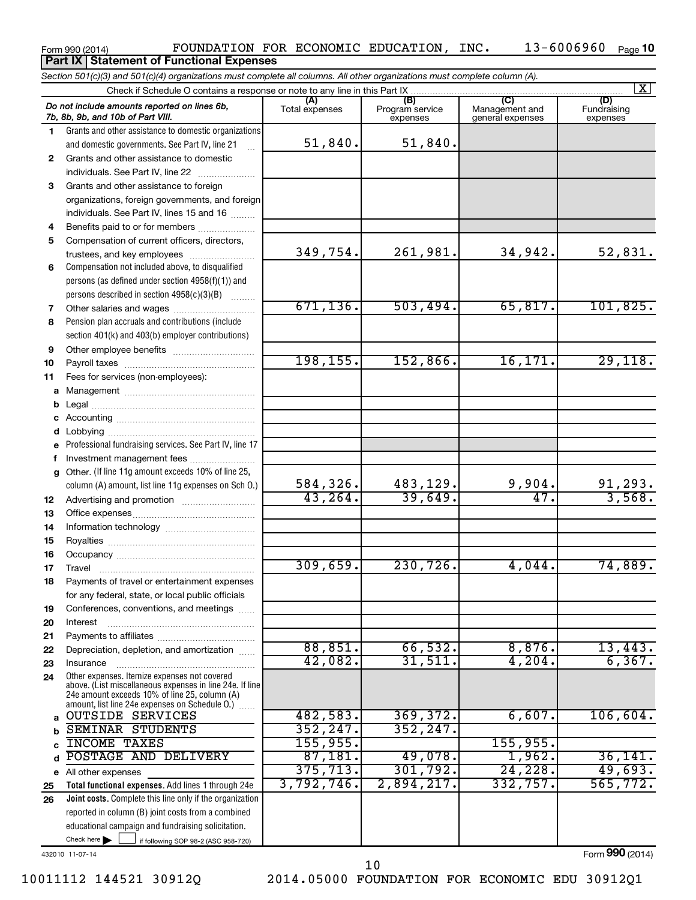|              | Section 501(c)(3) and 501(c)(4) organizations must complete all columns. All other organizations must complete column (A).                                                                                  |                       |                                    |                                           |                                |
|--------------|-------------------------------------------------------------------------------------------------------------------------------------------------------------------------------------------------------------|-----------------------|------------------------------------|-------------------------------------------|--------------------------------|
|              |                                                                                                                                                                                                             |                       |                                    |                                           | $\vert X \vert$                |
|              | Do not include amounts reported on lines 6b,<br>7b, 8b, 9b, and 10b of Part VIII.                                                                                                                           | (A)<br>Total expenses | (B)<br>Program service<br>expenses | (C)<br>Management and<br>general expenses | (D)<br>Fundraising<br>expenses |
| 1            | Grants and other assistance to domestic organizations                                                                                                                                                       |                       |                                    |                                           |                                |
|              | and domestic governments. See Part IV, line 21                                                                                                                                                              | 51,840.               | 51,840.                            |                                           |                                |
| $\mathbf{2}$ | Grants and other assistance to domestic                                                                                                                                                                     |                       |                                    |                                           |                                |
|              | individuals. See Part IV, line 22                                                                                                                                                                           |                       |                                    |                                           |                                |
| 3            | Grants and other assistance to foreign                                                                                                                                                                      |                       |                                    |                                           |                                |
|              | organizations, foreign governments, and foreign                                                                                                                                                             |                       |                                    |                                           |                                |
|              | individuals. See Part IV, lines 15 and 16                                                                                                                                                                   |                       |                                    |                                           |                                |
| 4            | Benefits paid to or for members                                                                                                                                                                             |                       |                                    |                                           |                                |
| 5            | Compensation of current officers, directors,                                                                                                                                                                |                       |                                    |                                           |                                |
|              | trustees, and key employees                                                                                                                                                                                 | 349,754.              | 261,981.                           | 34,942.                                   | 52,831.                        |
| 6            | Compensation not included above, to disqualified                                                                                                                                                            |                       |                                    |                                           |                                |
|              | persons (as defined under section 4958(f)(1)) and                                                                                                                                                           |                       |                                    |                                           |                                |
|              | persons described in section 4958(c)(3)(B)                                                                                                                                                                  |                       |                                    |                                           |                                |
| 7            |                                                                                                                                                                                                             | 671, 136.             | 503,494.                           | 65,817.                                   | 101,825.                       |
| 8            | Pension plan accruals and contributions (include                                                                                                                                                            |                       |                                    |                                           |                                |
|              | section 401(k) and 403(b) employer contributions)                                                                                                                                                           |                       |                                    |                                           |                                |
| 9            |                                                                                                                                                                                                             | 198, 155.             | 152,866.                           | 16, 171.                                  | 29,118.                        |
| 10           |                                                                                                                                                                                                             |                       |                                    |                                           |                                |
| 11           | Fees for services (non-employees):                                                                                                                                                                          |                       |                                    |                                           |                                |
|              |                                                                                                                                                                                                             |                       |                                    |                                           |                                |
| b            |                                                                                                                                                                                                             |                       |                                    |                                           |                                |
| c            |                                                                                                                                                                                                             |                       |                                    |                                           |                                |
| d            | Professional fundraising services. See Part IV, line 17                                                                                                                                                     |                       |                                    |                                           |                                |
| е            | Investment management fees                                                                                                                                                                                  |                       |                                    |                                           |                                |
| f<br>g       | Other. (If line 11g amount exceeds 10% of line 25,                                                                                                                                                          |                       |                                    |                                           |                                |
|              | column (A) amount, list line 11g expenses on Sch O.)                                                                                                                                                        | 584,326.              | 483,129.                           | 9,904.                                    |                                |
| 12           |                                                                                                                                                                                                             | 43, 264.              | 39,649.                            | 47.                                       | $\frac{91,293}{3,568}$         |
| 13           |                                                                                                                                                                                                             |                       |                                    |                                           |                                |
| 14           |                                                                                                                                                                                                             |                       |                                    |                                           |                                |
| 15           |                                                                                                                                                                                                             |                       |                                    |                                           |                                |
| 16           |                                                                                                                                                                                                             |                       |                                    |                                           |                                |
| 17           |                                                                                                                                                                                                             | 309,659.              | 230,726.                           | 4,044.                                    | 74,889.                        |
| 18           | Payments of travel or entertainment expenses                                                                                                                                                                |                       |                                    |                                           |                                |
|              | for any federal, state, or local public officials                                                                                                                                                           |                       |                                    |                                           |                                |
| 19           | Conferences, conventions, and meetings                                                                                                                                                                      |                       |                                    |                                           |                                |
| 20           | Interest                                                                                                                                                                                                    |                       |                                    |                                           |                                |
| 21           |                                                                                                                                                                                                             |                       |                                    |                                           |                                |
| 22           | Depreciation, depletion, and amortization                                                                                                                                                                   | 88,851.               | 66,532.                            | 8,876.                                    | 13,443.                        |
| 23           | Insurance                                                                                                                                                                                                   | 42,082.               | 31,511.                            | 4,204.                                    | 6, 367.                        |
| 24           | Other expenses. Itemize expenses not covered<br>above. (List miscellaneous expenses in line 24e. If line<br>24e amount exceeds 10% of line 25, column (A)<br>amount, list line 24e expenses on Schedule O.) |                       |                                    |                                           |                                |
| a            | <b>OUTSIDE SERVICES</b>                                                                                                                                                                                     | 482,583.              | 369, 372.                          | 6,607.                                    | 106,604.                       |
| b            | <b>SEMINAR STUDENTS</b>                                                                                                                                                                                     | 352, 247.             | 352, 247.                          |                                           |                                |
|              | <b>INCOME TAXES</b>                                                                                                                                                                                         | 155,955.              |                                    | 155,955.                                  |                                |
| d            | POSTAGE AND DELIVERY                                                                                                                                                                                        | 87,181.               | 49,078.                            | 1,962.                                    | 36, 141.                       |
|              | e All other expenses                                                                                                                                                                                        | 375, 713.             | 301,792.                           | 24, 228.                                  | 49,693.                        |
| 25           | Total functional expenses. Add lines 1 through 24e                                                                                                                                                          | 3,792,746.            | 2,894,217.                         | 332,757.                                  | 565,772.                       |
| 26           | Joint costs. Complete this line only if the organization                                                                                                                                                    |                       |                                    |                                           |                                |
|              | reported in column (B) joint costs from a combined                                                                                                                                                          |                       |                                    |                                           |                                |
|              | educational campaign and fundraising solicitation.                                                                                                                                                          |                       |                                    |                                           |                                |
|              | Check here $\blacktriangleright$<br>if following SOP 98-2 (ASC 958-720)                                                                                                                                     |                       |                                    |                                           |                                |

Form 990 (2014)  $\qquad \qquad {\rm FOUNDATION\ \ FOR\ \ ECONOMIC\ \ EDUCATION\, \ INC\,.\qquad \qquad 13-6006960\quad \ \text{Page}$ 

**Part IX Statement of Functional Expenses** 

432010 11-07-14

Form (2014) **990**

13-6006960 Page 10

<sup>10011112 144521 30912</sup>Q 2014.05000 FOUNDATION FOR ECONOMIC EDU 30912Q1 10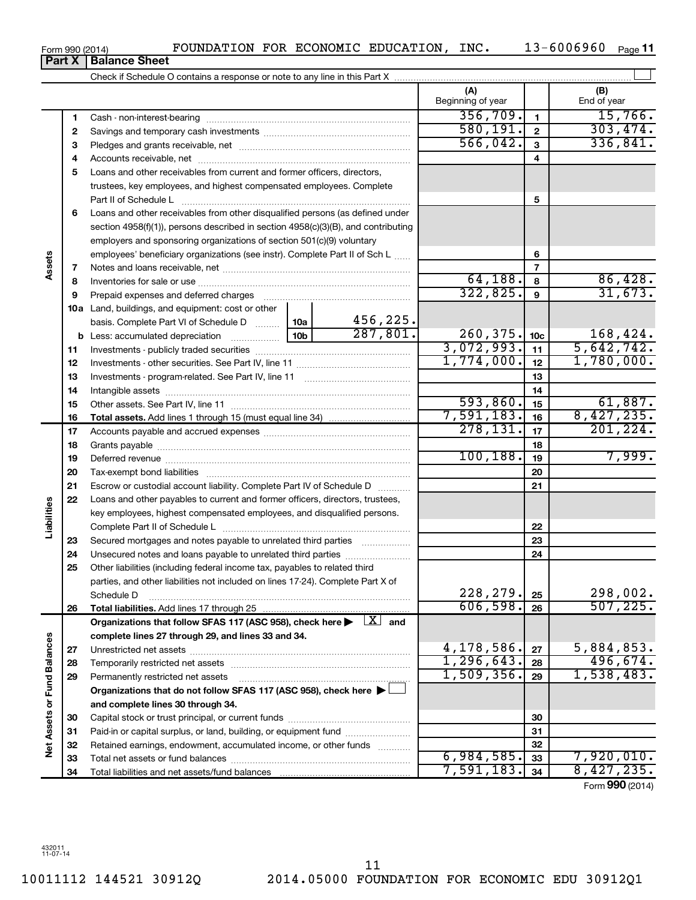Form 990 (2014) **POUNDATION FOR ECONOMIC EDUCATION, INC.** 13-6006960  $_{\text{Page}}$ **Part X Balance Sheet**

13-6006960 Page 11

 $\overline{\phantom{0}}$ 

|                      |          |                                                                                                                |                        | (A)<br>Beginning of year    |                 | (B)<br>End of year           |
|----------------------|----------|----------------------------------------------------------------------------------------------------------------|------------------------|-----------------------------|-----------------|------------------------------|
|                      | 1        |                                                                                                                |                        | 356,709.                    | $\mathbf{1}$    | 15,766.                      |
|                      | 2        |                                                                                                                | 580, 191.              | $\mathbf{2}$                | 303,474.        |                              |
|                      | 3        |                                                                                                                | 566,042.               | $\mathbf{3}$                | 336,841.        |                              |
|                      | 4        |                                                                                                                |                        |                             | 4               |                              |
|                      | 5        | Loans and other receivables from current and former officers, directors,                                       |                        |                             |                 |                              |
|                      |          | trustees, key employees, and highest compensated employees. Complete                                           |                        |                             |                 |                              |
|                      |          | Part II of Schedule L                                                                                          |                        |                             | 5               |                              |
|                      | 6        | Loans and other receivables from other disqualified persons (as defined under                                  |                        |                             |                 |                              |
|                      |          | section 4958(f)(1)), persons described in section 4958(c)(3)(B), and contributing                              |                        |                             |                 |                              |
|                      |          | employers and sponsoring organizations of section 501(c)(9) voluntary                                          |                        |                             |                 |                              |
|                      |          | employees' beneficiary organizations (see instr). Complete Part II of Sch L                                    |                        |                             | 6               |                              |
| Assets               | 7        |                                                                                                                |                        |                             | $\overline{7}$  |                              |
|                      | 8        |                                                                                                                |                        | 64,188.                     | 8               | $\frac{86,428}{31,673}$      |
|                      | 9        | Prepaid expenses and deferred charges [11] [11] Prepaid expenses and deferred charges [11] [11] American metal |                        | 322,825.                    | 9               |                              |
|                      |          | <b>10a</b> Land, buildings, and equipment: cost or other                                                       |                        |                             |                 |                              |
|                      |          | basis. Complete Part VI of Schedule D  10a                                                                     | 456, 225.<br>287, 801. |                             |                 |                              |
|                      |          |                                                                                                                |                        | $\frac{260,375}{3,072,993}$ | 10 <sub>c</sub> | $\frac{168,424}{5,642,742}$  |
|                      | 11       |                                                                                                                |                        | 1,774,000.                  | 11              | 1,780,000.                   |
|                      | 12       |                                                                                                                |                        |                             | 12              |                              |
|                      | 13       |                                                                                                                |                        |                             | 13<br>14        |                              |
|                      | 14       |                                                                                                                | 593,860.               | 15                          |                 |                              |
|                      | 15<br>16 |                                                                                                                |                        | 7,591,183.                  | 16              | $\frac{61,887.}{8,427,235.}$ |
|                      | 17       |                                                                                                                |                        | 278, 131.                   | 17              | 201, 224.                    |
|                      | 18       |                                                                                                                |                        | 18                          |                 |                              |
|                      | 19       |                                                                                                                | 100, 188.              | 19                          | 7,999.          |                              |
|                      | 20       |                                                                                                                |                        | 20                          |                 |                              |
|                      | 21       | Escrow or custodial account liability. Complete Part IV of Schedule D                                          |                        |                             | 21              |                              |
|                      | 22       | Loans and other payables to current and former officers, directors, trustees,                                  |                        |                             |                 |                              |
| Liabilities          |          | key employees, highest compensated employees, and disqualified persons.                                        |                        |                             |                 |                              |
|                      |          |                                                                                                                |                        |                             | 22              |                              |
|                      | 23       | Secured mortgages and notes payable to unrelated third parties                                                 |                        |                             | 23              |                              |
|                      | 24       | Unsecured notes and loans payable to unrelated third parties                                                   |                        |                             | 24              |                              |
|                      | 25       | Other liabilities (including federal income tax, payables to related third                                     |                        |                             |                 |                              |
|                      |          | parties, and other liabilities not included on lines 17-24). Complete Part X of                                |                        |                             |                 |                              |
|                      |          | Schedule D                                                                                                     |                        | 228,279.                    | 25              | $\frac{298,002}{507,225}$    |
|                      | 26       | Total liabilities. Add lines 17 through 25                                                                     |                        | 606,598.                    | 26              |                              |
|                      |          | Organizations that follow SFAS 117 (ASC 958), check here $\blacktriangleright$ $\boxed{X}$ and                 |                        |                             |                 |                              |
|                      |          | complete lines 27 through 29, and lines 33 and 34.                                                             |                        |                             |                 |                              |
|                      | 27       |                                                                                                                |                        | 4,178,586.                  | 27              | 5,884,853.                   |
| <b>Fund Balances</b> | 28       |                                                                                                                |                        | 1, 296, 643.                | 28              | 496,674.<br>1,538,483.       |
|                      | 29       | Permanently restricted net assets                                                                              |                        | 1,509,356.                  | 29              |                              |
|                      |          | Organizations that do not follow SFAS 117 (ASC 958), check here                                                |                        |                             |                 |                              |
| Net Assets or        |          | and complete lines 30 through 34.                                                                              |                        |                             |                 |                              |
|                      | 30       |                                                                                                                |                        |                             | 30              |                              |
|                      | 31       | Paid-in or capital surplus, or land, building, or equipment fund                                               |                        |                             | 31              |                              |
|                      | 32       | Retained earnings, endowment, accumulated income, or other funds                                               |                        | 6,984,585.                  | 32<br>33        | 7,920,010.                   |
|                      | 33<br>34 |                                                                                                                |                        | 7,591,183.                  | 34              | 8,427,235.                   |
|                      |          |                                                                                                                |                        |                             |                 | Form 990 (2014)              |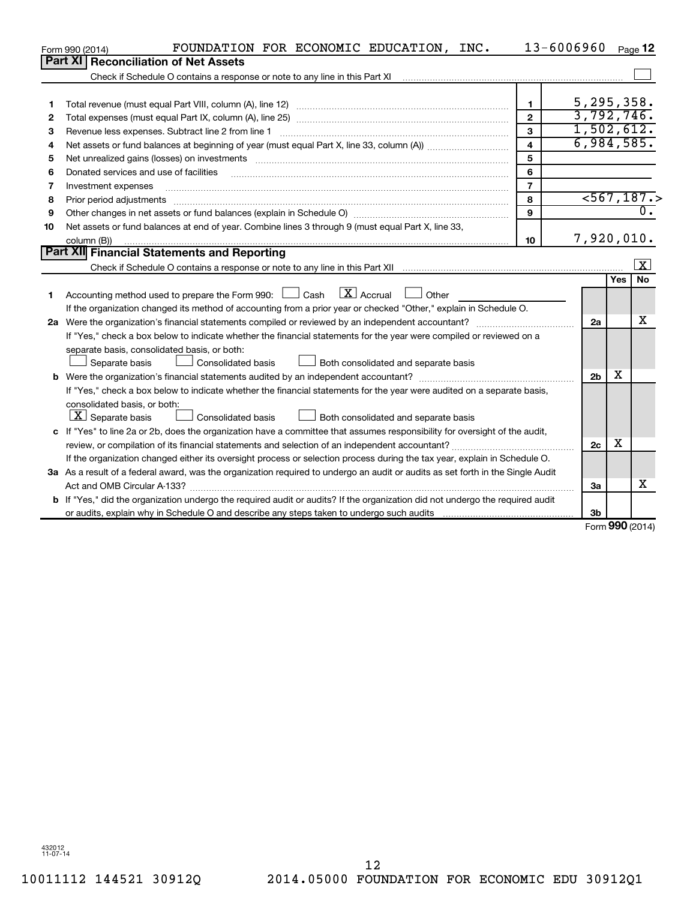|    | FOUNDATION FOR ECONOMIC EDUCATION, INC.<br>Form 990 (2014)                                                                                      | 13-6006960     |                |            | Page 12   |
|----|-------------------------------------------------------------------------------------------------------------------------------------------------|----------------|----------------|------------|-----------|
|    | Part XI<br><b>Reconciliation of Net Assets</b>                                                                                                  |                |                |            |           |
|    | Check if Schedule O contains a response or note to any line in this Part XI                                                                     |                |                |            |           |
|    |                                                                                                                                                 |                |                |            |           |
| 1  |                                                                                                                                                 | 1.             | 5,295,358.     |            |           |
| 2  |                                                                                                                                                 | $\overline{2}$ | 3,792,746.     |            |           |
| з  | Revenue less expenses. Subtract line 2 from line 1                                                                                              | 3              | 1,502,612.     |            |           |
| 4  |                                                                                                                                                 | 4              | 6,984,585.     |            |           |
| 5  |                                                                                                                                                 | 5              |                |            |           |
| 6  | Donated services and use of facilities                                                                                                          | 6              |                |            |           |
| 7  | Investment expenses                                                                                                                             | $\overline{7}$ |                |            |           |
| 8  | Prior period adjustments                                                                                                                        | 8              |                |            | 567,187.  |
| 9  | Other changes in net assets or fund balances (explain in Schedule O) manufacture changes in net assets or fund balances (explain in Schedule O) | 9              |                |            |           |
| 10 | Net assets or fund balances at end of year. Combine lines 3 through 9 (must equal Part X, line 33,                                              |                |                |            |           |
|    | column (B))                                                                                                                                     | 10             | 7,920,010.     |            |           |
|    | Part XII Financial Statements and Reporting                                                                                                     |                |                |            |           |
|    |                                                                                                                                                 |                |                |            | X         |
|    |                                                                                                                                                 |                |                | Yes        | <b>No</b> |
| 1  | $\boxed{\text{X}}$ Accrual<br>Accounting method used to prepare the Form 990: [130] Cash<br>$\Box$ Other                                        |                |                |            |           |
|    | If the organization changed its method of accounting from a prior year or checked "Other," explain in Schedule O.                               |                |                |            |           |
|    | 2a Were the organization's financial statements compiled or reviewed by an independent accountant?                                              |                | 2a             |            | х         |
|    | If "Yes," check a box below to indicate whether the financial statements for the year were compiled or reviewed on a                            |                |                |            |           |
|    | separate basis, consolidated basis, or both:                                                                                                    |                |                |            |           |
|    | Separate basis<br><b>Consolidated basis</b><br>Both consolidated and separate basis                                                             |                |                |            |           |
|    |                                                                                                                                                 |                | 2 <sub>b</sub> | X          |           |
|    | If "Yes," check a box below to indicate whether the financial statements for the year were audited on a separate basis,                         |                |                |            |           |
|    | consolidated basis, or both:                                                                                                                    |                |                |            |           |
|    | $ \mathbf{X} $ Separate basis<br>Consolidated basis<br>Both consolidated and separate basis                                                     |                |                |            |           |
|    | c If "Yes" to line 2a or 2b, does the organization have a committee that assumes responsibility for oversight of the audit,                     |                |                |            |           |
|    | review, or compilation of its financial statements and selection of an independent accountant?                                                  |                | 2c             | х          |           |
|    | If the organization changed either its oversight process or selection process during the tax year, explain in Schedule O.                       |                |                |            |           |
|    | 3a As a result of a federal award, was the organization required to undergo an audit or audits as set forth in the Single Audit                 |                |                |            |           |
|    |                                                                                                                                                 |                | За             |            | х         |
|    | b If "Yes," did the organization undergo the required audit or audits? If the organization did not undergo the required audit                   |                |                |            |           |
|    |                                                                                                                                                 |                | 3 <sub>b</sub> | <b>000</b> |           |

Form (2014) **990**

432012 11-07-14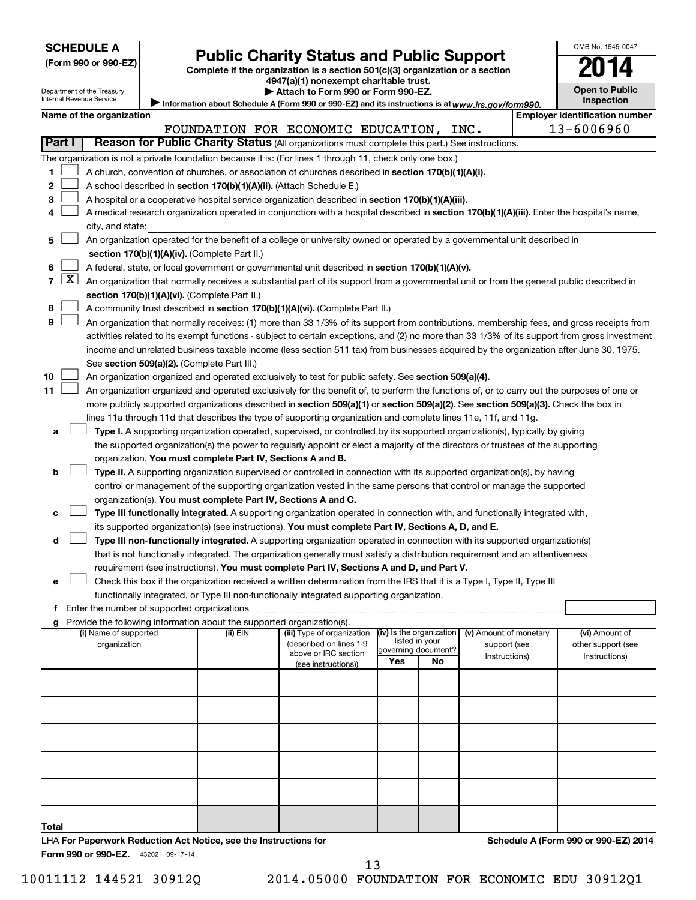| <b>SCHEDULE A</b> |  |
|-------------------|--|
|-------------------|--|

Department of the Treasury

| (Form 990 or 990-EZ) |  |  |  |
|----------------------|--|--|--|
|----------------------|--|--|--|

# Form 990 or 990-EZ) **Public Charity Status and Public Support** Form 990 or 990-EZ) Complete if the organization is a section 501(c)(3) organization or a section

**4947(a)(1) nonexempt charitable trust. | Attach to Form 990 or Form 990-EZ.** 

| <b>Open to Public</b><br>Inspection |  |
|-------------------------------------|--|

OMB No. 1545-0047

Internal Revenue Service **Information about Schedule A (Form 990 or 990-EZ) and its instructions is at | Name of the organization Employer identification number** *www.irs.gov/form990.*

|    |                     |                                                                                                                                                                                                                                                                                            |          | FOUNDATION FOR ECONOMIC EDUCATION, INC.         |                          |                |                        | 13-6006960         |
|----|---------------------|--------------------------------------------------------------------------------------------------------------------------------------------------------------------------------------------------------------------------------------------------------------------------------------------|----------|-------------------------------------------------|--------------------------|----------------|------------------------|--------------------|
|    | Part I              | Reason for Public Charity Status (All organizations must complete this part.) See instructions.                                                                                                                                                                                            |          |                                                 |                          |                |                        |                    |
|    |                     | The organization is not a private foundation because it is: (For lines 1 through 11, check only one box.)                                                                                                                                                                                  |          |                                                 |                          |                |                        |                    |
| 1. |                     | A church, convention of churches, or association of churches described in section 170(b)(1)(A)(i).                                                                                                                                                                                         |          |                                                 |                          |                |                        |                    |
| 2  |                     | A school described in section 170(b)(1)(A)(ii). (Attach Schedule E.)                                                                                                                                                                                                                       |          |                                                 |                          |                |                        |                    |
| 3  |                     | A hospital or a cooperative hospital service organization described in section 170(b)(1)(A)(iii).                                                                                                                                                                                          |          |                                                 |                          |                |                        |                    |
| 4  |                     | A medical research organization operated in conjunction with a hospital described in section 170(b)(1)(A)(iii). Enter the hospital's name,                                                                                                                                                 |          |                                                 |                          |                |                        |                    |
|    |                     | city, and state:                                                                                                                                                                                                                                                                           |          |                                                 |                          |                |                        |                    |
| 5  |                     | An organization operated for the benefit of a college or university owned or operated by a governmental unit described in                                                                                                                                                                  |          |                                                 |                          |                |                        |                    |
|    |                     | section 170(b)(1)(A)(iv). (Complete Part II.)                                                                                                                                                                                                                                              |          |                                                 |                          |                |                        |                    |
| 6  |                     | A federal, state, or local government or governmental unit described in section 170(b)(1)(A)(v).                                                                                                                                                                                           |          |                                                 |                          |                |                        |                    |
| 7  | $\lfloor x \rfloor$ | An organization that normally receives a substantial part of its support from a governmental unit or from the general public described in                                                                                                                                                  |          |                                                 |                          |                |                        |                    |
| 8  |                     | section 170(b)(1)(A)(vi). (Complete Part II.)                                                                                                                                                                                                                                              |          |                                                 |                          |                |                        |                    |
| 9  |                     | A community trust described in section 170(b)(1)(A)(vi). (Complete Part II.)                                                                                                                                                                                                               |          |                                                 |                          |                |                        |                    |
|    |                     | An organization that normally receives: (1) more than 33 1/3% of its support from contributions, membership fees, and gross receipts from<br>activities related to its exempt functions - subject to certain exceptions, and (2) no more than 33 1/3% of its support from gross investment |          |                                                 |                          |                |                        |                    |
|    |                     | income and unrelated business taxable income (less section 511 tax) from businesses acquired by the organization after June 30, 1975.                                                                                                                                                      |          |                                                 |                          |                |                        |                    |
|    |                     | See section 509(a)(2). (Complete Part III.)                                                                                                                                                                                                                                                |          |                                                 |                          |                |                        |                    |
| 10 |                     | An organization organized and operated exclusively to test for public safety. See section 509(a)(4).                                                                                                                                                                                       |          |                                                 |                          |                |                        |                    |
| 11 |                     | An organization organized and operated exclusively for the benefit of, to perform the functions of, or to carry out the purposes of one or                                                                                                                                                 |          |                                                 |                          |                |                        |                    |
|    |                     | more publicly supported organizations described in section 509(a)(1) or section 509(a)(2). See section 509(a)(3). Check the box in                                                                                                                                                         |          |                                                 |                          |                |                        |                    |
|    |                     | lines 11a through 11d that describes the type of supporting organization and complete lines 11e, 11f, and 11g.                                                                                                                                                                             |          |                                                 |                          |                |                        |                    |
| а  |                     | Type I. A supporting organization operated, supervised, or controlled by its supported organization(s), typically by giving                                                                                                                                                                |          |                                                 |                          |                |                        |                    |
|    |                     | the supported organization(s) the power to regularly appoint or elect a majority of the directors or trustees of the supporting                                                                                                                                                            |          |                                                 |                          |                |                        |                    |
|    |                     | organization. You must complete Part IV, Sections A and B.                                                                                                                                                                                                                                 |          |                                                 |                          |                |                        |                    |
| b  |                     | Type II. A supporting organization supervised or controlled in connection with its supported organization(s), by having                                                                                                                                                                    |          |                                                 |                          |                |                        |                    |
|    |                     | control or management of the supporting organization vested in the same persons that control or manage the supported                                                                                                                                                                       |          |                                                 |                          |                |                        |                    |
|    |                     | organization(s). You must complete Part IV, Sections A and C.                                                                                                                                                                                                                              |          |                                                 |                          |                |                        |                    |
| с  |                     | Type III functionally integrated. A supporting organization operated in connection with, and functionally integrated with,                                                                                                                                                                 |          |                                                 |                          |                |                        |                    |
|    |                     | its supported organization(s) (see instructions). You must complete Part IV, Sections A, D, and E.                                                                                                                                                                                         |          |                                                 |                          |                |                        |                    |
| d  |                     | Type III non-functionally integrated. A supporting organization operated in connection with its supported organization(s)<br>that is not functionally integrated. The organization generally must satisfy a distribution requirement and an attentiveness                                  |          |                                                 |                          |                |                        |                    |
|    |                     | requirement (see instructions). You must complete Part IV, Sections A and D, and Part V.                                                                                                                                                                                                   |          |                                                 |                          |                |                        |                    |
| е  |                     | Check this box if the organization received a written determination from the IRS that it is a Type I, Type II, Type III                                                                                                                                                                    |          |                                                 |                          |                |                        |                    |
|    |                     | functionally integrated, or Type III non-functionally integrated supporting organization.                                                                                                                                                                                                  |          |                                                 |                          |                |                        |                    |
| Ť. |                     | Enter the number of supported organizations                                                                                                                                                                                                                                                |          |                                                 |                          |                |                        |                    |
| g  |                     | Provide the following information about the supported organization(s).                                                                                                                                                                                                                     |          |                                                 |                          |                |                        |                    |
|    |                     | (i) Name of supported                                                                                                                                                                                                                                                                      | (ii) EIN | (iii) Type of organization                      | (iv) Is the organization | listed in your | (v) Amount of monetary | (vi) Amount of     |
|    |                     | organization                                                                                                                                                                                                                                                                               |          | (described on lines 1-9<br>above or IRC section | governing document?      |                | support (see           | other support (see |
|    |                     |                                                                                                                                                                                                                                                                                            |          | (see instructions))                             | Yes                      | No             | Instructions)          | Instructions)      |
|    |                     |                                                                                                                                                                                                                                                                                            |          |                                                 |                          |                |                        |                    |
|    |                     |                                                                                                                                                                                                                                                                                            |          |                                                 |                          |                |                        |                    |
|    |                     |                                                                                                                                                                                                                                                                                            |          |                                                 |                          |                |                        |                    |
|    |                     |                                                                                                                                                                                                                                                                                            |          |                                                 |                          |                |                        |                    |
|    |                     |                                                                                                                                                                                                                                                                                            |          |                                                 |                          |                |                        |                    |
|    |                     |                                                                                                                                                                                                                                                                                            |          |                                                 |                          |                |                        |                    |
|    |                     |                                                                                                                                                                                                                                                                                            |          |                                                 |                          |                |                        |                    |
|    |                     |                                                                                                                                                                                                                                                                                            |          |                                                 |                          |                |                        |                    |
|    |                     |                                                                                                                                                                                                                                                                                            |          |                                                 |                          |                |                        |                    |
|    |                     |                                                                                                                                                                                                                                                                                            |          |                                                 |                          |                |                        |                    |

**Total**

432021 09-17-14 **Form 990 or 990-EZ.** LHA **For Paperwork Reduction Act Notice, see the Instructions for**  **Schedule A (Form 990 or 990-EZ) 2014**

13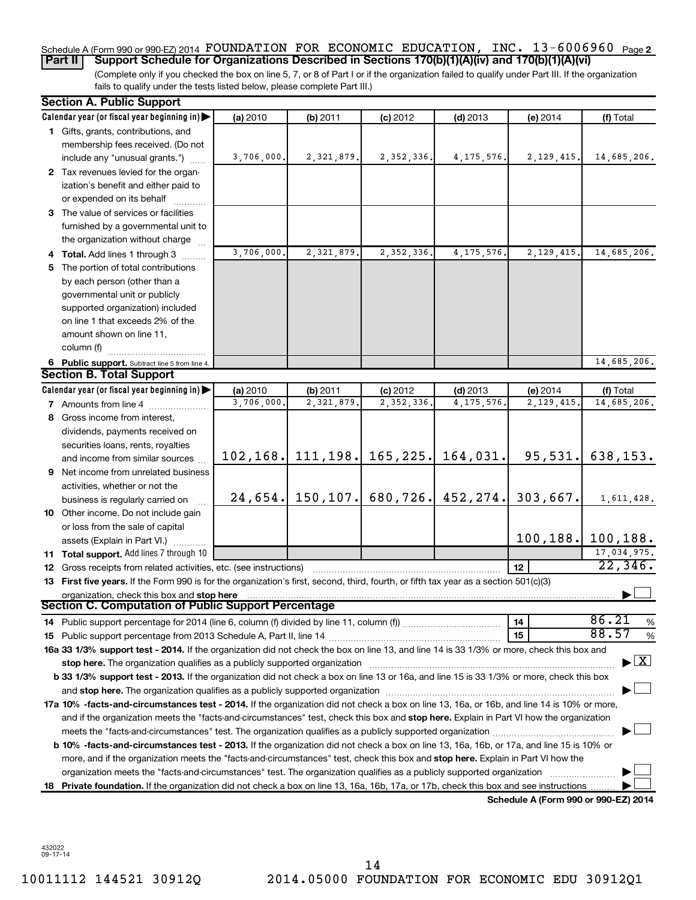#### **2** Schedule A (Form 990 or 990-EZ) 2014 Page FOUNDATION FOR ECONOMIC EDUCATION, INC. 13-6006960 **Part II** | Support Schedule for Organizations Described in Sections 170(b)(1)(A)(iv) and 170(b)(1)(A)(vi)

(Complete only if you checked the box on line 5, 7, or 8 of Part I or if the organization failed to qualify under Part III. If the organization fails to qualify under the tests listed below, please complete Part III.)

| <b>Section A. Public Support</b>                                                                                                                                                                                               |            |                          |                       |                            |                                      |                                    |
|--------------------------------------------------------------------------------------------------------------------------------------------------------------------------------------------------------------------------------|------------|--------------------------|-----------------------|----------------------------|--------------------------------------|------------------------------------|
| Calendar year (or fiscal year beginning in)                                                                                                                                                                                    | (a) 2010   | (b) 2011                 | $(c)$ 2012            | $(d)$ 2013                 | (e) 2014                             | (f) Total                          |
| 1 Gifts, grants, contributions, and                                                                                                                                                                                            |            |                          |                       |                            |                                      |                                    |
| membership fees received. (Do not                                                                                                                                                                                              |            |                          |                       |                            |                                      |                                    |
| include any "unusual grants.")                                                                                                                                                                                                 | 3,706,000. | 2,321,879.               | 2, 352, 336.          | 4, 175, 576.               | 2, 129, 415.                         | 14,685,206.                        |
| 2 Tax revenues levied for the organ-                                                                                                                                                                                           |            |                          |                       |                            |                                      |                                    |
| ization's benefit and either paid to                                                                                                                                                                                           |            |                          |                       |                            |                                      |                                    |
| or expended on its behalf                                                                                                                                                                                                      |            |                          |                       |                            |                                      |                                    |
| 3 The value of services or facilities                                                                                                                                                                                          |            |                          |                       |                            |                                      |                                    |
| furnished by a governmental unit to                                                                                                                                                                                            |            |                          |                       |                            |                                      |                                    |
| the organization without charge                                                                                                                                                                                                |            |                          |                       |                            |                                      |                                    |
| 4 Total. Add lines 1 through 3                                                                                                                                                                                                 | 3,706,000. | 2,321,879.               | 2, 352, 336.          | 4, 175, 576.               | 2,129,415                            | 14,685,206.                        |
| 5 The portion of total contributions                                                                                                                                                                                           |            |                          |                       |                            |                                      |                                    |
| by each person (other than a                                                                                                                                                                                                   |            |                          |                       |                            |                                      |                                    |
| governmental unit or publicly                                                                                                                                                                                                  |            |                          |                       |                            |                                      |                                    |
| supported organization) included                                                                                                                                                                                               |            |                          |                       |                            |                                      |                                    |
| on line 1 that exceeds 2% of the                                                                                                                                                                                               |            |                          |                       |                            |                                      |                                    |
| amount shown on line 11,                                                                                                                                                                                                       |            |                          |                       |                            |                                      |                                    |
| column (f)                                                                                                                                                                                                                     |            |                          |                       |                            |                                      |                                    |
| 6 Public support. Subtract line 5 from line 4.<br><b>Section B. Total Support</b>                                                                                                                                              |            |                          |                       |                            |                                      | 14,685,206.                        |
| Calendar year (or fiscal year beginning in)                                                                                                                                                                                    | (a) 2010   |                          |                       |                            |                                      | (f) Total                          |
| <b>7</b> Amounts from line 4                                                                                                                                                                                                   | 3,706,000. | (b) 2011<br>2, 321, 879. | (c) 2012<br>2,352,336 | $(d)$ 2013<br>4, 175, 576. | (e) 2014<br>2, 129, 415              | 14,685,206.                        |
| 8 Gross income from interest,                                                                                                                                                                                                  |            |                          |                       |                            |                                      |                                    |
| dividends, payments received on                                                                                                                                                                                                |            |                          |                       |                            |                                      |                                    |
| securities loans, rents, royalties                                                                                                                                                                                             |            |                          |                       |                            |                                      |                                    |
| and income from similar sources                                                                                                                                                                                                |            | $102, 168$ , 111, 198,   | 165, 225.             | 164,031.                   | 95,531.                              | 638,153.                           |
| 9 Net income from unrelated business                                                                                                                                                                                           |            |                          |                       |                            |                                      |                                    |
| activities, whether or not the                                                                                                                                                                                                 |            |                          |                       |                            |                                      |                                    |
| business is regularly carried on                                                                                                                                                                                               |            | $24,654.$ 150,107.       | 680, 726.             | 452,274.                   | 303,667.                             | 1,611,428.                         |
| 10 Other income. Do not include gain                                                                                                                                                                                           |            |                          |                       |                            |                                      |                                    |
| or loss from the sale of capital                                                                                                                                                                                               |            |                          |                       |                            |                                      |                                    |
| assets (Explain in Part VI.)                                                                                                                                                                                                   |            |                          |                       |                            | 100, 188.                            | 100, 188.                          |
| 11 Total support. Add lines 7 through 10                                                                                                                                                                                       |            |                          |                       |                            |                                      | 17,034,975.                        |
| <b>12</b> Gross receipts from related activities, etc. (see instructions)                                                                                                                                                      |            |                          |                       |                            | 12                                   | 22, 346.                           |
| 13 First five years. If the Form 990 is for the organization's first, second, third, fourth, or fifth tax year as a section 501(c)(3)                                                                                          |            |                          |                       |                            |                                      |                                    |
| organization, check this box and stop here                                                                                                                                                                                     |            |                          |                       |                            |                                      |                                    |
| Section C. Computation of Public Support Percentage                                                                                                                                                                            |            |                          |                       |                            |                                      |                                    |
|                                                                                                                                                                                                                                |            |                          |                       |                            | 14                                   | 86.21<br>%                         |
|                                                                                                                                                                                                                                |            |                          |                       |                            | 15                                   | 88.57<br>%                         |
| 16a 33 1/3% support test - 2014. If the organization did not check the box on line 13, and line 14 is 33 1/3% or more, check this box and                                                                                      |            |                          |                       |                            |                                      |                                    |
| stop here. The organization qualifies as a publicly supported organization manufactured content and the content of the state of the state of the state of the state of the state of the state of the state of the state of the |            |                          |                       |                            |                                      | $\blacktriangleright$ $\mathbf{X}$ |
| b 33 1/3% support test - 2013. If the organization did not check a box on line 13 or 16a, and line 15 is 33 1/3% or more, check this box                                                                                       |            |                          |                       |                            |                                      |                                    |
|                                                                                                                                                                                                                                |            |                          |                       |                            |                                      |                                    |
| 17a 10% -facts-and-circumstances test - 2014. If the organization did not check a box on line 13, 16a, or 16b, and line 14 is 10% or more,                                                                                     |            |                          |                       |                            |                                      |                                    |
| and if the organization meets the "facts-and-circumstances" test, check this box and stop here. Explain in Part VI how the organization                                                                                        |            |                          |                       |                            |                                      |                                    |
|                                                                                                                                                                                                                                |            |                          |                       |                            |                                      |                                    |
| b 10% -facts-and-circumstances test - 2013. If the organization did not check a box on line 13, 16a, 16b, or 17a, and line 15 is 10% or                                                                                        |            |                          |                       |                            |                                      |                                    |
| more, and if the organization meets the "facts-and-circumstances" test, check this box and stop here. Explain in Part VI how the                                                                                               |            |                          |                       |                            |                                      |                                    |
| organization meets the "facts-and-circumstances" test. The organization qualifies as a publicly supported organization                                                                                                         |            |                          |                       |                            |                                      |                                    |
| 18 Private foundation. If the organization did not check a box on line 13, 16a, 16b, 17a, or 17b, check this box and see instructions.                                                                                         |            |                          |                       |                            |                                      |                                    |
|                                                                                                                                                                                                                                |            |                          |                       |                            | Schedule A (Form 990 or 990-EZ) 2014 |                                    |

432022 09-17-14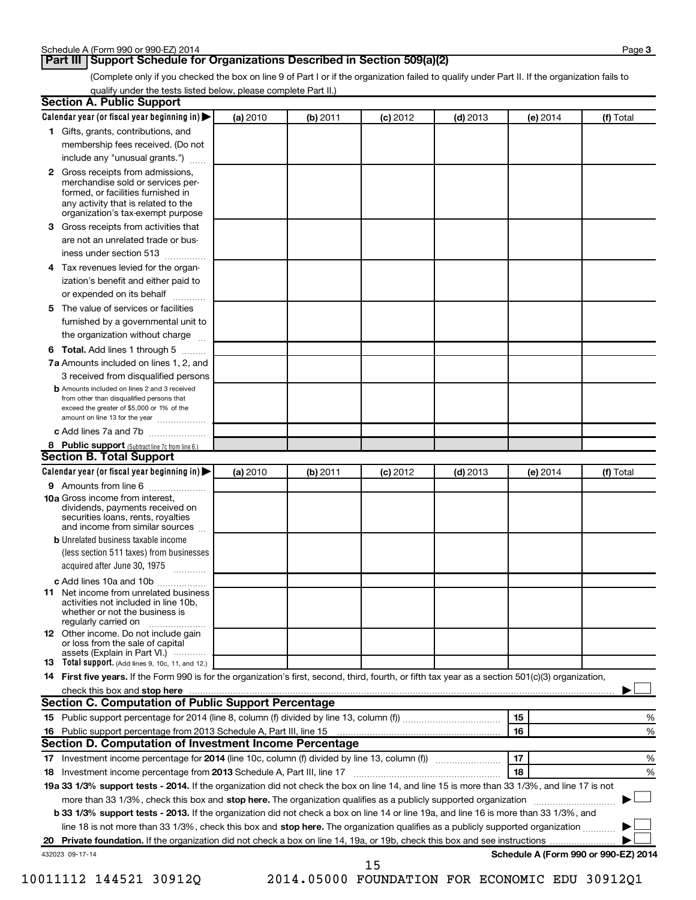#### **Part III | Support Schedule for Organizations Described in Section 509(a)(2)**

(Complete only if you checked the box on line 9 of Part I or if the organization failed to qualify under Part II. If the organization fails to qualify under the tests listed below, please complete Part II.)

| <b>Section A. Public Support</b>                                                                                                                                                 |          |          |            |            |                                      |           |
|----------------------------------------------------------------------------------------------------------------------------------------------------------------------------------|----------|----------|------------|------------|--------------------------------------|-----------|
| Calendar year (or fiscal year beginning in)                                                                                                                                      | (a) 2010 | (b) 2011 | $(c)$ 2012 | $(d)$ 2013 | (e) 2014                             | (f) Total |
| 1 Gifts, grants, contributions, and                                                                                                                                              |          |          |            |            |                                      |           |
| membership fees received. (Do not                                                                                                                                                |          |          |            |            |                                      |           |
| include any "unusual grants.")                                                                                                                                                   |          |          |            |            |                                      |           |
| 2 Gross receipts from admissions,<br>merchandise sold or services per-<br>formed, or facilities furnished in<br>any activity that is related to the                              |          |          |            |            |                                      |           |
| organization's tax-exempt purpose                                                                                                                                                |          |          |            |            |                                      |           |
| 3 Gross receipts from activities that                                                                                                                                            |          |          |            |            |                                      |           |
| are not an unrelated trade or bus-                                                                                                                                               |          |          |            |            |                                      |           |
| iness under section 513                                                                                                                                                          |          |          |            |            |                                      |           |
| 4 Tax revenues levied for the organ-                                                                                                                                             |          |          |            |            |                                      |           |
| ization's benefit and either paid to<br>or expended on its behalf<br>.                                                                                                           |          |          |            |            |                                      |           |
| 5 The value of services or facilities                                                                                                                                            |          |          |            |            |                                      |           |
| furnished by a governmental unit to                                                                                                                                              |          |          |            |            |                                      |           |
| the organization without charge                                                                                                                                                  |          |          |            |            |                                      |           |
| 6 Total. Add lines 1 through 5                                                                                                                                                   |          |          |            |            |                                      |           |
| 7a Amounts included on lines 1, 2, and                                                                                                                                           |          |          |            |            |                                      |           |
| 3 received from disqualified persons                                                                                                                                             |          |          |            |            |                                      |           |
| <b>b</b> Amounts included on lines 2 and 3 received<br>from other than disqualified persons that<br>exceed the greater of \$5,000 or 1% of the<br>amount on line 13 for the year |          |          |            |            |                                      |           |
| c Add lines 7a and 7b                                                                                                                                                            |          |          |            |            |                                      |           |
| 8 Public support (Subtract line 7c from line 6.)<br><b>Section B. Total Support</b>                                                                                              |          |          |            |            |                                      |           |
| Calendar year (or fiscal year beginning in)                                                                                                                                      | (a) 2010 | (b) 2011 | $(c)$ 2012 | $(d)$ 2013 | (e) 2014                             | (f) Total |
| 9 Amounts from line 6                                                                                                                                                            |          |          |            |            |                                      |           |
| <b>10a</b> Gross income from interest,<br>dividends, payments received on<br>securities loans, rents, royalties<br>and income from similar sources                               |          |          |            |            |                                      |           |
| <b>b</b> Unrelated business taxable income                                                                                                                                       |          |          |            |            |                                      |           |
| (less section 511 taxes) from businesses                                                                                                                                         |          |          |            |            |                                      |           |
| acquired after June 30, 1975<br>$\overline{\phantom{a}}$                                                                                                                         |          |          |            |            |                                      |           |
| c Add lines 10a and 10b                                                                                                                                                          |          |          |            |            |                                      |           |
| <b>11</b> Net income from unrelated business<br>activities not included in line 10b,<br>whether or not the business is<br>regularly carried on                                   |          |          |            |            |                                      |           |
| 12 Other income. Do not include gain<br>or loss from the sale of capital<br>assets (Explain in Part VI.)                                                                         |          |          |            |            |                                      |           |
| <b>13</b> Total support. (Add lines 9, 10c, 11, and 12.)                                                                                                                         |          |          |            |            |                                      |           |
| 14 First five years. If the Form 990 is for the organization's first, second, third, fourth, or fifth tax year as a section 501(c)(3) organization,                              |          |          |            |            |                                      |           |
| check this box and stop here                                                                                                                                                     |          |          |            |            |                                      |           |
| <b>Section C. Computation of Public Support Percentage</b>                                                                                                                       |          |          |            |            |                                      |           |
|                                                                                                                                                                                  |          |          |            |            | 15                                   | %         |
|                                                                                                                                                                                  |          |          |            |            | 16                                   | %         |
| Section D. Computation of Investment Income Percentage                                                                                                                           |          |          |            |            |                                      |           |
|                                                                                                                                                                                  |          |          |            |            | 17                                   | %         |
| 18 Investment income percentage from 2013 Schedule A, Part III, line 17                                                                                                          |          |          |            |            | 18                                   | %         |
| 19a 33 1/3% support tests - 2014. If the organization did not check the box on line 14, and line 15 is more than 33 1/3%, and line 17 is not                                     |          |          |            |            |                                      |           |
| more than 33 1/3%, check this box and stop here. The organization qualifies as a publicly supported organization                                                                 |          |          |            |            |                                      |           |
| b 33 1/3% support tests - 2013. If the organization did not check a box on line 14 or line 19a, and line 16 is more than 33 1/3%, and                                            |          |          |            |            |                                      |           |
| line 18 is not more than 33 1/3%, check this box and stop here. The organization qualifies as a publicly supported organization                                                  |          |          |            |            |                                      |           |
|                                                                                                                                                                                  |          |          |            |            |                                      |           |
| 432023 09-17-14                                                                                                                                                                  |          |          | 15         |            | Schedule A (Form 990 or 990-EZ) 2014 |           |

| or 2014 (line 8, column (f) divided by line 13, column (f))                                                    | 15 | Yo |
|----------------------------------------------------------------------------------------------------------------|----|----|
|                                                                                                                | 16 | %  |
| of Investment Income Percentage                                                                                |    |    |
| ge for 2014 (line 10c, column (f) divided by line 13, column (f))                                              |    | %  |
| ge from 2013 Schedule A, Part III, line 17                                                                     | 18 | %  |
| 14. If the organization did not check the box on line 14, and line 15 is more than 33 1/3%, and line 17 is not |    |    |
| his box and stop here. The organization qualifies as a publicly supported organization                         |    |    |
| 13. If the organization did not check a box on line 14 or line 19a, and line 16 is more than 33 1/3%, and      |    |    |
| /3%, check this box and stop here. The organization qualifies as a publicly supported organization             |    |    |

10011112 144521 30912Q 2014.05000 FOUNDATION FOR ECONOMIC EDU 30912Q1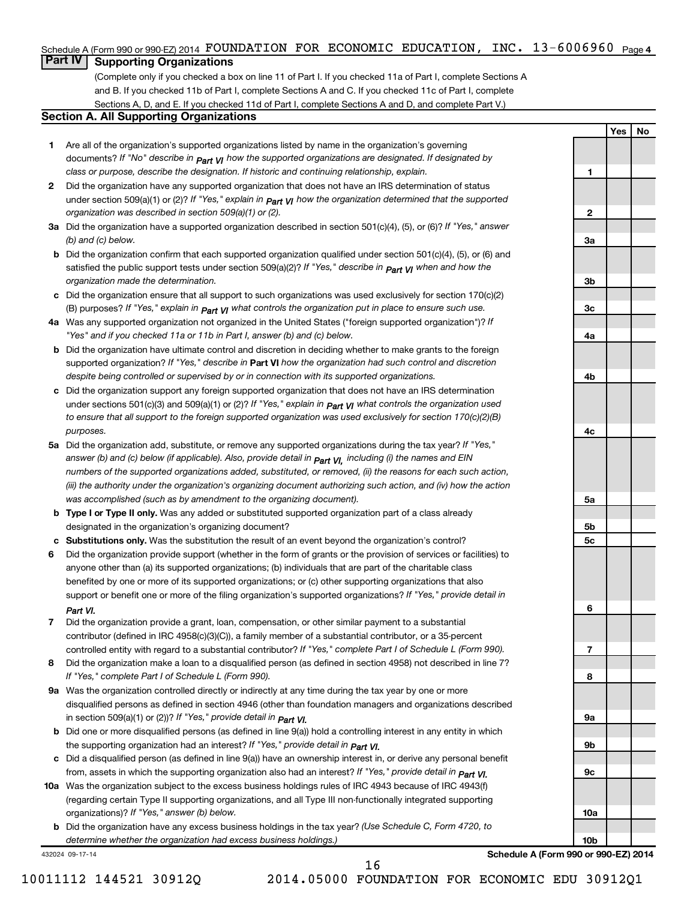#### **4** Schedule A (Form 990 or 990-EZ) 2014 Page FOUNDATION FOR ECONOMIC EDUCATION, INC. 13-6006960

### **Part IV Supporting Organizations**

(Complete only if you checked a box on line 11 of Part I. If you checked 11a of Part I, complete Sections A and B. If you checked 11b of Part I, complete Sections A and C. If you checked 11c of Part I, complete Sections A, D, and E. If you checked 11d of Part I, complete Sections A and D, and complete Part V.)

#### **Section A. All Supporting Organizations**

- **1** Are all of the organization's supported organizations listed by name in the organization's governing documents? If "No" describe in  $_{\rm Part}$   $_{\rm VI}$  how the supported organizations are designated. If designated by *class or purpose, describe the designation. If historic and continuing relationship, explain.*
- **2** Did the organization have any supported organization that does not have an IRS determination of status under section 509(a)(1) or (2)? If "Yes," explain in  $_{\sf Part}$   $_{\sf VI}$  how the organization determined that the supported *organization was described in section 509(a)(1) or (2).*
- **3a** Did the organization have a supported organization described in section 501(c)(4), (5), or (6)? If "Yes," answer *(b) and (c) below.*
- **b** Did the organization confirm that each supported organization qualified under section 501(c)(4), (5), or (6) and satisfied the public support tests under section 509(a)(2)? If "Yes," describe in  $_{\textit{Part}}$   $_{\textit{V}}$ I when and how the *organization made the determination.*
- **c** Did the organization ensure that all support to such organizations was used exclusively for section 170(c)(2) *If "Yes," explain in what controls the organization put in place to ensure such use.* (B) purposes? *Part VI*
- **4 a** *If* Was any supported organization not organized in the United States ("foreign supported organization")? *"Yes" and if you checked 11a or 11b in Part I, answer (b) and (c) below.*
- **b** Did the organization have ultimate control and discretion in deciding whether to make grants to the foreign supported organization? If "Yes," describe in Part VI how the organization had such control and discretion *despite being controlled or supervised by or in connection with its supported organizations.*
- **c** Did the organization support any foreign supported organization that does not have an IRS determination under sections 501(c)(3) and 509(a)(1) or (2)? If "Yes," explain in  $_{\sf Part}$   $_{\sf VI}$  what controls the organization used *to ensure that all support to the foreign supported organization was used exclusively for section 170(c)(2)(B) purposes.*
- **5a** Did the organization add, substitute, or remove any supported organizations during the tax year? If "Yes," answer (b) and (c) below (if applicable). Also, provide detail in  $_{\mathsf{Part}}$   $_{\mathsf{V{\mathsf{I}}}}$ , including (i) the names and EIN *numbers of the supported organizations added, substituted, or removed, (ii) the reasons for each such action, (iii) the authority under the organization's organizing document authorizing such action, and (iv) how the action was accomplished (such as by amendment to the organizing document).*
- **b Type I or Type II only.** Was any added or substituted supported organization part of a class already designated in the organization's organizing document?
- **c Substitutions only.**  Was the substitution the result of an event beyond the organization's control?
- **6** Did the organization provide support (whether in the form of grants or the provision of services or facilities) to support or benefit one or more of the filing organization's supported organizations? If "Yes," provide detail in anyone other than (a) its supported organizations; (b) individuals that are part of the charitable class benefited by one or more of its supported organizations; or (c) other supporting organizations that also *Part VI.*
- **7** Did the organization provide a grant, loan, compensation, or other similar payment to a substantial controlled entity with regard to a substantial contributor? If "Yes," complete Part I of Schedule L (Form 990). contributor (defined in IRC 4958(c)(3)(C)), a family member of a substantial contributor, or a 35-percent
- **8** Did the organization make a loan to a disqualified person (as defined in section 4958) not described in line 7? *If "Yes," complete Part I of Schedule L (Form 990).*
- **9 a** Was the organization controlled directly or indirectly at any time during the tax year by one or more *If "Yes," provide detail in*  in section 509(a)(1) or (2))? *Part VI.* disqualified persons as defined in section 4946 (other than foundation managers and organizations described
- **b** Did one or more disqualified persons (as defined in line 9(a)) hold a controlling interest in any entity in which  *If "Yes," provide detail in*  the supporting organization had an interest? *Part VI.*
- **c** Did a disqualified person (as defined in line 9(a)) have an ownership interest in, or derive any personal benefit from, assets in which the supporting organization also had an interest? If "Yes," *provide detail in Part VI.*
- **10 a** Was the organization subject to the excess business holdings rules of IRC 4943 because of IRC 4943(f)  *If "Yes," answer (b) below.* organizations)? (regarding certain Type II supporting organizations, and all Type III non-functionally integrated supporting
- **b** Did the organization have any excess business holdings in the tax year? (Use Schedule C, Form 4720, to *determine whether the organization had excess business holdings.)*

432024 09-17-14

**Schedule A (Form 990 or 990-EZ) 2014**

**Yes No**

**1**

**2**

**3a**

**3b**

**3c**

**4a**

**4b**

**4c**

**5a**

**5b 5c**

**6**

**7**

**8**

**9a**

**9b**

**9c**

**10a**

**10b**

10011112 144521 30912Q 2014.05000 FOUNDATION FOR ECONOMIC EDU 30912Q1

16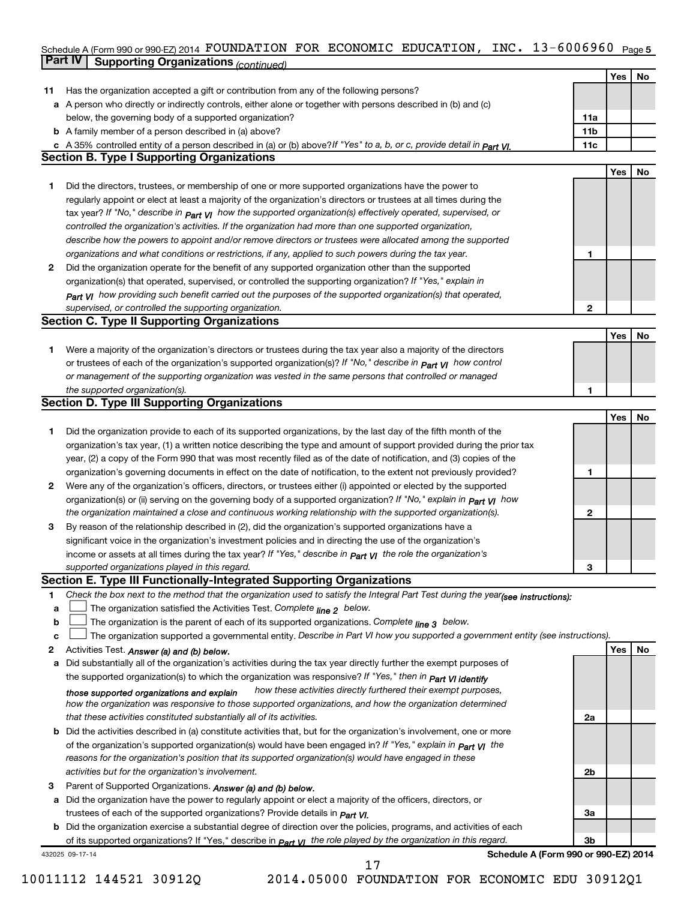#### Schedule A (Form 990 or 990-EZ) 2014 POUNDA'I'LON P'OR ECONOMIC EDUCA'I'LON, INC。【3-6 UU6 9 6 U Page 5 **Part IV Supporting Organizations** *(continued)* FOUNDATION FOR ECONOMIC EDUCATION, INC. 13-6006960

|              |                                                                                                                                  |                | Yes | No |
|--------------|----------------------------------------------------------------------------------------------------------------------------------|----------------|-----|----|
| 11           | Has the organization accepted a gift or contribution from any of the following persons?                                          |                |     |    |
|              | a A person who directly or indirectly controls, either alone or together with persons described in (b) and (c)                   |                |     |    |
|              | below, the governing body of a supported organization?                                                                           | 11a            |     |    |
|              | <b>b</b> A family member of a person described in (a) above?                                                                     | 11b            |     |    |
|              | c A 35% controlled entity of a person described in (a) or (b) above? If "Yes" to a, b, or c, provide detail in part VI.          | 11c            |     |    |
|              | <b>Section B. Type I Supporting Organizations</b>                                                                                |                |     |    |
|              |                                                                                                                                  |                | Yes | No |
| 1            | Did the directors, trustees, or membership of one or more supported organizations have the power to                              |                |     |    |
|              | regularly appoint or elect at least a majority of the organization's directors or trustees at all times during the               |                |     |    |
|              | tax year? If "No," describe in $p_{art}$ VI how the supported organization(s) effectively operated, supervised, or               |                |     |    |
|              | controlled the organization's activities. If the organization had more than one supported organization,                          |                |     |    |
|              | describe how the powers to appoint and/or remove directors or trustees were allocated among the supported                        |                |     |    |
|              | organizations and what conditions or restrictions, if any, applied to such powers during the tax year.                           | 1              |     |    |
| 2            | Did the organization operate for the benefit of any supported organization other than the supported                              |                |     |    |
|              | organization(s) that operated, supervised, or controlled the supporting organization? If "Yes," explain in                       |                |     |    |
|              | Part VI how providing such benefit carried out the purposes of the supported organization(s) that operated,                      |                |     |    |
|              | supervised, or controlled the supporting organization.                                                                           | $\mathbf{2}$   |     |    |
|              | <b>Section C. Type II Supporting Organizations</b>                                                                               |                |     |    |
|              |                                                                                                                                  |                | Yes | No |
| 1            | Were a majority of the organization's directors or trustees during the tax year also a majority of the directors                 |                |     |    |
|              | or trustees of each of the organization's supported organization(s)? If "No," describe in <b>Part VI</b> how control             |                |     |    |
|              | or management of the supporting organization was vested in the same persons that controlled or managed                           |                |     |    |
|              | the supported organization(s).                                                                                                   | 1              |     |    |
|              | <b>Section D. Type III Supporting Organizations</b>                                                                              |                |     |    |
|              |                                                                                                                                  |                | Yes | No |
| 1            | Did the organization provide to each of its supported organizations, by the last day of the fifth month of the                   |                |     |    |
|              | organization's tax year, (1) a written notice describing the type and amount of support provided during the prior tax            |                |     |    |
|              | year, (2) a copy of the Form 990 that was most recently filed as of the date of notification, and (3) copies of the              |                |     |    |
|              | organization's governing documents in effect on the date of notification, to the extent not previously provided?                 | 1              |     |    |
| $\mathbf{2}$ | Were any of the organization's officers, directors, or trustees either (i) appointed or elected by the supported                 |                |     |    |
|              | organization(s) or (ii) serving on the governing body of a supported organization? If "No," explain in part VI how               |                |     |    |
|              | the organization maintained a close and continuous working relationship with the supported organization(s).                      | 2              |     |    |
| 3            | By reason of the relationship described in (2), did the organization's supported organizations have a                            |                |     |    |
|              | significant voice in the organization's investment policies and in directing the use of the organization's                       |                |     |    |
|              | income or assets at all times during the tax year? If "Yes," describe in $P_{art}$ $V_I$ the role the organization's             |                |     |    |
|              | supported organizations played in this regard.                                                                                   | 3              |     |    |
|              | Section E. Type III Functionally-Integrated Supporting Organizations                                                             |                |     |    |
| 1            | Check the box next to the method that the organization used to satisfy the Integral Part Test during the year(see instructions): |                |     |    |
| a            | The organization satisfied the Activities Test. Complete line 2 below.                                                           |                |     |    |
| b            | The organization is the parent of each of its supported organizations. Complete $_{\text{line 3}}$ below.                        |                |     |    |
| c            | The organization supported a governmental entity. Describe in Part VI how you supported a government entity (see instructions).  |                |     |    |
| 2            | Activities Test. Answer (a) and (b) below.                                                                                       |                | Yes | No |
| a            | Did substantially all of the organization's activities during the tax year directly further the exempt purposes of               |                |     |    |
|              | the supported organization(s) to which the organization was responsive? If "Yes," then in Part VI identify                       |                |     |    |
|              | how these activities directly furthered their exempt purposes,<br>those supported organizations and explain                      |                |     |    |
|              | how the organization was responsive to those supported organizations, and how the organization determined                        |                |     |    |
|              | that these activities constituted substantially all of its activities.                                                           | 2a             |     |    |
|              | b Did the activities described in (a) constitute activities that, but for the organization's involvement, one or more            |                |     |    |
|              | of the organization's supported organization(s) would have been engaged in? If "Yes," explain in part VI the                     |                |     |    |
|              | reasons for the organization's position that its supported organization(s) would have engaged in these                           |                |     |    |
|              | activities but for the organization's involvement.                                                                               | 2b             |     |    |
| з            | Parent of Supported Organizations. Answer (a) and (b) below.                                                                     |                |     |    |
|              | a Did the organization have the power to regularly appoint or elect a majority of the officers, directors, or                    |                |     |    |
|              | trustees of each of the supported organizations? Provide details in Part VI.                                                     | За             |     |    |
|              | <b>b</b> Did the organization exercise a substantial degree of direction over the policies, programs, and activities of each     |                |     |    |
|              | of its supported organizations? If "Yes," describe in $Part$ $VI$ the role played by the organization in this regard.            | 3 <sub>b</sub> |     |    |
|              | Schedule A (Form 990 or 990-EZ) 2014<br>432025 09-17-14                                                                          |                |     |    |
|              | 17                                                                                                                               |                |     |    |

10011112 144521 30912Q 2014.05000 FOUNDATION FOR ECONOMIC EDU 30912Q1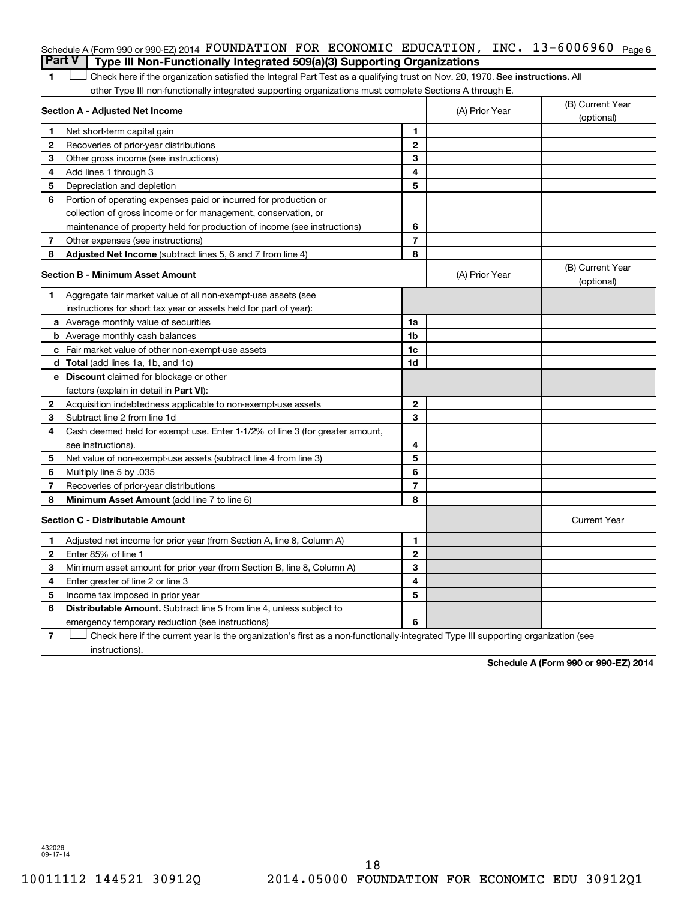|   | Schedule A (Form 990 or 990-EZ) 2014 FOUNDATION FOR ECONOMIC EDUCATION, INC. $13-6006960$ Page 6                              |                |                |                                |
|---|-------------------------------------------------------------------------------------------------------------------------------|----------------|----------------|--------------------------------|
|   | <b>Part V</b><br>Type III Non-Functionally Integrated 509(a)(3) Supporting Organizations                                      |                |                |                                |
| 1 | Check here if the organization satisfied the Integral Part Test as a qualifying trust on Nov. 20, 1970. See instructions. All |                |                |                                |
|   | other Type III non-functionally integrated supporting organizations must complete Sections A through E.                       |                |                |                                |
|   | Section A - Adjusted Net Income                                                                                               |                | (A) Prior Year | (B) Current Year<br>(optional) |
| 1 | Net short-term capital gain                                                                                                   | 1              |                |                                |
| 2 | Recoveries of prior-year distributions                                                                                        | $\overline{2}$ |                |                                |
| З | Other gross income (see instructions)                                                                                         | 3              |                |                                |
| 4 | Add lines 1 through 3                                                                                                         | 4              |                |                                |
| 5 | Depreciation and depletion                                                                                                    | 5              |                |                                |
| 6 | Portion of operating expenses paid or incurred for production or                                                              |                |                |                                |
|   | collection of gross income or for management, conservation, or                                                                |                |                |                                |
|   | maintenance of property held for production of income (see instructions)                                                      | 6              |                |                                |
| 7 | Other expenses (see instructions)                                                                                             | $\overline{7}$ |                |                                |
| 8 | Adjusted Net Income (subtract lines 5, 6 and 7 from line 4)                                                                   | 8              |                |                                |
|   | <b>Section B - Minimum Asset Amount</b>                                                                                       |                | (A) Prior Year | (B) Current Year<br>(optional) |
| 1 | Aggregate fair market value of all non-exempt-use assets (see                                                                 |                |                |                                |
|   | instructions for short tax year or assets held for part of year):                                                             |                |                |                                |
|   | <b>a</b> Average monthly value of securities                                                                                  | 1a             |                |                                |
|   | <b>b</b> Average monthly cash balances                                                                                        | 1 <sub>b</sub> |                |                                |
|   | <b>c</b> Fair market value of other non-exempt-use assets                                                                     | 1c             |                |                                |
|   | d Total (add lines 1a, 1b, and 1c)                                                                                            | 1d             |                |                                |
|   | e Discount claimed for blockage or other                                                                                      |                |                |                                |
|   | factors (explain in detail in <b>Part VI</b> ):                                                                               |                |                |                                |
| 2 | Acquisition indebtedness applicable to non-exempt-use assets                                                                  | $\mathbf{2}$   |                |                                |
| 3 | Subtract line 2 from line 1d                                                                                                  | 3              |                |                                |
| 4 | Cash deemed held for exempt use. Enter 1-1/2% of line 3 (for greater amount,                                                  |                |                |                                |
|   | see instructions).                                                                                                            | 4              |                |                                |
| 5 | Net value of non-exempt-use assets (subtract line 4 from line 3)                                                              | 5              |                |                                |
| 6 | Multiply line 5 by .035                                                                                                       | 6              |                |                                |
| 7 | Recoveries of prior-year distributions                                                                                        | $\overline{7}$ |                |                                |
| 8 | <b>Minimum Asset Amount (add line 7 to line 6)</b>                                                                            | 8              |                |                                |
|   | <b>Section C - Distributable Amount</b>                                                                                       |                |                | <b>Current Year</b>            |
| 1 | Adjusted net income for prior year (from Section A, line 8, Column A)                                                         | 1              |                |                                |
| 2 | Enter 85% of line 1                                                                                                           | $\overline{2}$ |                |                                |
| З | Minimum asset amount for prior year (from Section B, line 8, Column A)                                                        | 3              |                |                                |
| 4 | Enter greater of line 2 or line 3                                                                                             | 4              |                |                                |
| 5 | Income tax imposed in prior year                                                                                              | 5              |                |                                |
| 6 | <b>Distributable Amount.</b> Subtract line 5 from line 4, unless subject to                                                   |                |                |                                |
|   | emergency temporary reduction (see instructions)                                                                              | 6              |                |                                |
|   |                                                                                                                               |                |                |                                |

**7** Check here if the current year is the organization's first as a non-functionally-integrated Type III supporting organization (see † instructions).

**Schedule A (Form 990 or 990-EZ) 2014**

432026 09-17-14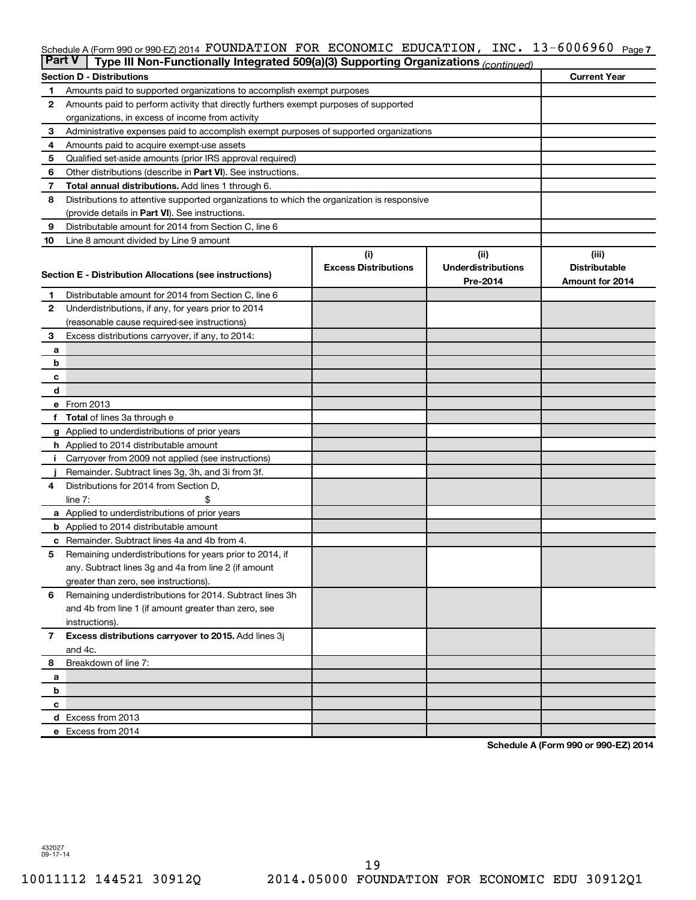#### Schedule A (Form 990 or 990-EZ) 2014 FOUNDATION FOR ECONOMIC EDUCATION, INC. 13-6006960 <sub>Page 7</sub>

| Part V |                                                                                            | Type III Non-Functionally Integrated 509(a)(3) Supporting Organizations (continued)   |                             |                           |                      |  |  |  |  |  |  |  |
|--------|--------------------------------------------------------------------------------------------|---------------------------------------------------------------------------------------|-----------------------------|---------------------------|----------------------|--|--|--|--|--|--|--|
|        |                                                                                            | <b>Section D - Distributions</b>                                                      |                             |                           | <b>Current Year</b>  |  |  |  |  |  |  |  |
| 1      |                                                                                            | Amounts paid to supported organizations to accomplish exempt purposes                 |                             |                           |                      |  |  |  |  |  |  |  |
| 2      |                                                                                            | Amounts paid to perform activity that directly furthers exempt purposes of supported  |                             |                           |                      |  |  |  |  |  |  |  |
|        |                                                                                            | organizations, in excess of income from activity                                      |                             |                           |                      |  |  |  |  |  |  |  |
| 3      |                                                                                            | Administrative expenses paid to accomplish exempt purposes of supported organizations |                             |                           |                      |  |  |  |  |  |  |  |
| 4      | Amounts paid to acquire exempt-use assets                                                  |                                                                                       |                             |                           |                      |  |  |  |  |  |  |  |
| 5      | Qualified set-aside amounts (prior IRS approval required)                                  |                                                                                       |                             |                           |                      |  |  |  |  |  |  |  |
| 6      | Other distributions (describe in <b>Part VI</b> ). See instructions.                       |                                                                                       |                             |                           |                      |  |  |  |  |  |  |  |
| 7      | <b>Total annual distributions.</b> Add lines 1 through 6.                                  |                                                                                       |                             |                           |                      |  |  |  |  |  |  |  |
| 8      | Distributions to attentive supported organizations to which the organization is responsive |                                                                                       |                             |                           |                      |  |  |  |  |  |  |  |
|        |                                                                                            | (provide details in Part VI). See instructions.                                       |                             |                           |                      |  |  |  |  |  |  |  |
| 9      |                                                                                            | Distributable amount for 2014 from Section C, line 6                                  |                             |                           |                      |  |  |  |  |  |  |  |
| 10     |                                                                                            | Line 8 amount divided by Line 9 amount                                                |                             |                           |                      |  |  |  |  |  |  |  |
|        |                                                                                            |                                                                                       | (i)                         | (ii)                      | (iii)                |  |  |  |  |  |  |  |
|        |                                                                                            |                                                                                       | <b>Excess Distributions</b> | <b>Underdistributions</b> | <b>Distributable</b> |  |  |  |  |  |  |  |
|        |                                                                                            | Section E - Distribution Allocations (see instructions)                               |                             | Pre-2014                  | Amount for 2014      |  |  |  |  |  |  |  |
| 1      |                                                                                            | Distributable amount for 2014 from Section C, line 6                                  |                             |                           |                      |  |  |  |  |  |  |  |
| 2      |                                                                                            | Underdistributions, if any, for years prior to 2014                                   |                             |                           |                      |  |  |  |  |  |  |  |
|        |                                                                                            | (reasonable cause required-see instructions)                                          |                             |                           |                      |  |  |  |  |  |  |  |
| З      |                                                                                            | Excess distributions carryover, if any, to 2014:                                      |                             |                           |                      |  |  |  |  |  |  |  |
| а      |                                                                                            |                                                                                       |                             |                           |                      |  |  |  |  |  |  |  |
| b      |                                                                                            |                                                                                       |                             |                           |                      |  |  |  |  |  |  |  |
| с      |                                                                                            |                                                                                       |                             |                           |                      |  |  |  |  |  |  |  |
| d      |                                                                                            |                                                                                       |                             |                           |                      |  |  |  |  |  |  |  |
|        | e From 2013                                                                                |                                                                                       |                             |                           |                      |  |  |  |  |  |  |  |
| f      |                                                                                            | <b>Total</b> of lines 3a through e                                                    |                             |                           |                      |  |  |  |  |  |  |  |
|        |                                                                                            | <b>g</b> Applied to underdistributions of prior years                                 |                             |                           |                      |  |  |  |  |  |  |  |
|        |                                                                                            | <b>h</b> Applied to 2014 distributable amount                                         |                             |                           |                      |  |  |  |  |  |  |  |
| Ť.     |                                                                                            | Carryover from 2009 not applied (see instructions)                                    |                             |                           |                      |  |  |  |  |  |  |  |
|        |                                                                                            | Remainder. Subtract lines 3g, 3h, and 3i from 3f.                                     |                             |                           |                      |  |  |  |  |  |  |  |
| 4      |                                                                                            | Distributions for 2014 from Section D,                                                |                             |                           |                      |  |  |  |  |  |  |  |
|        | line $7:$                                                                                  |                                                                                       |                             |                           |                      |  |  |  |  |  |  |  |
|        |                                                                                            | a Applied to underdistributions of prior years                                        |                             |                           |                      |  |  |  |  |  |  |  |
|        |                                                                                            | <b>b</b> Applied to 2014 distributable amount                                         |                             |                           |                      |  |  |  |  |  |  |  |
| с      |                                                                                            | Remainder. Subtract lines 4a and 4b from 4.                                           |                             |                           |                      |  |  |  |  |  |  |  |
| 5      |                                                                                            | Remaining underdistributions for years prior to 2014, if                              |                             |                           |                      |  |  |  |  |  |  |  |
|        |                                                                                            | any. Subtract lines 3g and 4a from line 2 (if amount                                  |                             |                           |                      |  |  |  |  |  |  |  |
|        |                                                                                            | greater than zero, see instructions).                                                 |                             |                           |                      |  |  |  |  |  |  |  |
| 6      |                                                                                            | Remaining underdistributions for 2014. Subtract lines 3h                              |                             |                           |                      |  |  |  |  |  |  |  |
|        |                                                                                            | and 4b from line 1 (if amount greater than zero, see                                  |                             |                           |                      |  |  |  |  |  |  |  |
|        | instructions).                                                                             |                                                                                       |                             |                           |                      |  |  |  |  |  |  |  |
|        |                                                                                            | 7 Excess distributions carryover to 2015. Add lines 3j                                |                             |                           |                      |  |  |  |  |  |  |  |
|        | and 4c.                                                                                    |                                                                                       |                             |                           |                      |  |  |  |  |  |  |  |
| 8      |                                                                                            | Breakdown of line 7:                                                                  |                             |                           |                      |  |  |  |  |  |  |  |
| a      |                                                                                            |                                                                                       |                             |                           |                      |  |  |  |  |  |  |  |
| b      |                                                                                            |                                                                                       |                             |                           |                      |  |  |  |  |  |  |  |
| c      |                                                                                            |                                                                                       |                             |                           |                      |  |  |  |  |  |  |  |
|        | d Excess from 2013                                                                         |                                                                                       |                             |                           |                      |  |  |  |  |  |  |  |
|        | e Excess from 2014                                                                         |                                                                                       |                             |                           |                      |  |  |  |  |  |  |  |

**Schedule A (Form 990 or 990-EZ) 2014**

432027 09-17-14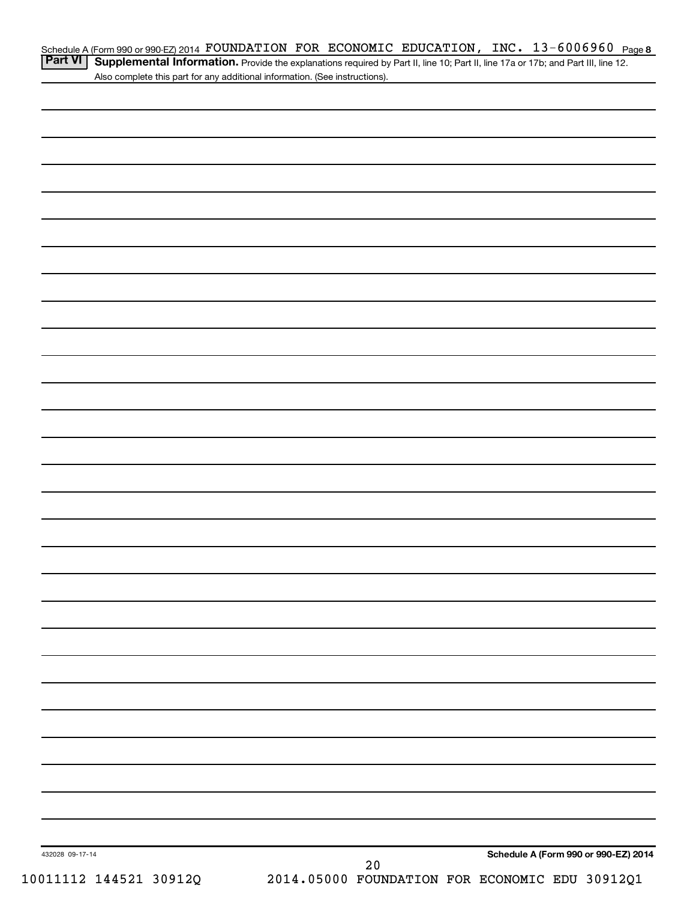| Schedule A (Form 990 or 990 EZ) 2014 FOUNDATION FOR ECONOMIC EDUCATION, INC. $13-6006960$ Page 8                                                 |  |  |  |  |
|--------------------------------------------------------------------------------------------------------------------------------------------------|--|--|--|--|
| <b>Part VI</b> Supplemental Information. Provide the explanations required by Part II, line 10; Part II, line 17a or 17b; and Part III, line 12. |  |  |  |  |

| <b>II Supplemental Information.</b> Provide the explanations required by Part II, line 10; Part II, line 17a or 17b; and Part III, line 12. |  |
|---------------------------------------------------------------------------------------------------------------------------------------------|--|
| Also complete this part for any additional information. (See instructions).                                                                 |  |

| 432028 09-17-14<br>10011112 144521 30912Q | $2\,0$<br>2014.05000 FOUNDATION FOR ECONOMIC EDU 30912Q1 | Schedule A (Form 990 or 990-EZ) 2014 |
|-------------------------------------------|----------------------------------------------------------|--------------------------------------|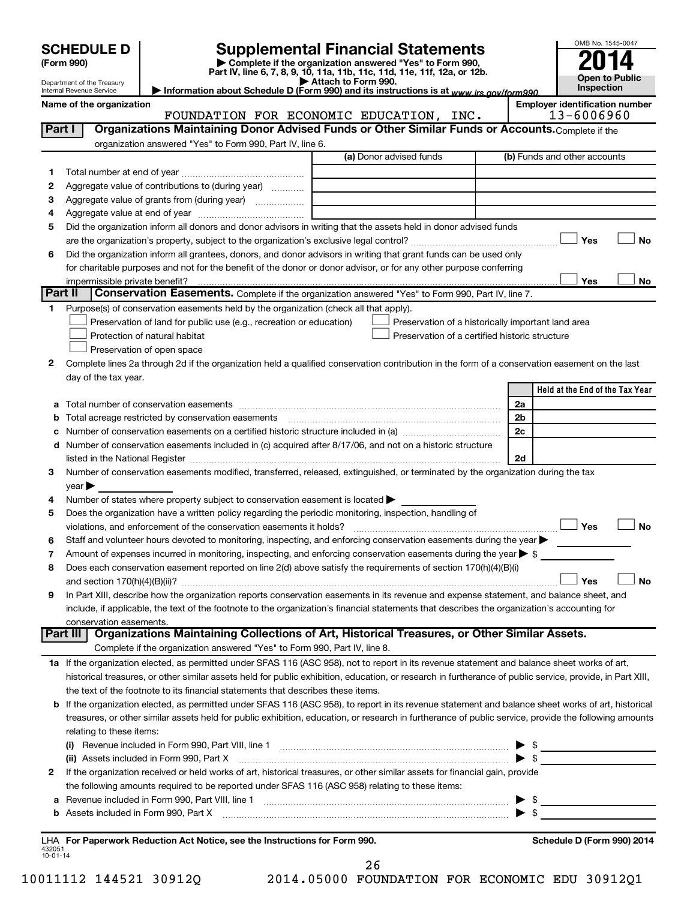|         |                                                                                                                                                                                                                                                                                                                                         |                         | OMB No. 1545-0047                                   |
|---------|-----------------------------------------------------------------------------------------------------------------------------------------------------------------------------------------------------------------------------------------------------------------------------------------------------------------------------------------|-------------------------|-----------------------------------------------------|
|         | <b>Supplemental Financial Statements</b><br><b>SCHEDULE D</b><br>Complete if the organization answered "Yes" to Form 990,<br>(Form 990)                                                                                                                                                                                                 |                         |                                                     |
|         | Part IV, line 6, 7, 8, 9, 10, 11a, 11b, 11c, 11d, 11e, 11f, 12a, or 12b.                                                                                                                                                                                                                                                                |                         | <b>Open to Public</b>                               |
|         | Attach to Form 990.<br>Department of the Treasury<br>Information about Schedule D (Form 990) and its instructions is at www.irs.gov/form990.<br>Internal Revenue Service                                                                                                                                                                |                         | Inspection                                          |
|         | Name of the organization<br>FOUNDATION FOR ECONOMIC EDUCATION, INC.                                                                                                                                                                                                                                                                     |                         | <b>Employer identification number</b><br>13-6006960 |
| Part I  | Organizations Maintaining Donor Advised Funds or Other Similar Funds or Accounts. Complete if the                                                                                                                                                                                                                                       |                         |                                                     |
|         | organization answered "Yes" to Form 990, Part IV, line 6.                                                                                                                                                                                                                                                                               |                         |                                                     |
|         | (a) Donor advised funds                                                                                                                                                                                                                                                                                                                 |                         | (b) Funds and other accounts                        |
| 1       |                                                                                                                                                                                                                                                                                                                                         |                         |                                                     |
| 2       | Aggregate value of contributions to (during year)                                                                                                                                                                                                                                                                                       |                         |                                                     |
| 3       | Aggregate value of grants from (during year)                                                                                                                                                                                                                                                                                            |                         |                                                     |
| 4       |                                                                                                                                                                                                                                                                                                                                         |                         |                                                     |
| 5       | Did the organization inform all donors and donor advisors in writing that the assets held in donor advised funds                                                                                                                                                                                                                        |                         |                                                     |
|         |                                                                                                                                                                                                                                                                                                                                         |                         | Yes<br><b>No</b>                                    |
| 6       | Did the organization inform all grantees, donors, and donor advisors in writing that grant funds can be used only                                                                                                                                                                                                                       |                         |                                                     |
|         | for charitable purposes and not for the benefit of the donor or donor advisor, or for any other purpose conferring                                                                                                                                                                                                                      |                         | Yes                                                 |
| Part II | impermissible private benefit?<br>Conservation Easements. Complete if the organization answered "Yes" to Form 990, Part IV, line 7.                                                                                                                                                                                                     |                         | No                                                  |
| 1.      | Purpose(s) of conservation easements held by the organization (check all that apply).                                                                                                                                                                                                                                                   |                         |                                                     |
|         | Preservation of land for public use (e.g., recreation or education)<br>Preservation of a historically important land area                                                                                                                                                                                                               |                         |                                                     |
|         | Preservation of a certified historic structure<br>Protection of natural habitat                                                                                                                                                                                                                                                         |                         |                                                     |
|         | Preservation of open space                                                                                                                                                                                                                                                                                                              |                         |                                                     |
| 2       | Complete lines 2a through 2d if the organization held a qualified conservation contribution in the form of a conservation easement on the last                                                                                                                                                                                          |                         |                                                     |
|         | day of the tax year.                                                                                                                                                                                                                                                                                                                    |                         |                                                     |
|         |                                                                                                                                                                                                                                                                                                                                         |                         | Held at the End of the Tax Year                     |
|         |                                                                                                                                                                                                                                                                                                                                         | 2a                      |                                                     |
|         | Total acreage restricted by conservation easements                                                                                                                                                                                                                                                                                      | 2b                      |                                                     |
| с       | Number of conservation easements on a certified historic structure included in (a) manu-conservation-                                                                                                                                                                                                                                   | 2c                      |                                                     |
|         | d Number of conservation easements included in (c) acquired after 8/17/06, and not on a historic structure                                                                                                                                                                                                                              |                         |                                                     |
|         |                                                                                                                                                                                                                                                                                                                                         | 2d                      |                                                     |
| З       | Number of conservation easements modified, transferred, released, extinguished, or terminated by the organization during the tax                                                                                                                                                                                                        |                         |                                                     |
|         | $\vee$ ear $\blacktriangleright$                                                                                                                                                                                                                                                                                                        |                         |                                                     |
| 4       | Number of states where property subject to conservation easement is located >                                                                                                                                                                                                                                                           |                         |                                                     |
| 5       | Does the organization have a written policy regarding the periodic monitoring, inspection, handling of<br>violations, and enforcement of the conservation easements it holds? [[11,11]] will reconstruct the conservation easements it holds? [11] [12] will reconstruct the conservation easements it holds? [12] will reconstruct the |                         | Yes<br>No                                           |
| 6       | Staff and volunteer hours devoted to monitoring, inspecting, and enforcing conservation easements during the year                                                                                                                                                                                                                       |                         |                                                     |
| 7       | Amount of expenses incurred in monitoring, inspecting, and enforcing conservation easements during the year $\triangleright$ \$                                                                                                                                                                                                         |                         |                                                     |
| 8       | Does each conservation easement reported on line 2(d) above satisfy the requirements of section 170(h)(4)(B)(i)                                                                                                                                                                                                                         |                         |                                                     |
|         |                                                                                                                                                                                                                                                                                                                                         |                         | Yes<br>No                                           |
| 9       | In Part XIII, describe how the organization reports conservation easements in its revenue and expense statement, and balance sheet, and                                                                                                                                                                                                 |                         |                                                     |
|         | include, if applicable, the text of the footnote to the organization's financial statements that describes the organization's accounting for                                                                                                                                                                                            |                         |                                                     |
|         | conservation easements.                                                                                                                                                                                                                                                                                                                 |                         |                                                     |
|         | Organizations Maintaining Collections of Art, Historical Treasures, or Other Similar Assets.<br>Part III                                                                                                                                                                                                                                |                         |                                                     |
|         | Complete if the organization answered "Yes" to Form 990, Part IV, line 8.                                                                                                                                                                                                                                                               |                         |                                                     |
|         | 1a If the organization elected, as permitted under SFAS 116 (ASC 958), not to report in its revenue statement and balance sheet works of art,                                                                                                                                                                                           |                         |                                                     |
|         | historical treasures, or other similar assets held for public exhibition, education, or research in furtherance of public service, provide, in Part XIII,                                                                                                                                                                               |                         |                                                     |
|         | the text of the footnote to its financial statements that describes these items.                                                                                                                                                                                                                                                        |                         |                                                     |
|         | b If the organization elected, as permitted under SFAS 116 (ASC 958), to report in its revenue statement and balance sheet works of art, historical                                                                                                                                                                                     |                         |                                                     |
|         | treasures, or other similar assets held for public exhibition, education, or research in furtherance of public service, provide the following amounts                                                                                                                                                                                   |                         |                                                     |
|         | relating to these items:                                                                                                                                                                                                                                                                                                                |                         |                                                     |
|         | (i) Revenue included in Form 990, Part VIII, line 1 [2000] [2010] Contract the included in Form 990, Part VIII, line 1                                                                                                                                                                                                                  | $\blacktriangleright$ s |                                                     |
| 2       | (ii) Assets included in Form 990, Part X [11] [2000] [2010] Assets included in Form 990, Part X [11] [11] [200<br>If the organization received or held works of art, historical treasures, or other similar assets for financial gain, provide                                                                                          |                         |                                                     |
|         | the following amounts required to be reported under SFAS 116 (ASC 958) relating to these items:                                                                                                                                                                                                                                         |                         |                                                     |
| а       |                                                                                                                                                                                                                                                                                                                                         |                         |                                                     |
|         |                                                                                                                                                                                                                                                                                                                                         |                         |                                                     |
|         |                                                                                                                                                                                                                                                                                                                                         |                         |                                                     |
|         | $\sim$                                                                                                                                                                                                                                                                                                                                  |                         |                                                     |

432051 10-01-14 **For Paperwork Reduction Act Notice, see the Instructions for Form 990. Schedule D (Form 990) 2014** LHA

26

10011112 144521 30912Q 2014.05000 FOUNDATION FOR ECONOMIC EDU 30912Q1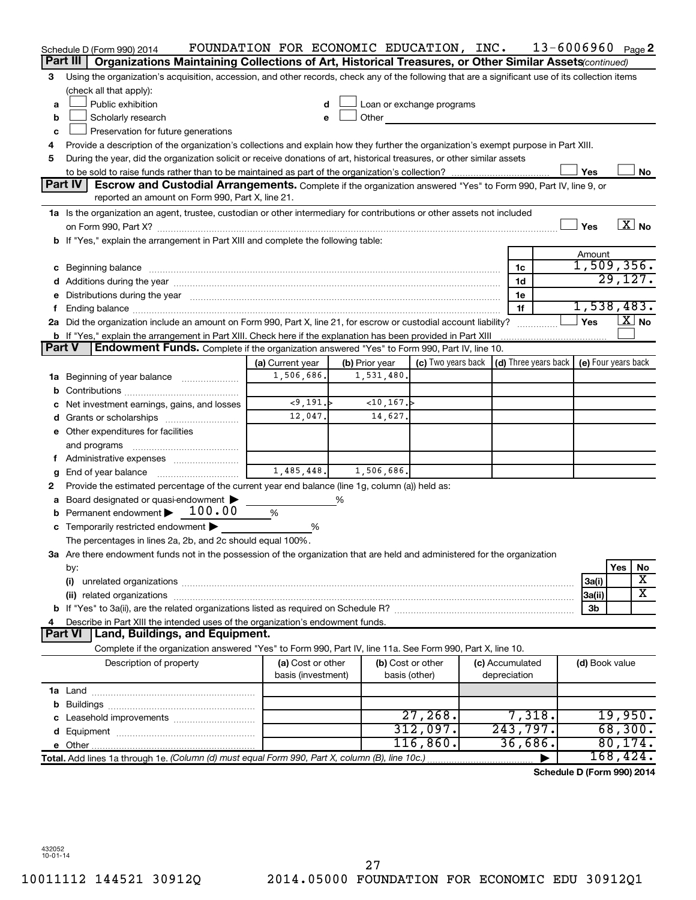|               | Schedule D (Form 990) 2014                                                                                                                                                                                                     | FOUNDATION FOR ECONOMIC EDUCATION, INC. |                |                                    |                                 | $13 - 6006960$ Page 2      |     |                        |
|---------------|--------------------------------------------------------------------------------------------------------------------------------------------------------------------------------------------------------------------------------|-----------------------------------------|----------------|------------------------------------|---------------------------------|----------------------------|-----|------------------------|
|               | Part III<br>Organizations Maintaining Collections of Art, Historical Treasures, or Other Similar Assets (continued)                                                                                                            |                                         |                |                                    |                                 |                            |     |                        |
| 3             | Using the organization's acquisition, accession, and other records, check any of the following that are a significant use of its collection items                                                                              |                                         |                |                                    |                                 |                            |     |                        |
|               | (check all that apply):                                                                                                                                                                                                        |                                         |                |                                    |                                 |                            |     |                        |
| a             | Public exhibition                                                                                                                                                                                                              | d                                       |                | Loan or exchange programs          |                                 |                            |     |                        |
| b             | Scholarly research                                                                                                                                                                                                             | e                                       | Other          |                                    |                                 |                            |     |                        |
| c             | Preservation for future generations                                                                                                                                                                                            |                                         |                |                                    |                                 |                            |     |                        |
| 4             | Provide a description of the organization's collections and explain how they further the organization's exempt purpose in Part XIII.                                                                                           |                                         |                |                                    |                                 |                            |     |                        |
| 5             | During the year, did the organization solicit or receive donations of art, historical treasures, or other similar assets                                                                                                       |                                         |                |                                    |                                 |                            |     |                        |
|               |                                                                                                                                                                                                                                |                                         |                |                                    |                                 | Yes                        |     | No                     |
|               | <b>Part IV</b><br>Escrow and Custodial Arrangements. Complete if the organization answered "Yes" to Form 990, Part IV, line 9, or<br>reported an amount on Form 990, Part X, line 21.                                          |                                         |                |                                    |                                 |                            |     |                        |
|               | 1a Is the organization an agent, trustee, custodian or other intermediary for contributions or other assets not included                                                                                                       |                                         |                |                                    |                                 |                            |     |                        |
|               |                                                                                                                                                                                                                                |                                         |                |                                    |                                 | Yes                        |     | $\boxed{\text{X}}$ No  |
|               | b If "Yes," explain the arrangement in Part XIII and complete the following table:                                                                                                                                             |                                         |                |                                    |                                 |                            |     |                        |
|               |                                                                                                                                                                                                                                |                                         |                |                                    |                                 | Amount                     |     |                        |
|               | c Beginning balance measurements and the contract of the contract of the contract of the contract of the contract of the contract of the contract of the contract of the contract of the contract of the contract of the contr |                                         |                |                                    | 1c                              | 1,509,356.                 |     |                        |
|               |                                                                                                                                                                                                                                |                                         |                |                                    | 1d                              |                            |     | 29,127.                |
|               | Distributions during the year manufactured and an account of the year manufactured and the year manufactured and the year manufactured and the year manufactured and the year manufactured and the year manufactured and the y |                                         |                |                                    | 1e                              |                            |     |                        |
|               |                                                                                                                                                                                                                                |                                         |                |                                    | 1f                              | 1,538,483.                 |     |                        |
|               | 2a Did the organization include an amount on Form 990, Part X, line 21, for escrow or custodial account liability?                                                                                                             |                                         |                |                                    |                                 | Yes                        |     | $\lfloor x \rfloor$ No |
|               | b If "Yes," explain the arrangement in Part XIII. Check here if the explanation has been provided in Part XIII                                                                                                                 |                                         |                |                                    |                                 |                            |     |                        |
| <b>Part V</b> | <b>Endowment Funds.</b> Complete if the organization answered "Yes" to Form 990, Part IV, line 10.                                                                                                                             |                                         |                |                                    |                                 |                            |     |                        |
|               |                                                                                                                                                                                                                                | (a) Current year                        | (b) Prior year | (c) Two years back                 | (d) Three years back            | (e) Four years back        |     |                        |
| 1a            | Beginning of year balance <i>manumman</i>                                                                                                                                                                                      | 1,506,686.                              | 1,531,480.     |                                    |                                 |                            |     |                        |
| b             |                                                                                                                                                                                                                                | < 9, 191.                               | ~10,167.       |                                    |                                 |                            |     |                        |
|               | Net investment earnings, gains, and losses                                                                                                                                                                                     | 12,047.                                 | 14,627.        |                                    |                                 |                            |     |                        |
|               |                                                                                                                                                                                                                                |                                         |                |                                    |                                 |                            |     |                        |
|               | e Other expenditures for facilities                                                                                                                                                                                            |                                         |                |                                    |                                 |                            |     |                        |
|               | and programs                                                                                                                                                                                                                   |                                         |                |                                    |                                 |                            |     |                        |
|               | End of year balance                                                                                                                                                                                                            | 1,485,448.                              | 1,506,686.     |                                    |                                 |                            |     |                        |
| g<br>2        | Provide the estimated percentage of the current year end balance (line 1g, column (a)) held as:                                                                                                                                |                                         |                |                                    |                                 |                            |     |                        |
|               | Board designated or quasi-endowment >                                                                                                                                                                                          |                                         | ℅              |                                    |                                 |                            |     |                        |
|               | Permanent endowment > 100.00                                                                                                                                                                                                   | %                                       |                |                                    |                                 |                            |     |                        |
|               | c Temporarily restricted endowment $\blacktriangleright$                                                                                                                                                                       | %                                       |                |                                    |                                 |                            |     |                        |
|               | The percentages in lines 2a, 2b, and 2c should equal 100%.                                                                                                                                                                     |                                         |                |                                    |                                 |                            |     |                        |
|               | 3a Are there endowment funds not in the possession of the organization that are held and administered for the organization                                                                                                     |                                         |                |                                    |                                 |                            |     |                        |
|               | by:                                                                                                                                                                                                                            |                                         |                |                                    |                                 |                            | Yes | No                     |
|               | (i)                                                                                                                                                                                                                            |                                         |                |                                    |                                 | 3a(i)                      |     | X                      |
|               | (ii) related organizations                                                                                                                                                                                                     |                                         |                |                                    |                                 | 3a(ii)                     |     | х                      |
|               |                                                                                                                                                                                                                                |                                         |                |                                    |                                 | 3b                         |     |                        |
|               | Describe in Part XIII the intended uses of the organization's endowment funds.                                                                                                                                                 |                                         |                |                                    |                                 |                            |     |                        |
|               | Land, Buildings, and Equipment.<br><b>Part VI</b>                                                                                                                                                                              |                                         |                |                                    |                                 |                            |     |                        |
|               | Complete if the organization answered "Yes" to Form 990, Part IV, line 11a. See Form 990, Part X, line 10.                                                                                                                     |                                         |                |                                    |                                 |                            |     |                        |
|               | Description of property                                                                                                                                                                                                        | (a) Cost or other<br>basis (investment) |                | (b) Cost or other<br>basis (other) | (c) Accumulated<br>depreciation | (d) Book value             |     |                        |
|               |                                                                                                                                                                                                                                |                                         |                |                                    |                                 |                            |     |                        |
|               |                                                                                                                                                                                                                                |                                         |                |                                    |                                 |                            |     |                        |
|               |                                                                                                                                                                                                                                |                                         |                | 27,268.                            | 7,318.                          |                            |     | 19,950.                |
|               |                                                                                                                                                                                                                                |                                         |                | 312,097.                           | 243,797.                        |                            |     | 68,300.                |
|               |                                                                                                                                                                                                                                |                                         |                | 116,860.                           | 36,686                          |                            |     | 80, 174.               |
|               | Total. Add lines 1a through 1e. (Column (d) must equal Form 990, Part X, column (B), line 10c.)                                                                                                                                |                                         |                |                                    |                                 |                            |     | 168,424.               |
|               |                                                                                                                                                                                                                                |                                         |                |                                    |                                 | Schedule D (Form 990) 2014 |     |                        |

**Schedule D (Form 990) 2014**

432052 10-01-14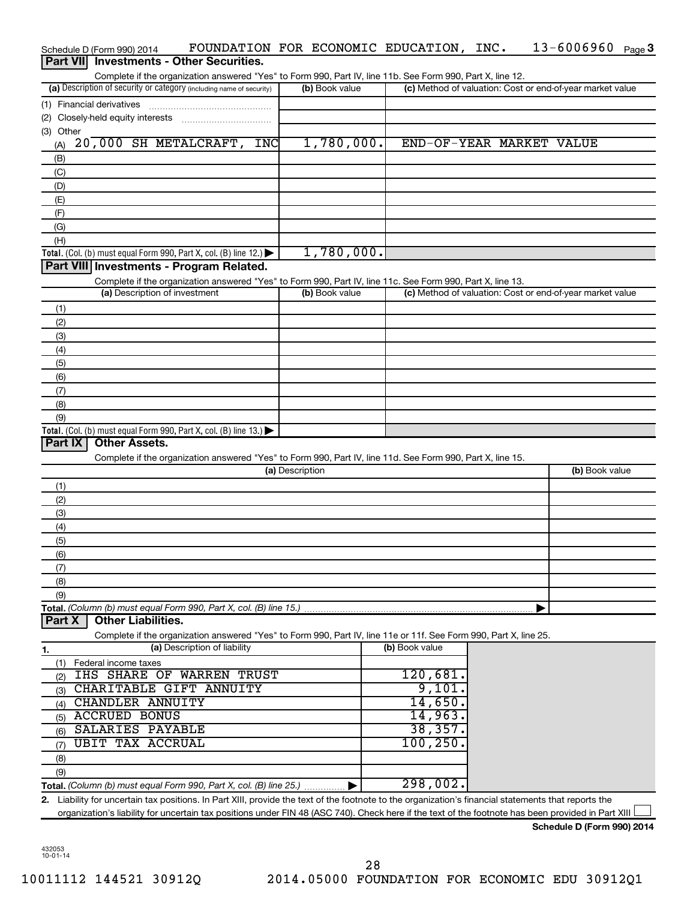|                 | Schedule D (Form 990) 2014        |  |                                                                                        |            |                 |                | FOUNDATION FOR ECONOMIC EDUCATION, INC. |                |                                                                                                            |                                                                                                                   | $13 - 6006960$ Page 3                                                                                                                                |  |
|-----------------|-----------------------------------|--|----------------------------------------------------------------------------------------|------------|-----------------|----------------|-----------------------------------------|----------------|------------------------------------------------------------------------------------------------------------|-------------------------------------------------------------------------------------------------------------------|------------------------------------------------------------------------------------------------------------------------------------------------------|--|
| <b>Part VII</b> |                                   |  | <b>Investments - Other Securities.</b>                                                 |            |                 |                |                                         |                |                                                                                                            |                                                                                                                   |                                                                                                                                                      |  |
|                 |                                   |  |                                                                                        |            |                 |                |                                         |                | Complete if the organization answered "Yes" to Form 990, Part IV, line 11b. See Form 990, Part X, line 12. |                                                                                                                   |                                                                                                                                                      |  |
|                 |                                   |  | (a) Description of security or category (including name of security)                   |            |                 | (b) Book value |                                         |                |                                                                                                            |                                                                                                                   | (c) Method of valuation: Cost or end-of-year market value                                                                                            |  |
|                 | (1) Financial derivatives         |  |                                                                                        |            |                 |                |                                         |                |                                                                                                            |                                                                                                                   |                                                                                                                                                      |  |
|                 | (2) Closely-held equity interests |  |                                                                                        |            |                 |                |                                         |                |                                                                                                            |                                                                                                                   |                                                                                                                                                      |  |
| (3) Other       |                                   |  |                                                                                        |            |                 |                |                                         |                |                                                                                                            |                                                                                                                   |                                                                                                                                                      |  |
| (A)             |                                   |  | 20,000 SH METALCRAFT,                                                                  | <b>INC</b> |                 |                | 1,780,000.                              |                |                                                                                                            |                                                                                                                   | END-OF-YEAR MARKET VALUE                                                                                                                             |  |
| (B)             |                                   |  |                                                                                        |            |                 |                |                                         |                |                                                                                                            |                                                                                                                   |                                                                                                                                                      |  |
|                 |                                   |  |                                                                                        |            |                 |                |                                         |                |                                                                                                            |                                                                                                                   |                                                                                                                                                      |  |
| (C)             |                                   |  |                                                                                        |            |                 |                |                                         |                |                                                                                                            |                                                                                                                   |                                                                                                                                                      |  |
| (D)             |                                   |  |                                                                                        |            |                 |                |                                         |                |                                                                                                            |                                                                                                                   |                                                                                                                                                      |  |
| (E)             |                                   |  |                                                                                        |            |                 |                |                                         |                |                                                                                                            |                                                                                                                   |                                                                                                                                                      |  |
| (F)             |                                   |  |                                                                                        |            |                 |                |                                         |                |                                                                                                            |                                                                                                                   |                                                                                                                                                      |  |
| (G)             |                                   |  |                                                                                        |            |                 |                |                                         |                |                                                                                                            |                                                                                                                   |                                                                                                                                                      |  |
| (H)             |                                   |  |                                                                                        |            |                 |                |                                         |                |                                                                                                            |                                                                                                                   |                                                                                                                                                      |  |
|                 |                                   |  | Total. (Col. (b) must equal Form 990, Part X, col. (B) line 12.) $\blacktriangleright$ |            |                 |                | 1,780,000.                              |                |                                                                                                            |                                                                                                                   |                                                                                                                                                      |  |
|                 |                                   |  | Part VIII Investments - Program Related.                                               |            |                 |                |                                         |                |                                                                                                            |                                                                                                                   |                                                                                                                                                      |  |
|                 |                                   |  |                                                                                        |            |                 |                |                                         |                | Complete if the organization answered "Yes" to Form 990, Part IV, line 11c. See Form 990, Part X, line 13. |                                                                                                                   |                                                                                                                                                      |  |
|                 |                                   |  | (a) Description of investment                                                          |            |                 | (b) Book value |                                         |                |                                                                                                            |                                                                                                                   | (c) Method of valuation: Cost or end-of-year market value                                                                                            |  |
| (1)             |                                   |  |                                                                                        |            |                 |                |                                         |                |                                                                                                            |                                                                                                                   |                                                                                                                                                      |  |
| (2)             |                                   |  |                                                                                        |            |                 |                |                                         |                |                                                                                                            |                                                                                                                   |                                                                                                                                                      |  |
| (3)             |                                   |  |                                                                                        |            |                 |                |                                         |                |                                                                                                            |                                                                                                                   |                                                                                                                                                      |  |
| (4)             |                                   |  |                                                                                        |            |                 |                |                                         |                |                                                                                                            |                                                                                                                   |                                                                                                                                                      |  |
| (5)             |                                   |  |                                                                                        |            |                 |                |                                         |                |                                                                                                            |                                                                                                                   |                                                                                                                                                      |  |
| (6)             |                                   |  |                                                                                        |            |                 |                |                                         |                |                                                                                                            |                                                                                                                   |                                                                                                                                                      |  |
| (7)             |                                   |  |                                                                                        |            |                 |                |                                         |                |                                                                                                            |                                                                                                                   |                                                                                                                                                      |  |
| (8)             |                                   |  |                                                                                        |            |                 |                |                                         |                |                                                                                                            |                                                                                                                   |                                                                                                                                                      |  |
| (9)             |                                   |  |                                                                                        |            |                 |                |                                         |                |                                                                                                            |                                                                                                                   |                                                                                                                                                      |  |
|                 |                                   |  | <b>Total.</b> (Col. (b) must equal Form 990, Part X, col. (B) line 13.)                |            |                 |                |                                         |                |                                                                                                            |                                                                                                                   |                                                                                                                                                      |  |
| Part IX         | <b>Other Assets.</b>              |  |                                                                                        |            |                 |                |                                         |                |                                                                                                            |                                                                                                                   |                                                                                                                                                      |  |
|                 |                                   |  |                                                                                        |            |                 |                |                                         |                | Complete if the organization answered "Yes" to Form 990, Part IV, line 11d. See Form 990, Part X, line 15. |                                                                                                                   |                                                                                                                                                      |  |
|                 |                                   |  |                                                                                        |            | (a) Description |                |                                         |                |                                                                                                            |                                                                                                                   | (b) Book value                                                                                                                                       |  |
|                 |                                   |  |                                                                                        |            |                 |                |                                         |                |                                                                                                            |                                                                                                                   |                                                                                                                                                      |  |
| (1)             |                                   |  |                                                                                        |            |                 |                |                                         |                |                                                                                                            |                                                                                                                   |                                                                                                                                                      |  |
| (2)             |                                   |  |                                                                                        |            |                 |                |                                         |                |                                                                                                            |                                                                                                                   |                                                                                                                                                      |  |
| (3)             |                                   |  |                                                                                        |            |                 |                |                                         |                |                                                                                                            |                                                                                                                   |                                                                                                                                                      |  |
| (4)             |                                   |  |                                                                                        |            |                 |                |                                         |                |                                                                                                            |                                                                                                                   |                                                                                                                                                      |  |
| (5)             |                                   |  |                                                                                        |            |                 |                |                                         |                |                                                                                                            |                                                                                                                   |                                                                                                                                                      |  |
| (6)             |                                   |  |                                                                                        |            |                 |                |                                         |                |                                                                                                            |                                                                                                                   |                                                                                                                                                      |  |
| (7)             |                                   |  |                                                                                        |            |                 |                |                                         |                |                                                                                                            |                                                                                                                   |                                                                                                                                                      |  |
| (8)             |                                   |  |                                                                                        |            |                 |                |                                         |                |                                                                                                            |                                                                                                                   |                                                                                                                                                      |  |
| (9)             |                                   |  |                                                                                        |            |                 |                |                                         |                |                                                                                                            |                                                                                                                   |                                                                                                                                                      |  |
|                 |                                   |  | Total. (Column (b) must equal Form 990, Part X, col. (B) line 15.)                     |            |                 |                |                                         |                |                                                                                                            |                                                                                                                   |                                                                                                                                                      |  |
| Part X          | <b>Other Liabilities.</b>         |  |                                                                                        |            |                 |                |                                         |                |                                                                                                            |                                                                                                                   |                                                                                                                                                      |  |
|                 |                                   |  |                                                                                        |            |                 |                |                                         |                |                                                                                                            | Complete if the organization answered "Yes" to Form 990, Part IV, line 11e or 11f. See Form 990, Part X, line 25. |                                                                                                                                                      |  |
| 1.              |                                   |  | (a) Description of liability                                                           |            |                 |                |                                         | (b) Book value |                                                                                                            |                                                                                                                   |                                                                                                                                                      |  |
| (1)             | Federal income taxes              |  |                                                                                        |            |                 |                |                                         |                |                                                                                                            |                                                                                                                   |                                                                                                                                                      |  |
| (2)             |                                   |  | <b>IHS SHARE OF WARREN TRUST</b>                                                       |            |                 |                |                                         |                | 120,681.                                                                                                   |                                                                                                                   |                                                                                                                                                      |  |
| (3)             |                                   |  | CHARITABLE GIFT ANNUITY                                                                |            |                 |                |                                         |                | 9,101.                                                                                                     |                                                                                                                   |                                                                                                                                                      |  |
| (4)             | CHANDLER ANNUITY                  |  |                                                                                        |            |                 |                |                                         |                | 14,650.                                                                                                    |                                                                                                                   |                                                                                                                                                      |  |
| (5)             | <b>ACCRUED BONUS</b>              |  |                                                                                        |            |                 |                |                                         |                | 14,963.                                                                                                    |                                                                                                                   |                                                                                                                                                      |  |
| (6)             | SALARIES PAYABLE                  |  |                                                                                        |            |                 |                |                                         |                | 38, 357.                                                                                                   |                                                                                                                   |                                                                                                                                                      |  |
| (7)             | <b>UBIT TAX ACCRUAL</b>           |  |                                                                                        |            |                 |                |                                         |                | 100, 250                                                                                                   |                                                                                                                   |                                                                                                                                                      |  |
|                 |                                   |  |                                                                                        |            |                 |                |                                         |                |                                                                                                            |                                                                                                                   |                                                                                                                                                      |  |
| (8)             |                                   |  |                                                                                        |            |                 |                |                                         |                |                                                                                                            |                                                                                                                   |                                                                                                                                                      |  |
| (9)             |                                   |  |                                                                                        |            |                 |                |                                         |                | 298,002.                                                                                                   |                                                                                                                   |                                                                                                                                                      |  |
|                 |                                   |  | <b>Total.</b> (Column (b) must equal Form 990, Part X, col. (B) line 25.) $\ldots$     |            |                 |                |                                         |                |                                                                                                            |                                                                                                                   |                                                                                                                                                      |  |
|                 |                                   |  |                                                                                        |            |                 |                |                                         |                |                                                                                                            |                                                                                                                   | 2. Liability for uncertain tax positions. In Part XIII, provide the text of the footnote to the organization's financial statements that reports the |  |
|                 |                                   |  |                                                                                        |            |                 |                |                                         |                |                                                                                                            |                                                                                                                   | organization's liability for uncertain tax positions under FIN 48 (ASC 740). Check here if the text of the footnote has been provided in Part XIII   |  |

**Schedule D (Form 990) 2014**

432053 10-01-14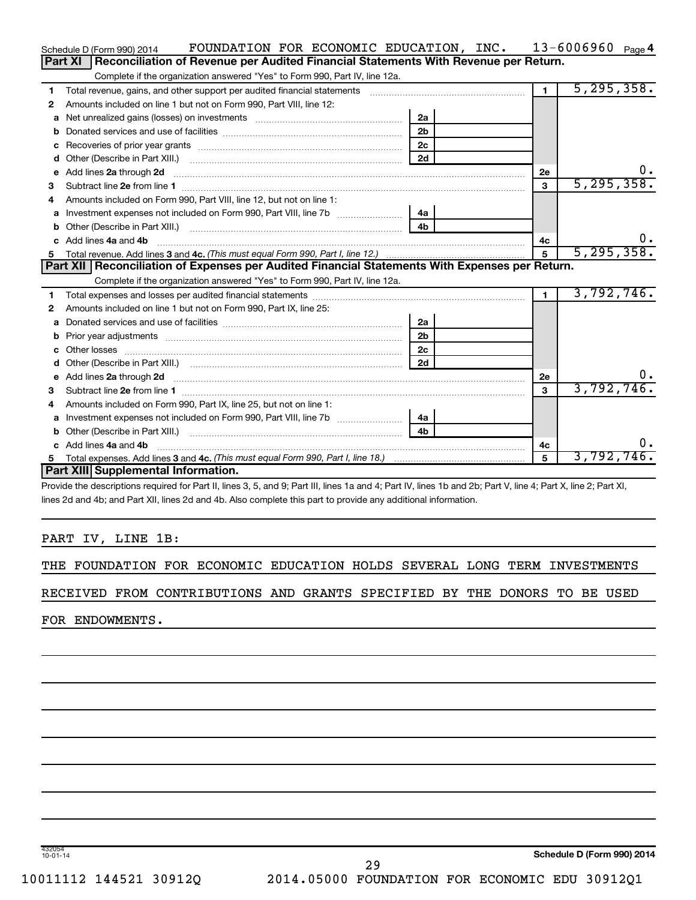|    | FOUNDATION FOR ECONOMIC EDUCATION, INC. $13-6006960$ Page 4<br>Schedule D (Form 990) 2014                                                                                                                                            |                |                |              |
|----|--------------------------------------------------------------------------------------------------------------------------------------------------------------------------------------------------------------------------------------|----------------|----------------|--------------|
|    | Reconciliation of Revenue per Audited Financial Statements With Revenue per Return.<br>Part XI                                                                                                                                       |                |                |              |
|    | Complete if the organization answered "Yes" to Form 990, Part IV, line 12a.                                                                                                                                                          |                |                |              |
| 1  | Total revenue, gains, and other support per audited financial statements                                                                                                                                                             |                | $\blacksquare$ | 5, 295, 358. |
| 2  | Amounts included on line 1 but not on Form 990, Part VIII, line 12:                                                                                                                                                                  |                |                |              |
| a  |                                                                                                                                                                                                                                      | 2a             |                |              |
| b  |                                                                                                                                                                                                                                      | 2 <sub>b</sub> |                |              |
| с  |                                                                                                                                                                                                                                      | 2 <sub>c</sub> |                |              |
| d  | Other (Describe in Part XIII.) <b>Construction Contract Construction</b> Chern Construction Chern Chern Chern Chern Chern Chern Chern Chern Chern Chern Chern Chern Chern Chern Chern Chern Chern Chern Chern Chern Chern Chern Che  | 2d             |                |              |
| e  | Add lines 2a through 2d                                                                                                                                                                                                              |                | 2е             | υ.           |
| з  |                                                                                                                                                                                                                                      |                | 3              | 5, 295, 358. |
| 4  | Amounts included on Form 990. Part VIII. line 12, but not on line 1:                                                                                                                                                                 |                |                |              |
|    |                                                                                                                                                                                                                                      | 4a             |                |              |
| b  |                                                                                                                                                                                                                                      | 4 <sub>b</sub> |                |              |
| c. | Add lines 4a and 4b                                                                                                                                                                                                                  |                | 4c             |              |
|    |                                                                                                                                                                                                                                      |                | $\overline{5}$ | 5, 295, 358. |
|    |                                                                                                                                                                                                                                      |                |                |              |
|    | Part XII   Reconciliation of Expenses per Audited Financial Statements With Expenses per Return.                                                                                                                                     |                |                |              |
|    | Complete if the organization answered "Yes" to Form 990, Part IV, line 12a.                                                                                                                                                          |                |                |              |
| 1  |                                                                                                                                                                                                                                      |                | $\blacksquare$ | 3,792,746.   |
| 2  | Amounts included on line 1 but not on Form 990, Part IX, line 25:                                                                                                                                                                    |                |                |              |
| a  |                                                                                                                                                                                                                                      | 2a             |                |              |
| b  |                                                                                                                                                                                                                                      | 2 <sub>b</sub> |                |              |
|    |                                                                                                                                                                                                                                      | 2 <sub>c</sub> |                |              |
| d  |                                                                                                                                                                                                                                      | 2d             |                |              |
| е  | Add lines 2a through 2d <b>continuum contract and contract and contract and contract and contract and contract and contract and contract and contract and contract and contract and contract and contract and contract and contr</b> |                | 2e             | $0 \cdot$    |
| З  |                                                                                                                                                                                                                                      |                | 3              | 3,792,746.   |
| 4  | Amounts included on Form 990, Part IX, line 25, but not on line 1:                                                                                                                                                                   |                |                |              |
| a  |                                                                                                                                                                                                                                      | 4a             |                |              |
| b  | Other (Describe in Part XIII.) <b>Construction Contract Construction</b> Chemistry Chemistry Chemistry Chemistry Chemistry                                                                                                           | 4 <sub>h</sub> |                |              |
|    | c Add lines 4a and 4b                                                                                                                                                                                                                |                | 4с             | υ.           |
| 5  | Part XIII Supplemental Information.                                                                                                                                                                                                  |                | 5              | 3,792,746.   |

Provide the descriptions required for Part II, lines 3, 5, and 9; Part III, lines 1a and 4; Part IV, lines 1b and 2b; Part V, line 4; Part X, line 2; Part XI, lines 2d and 4b; and Part XII, lines 2d and 4b. Also complete this part to provide any additional information.

#### PART IV, LINE 1B:

THE FOUNDATION FOR ECONOMIC EDUCATION HOLDS SEVERAL LONG TERM INVESTMENTS

RECEIVED FROM CONTRIBUTIONS AND GRANTS SPECIFIED BY THE DONORS TO BE USED

FOR ENDOWMENTS.

432054 10-01-14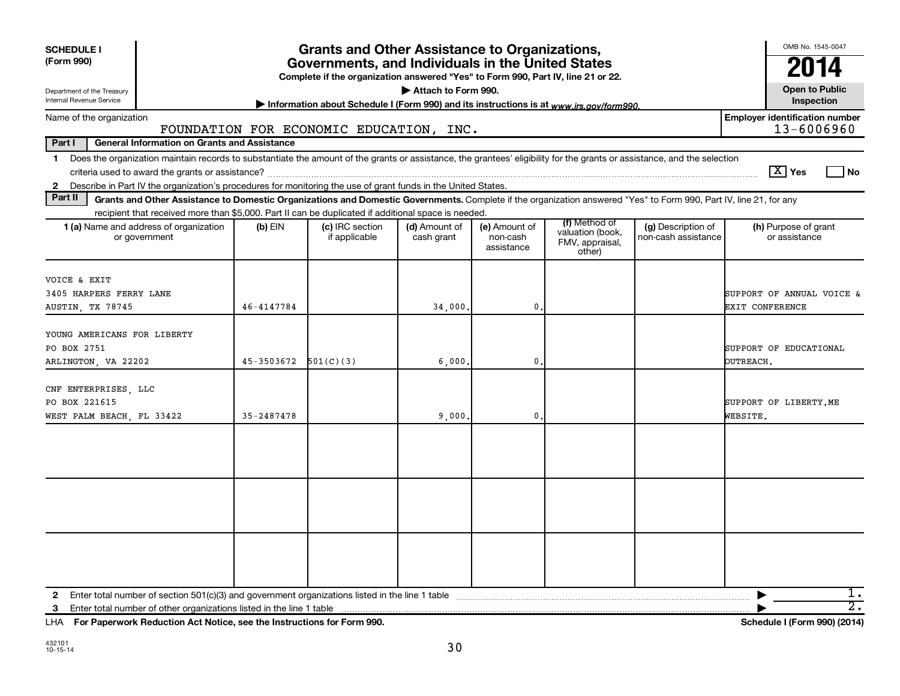| <b>SCHEDULE I</b>                                                                                                                                                                                                                                                                                                        |                                                     | OMB No. 1545-0047        |                                                                                                                                                                                               |                             |                                         |                                               |                                           |                                                     |
|--------------------------------------------------------------------------------------------------------------------------------------------------------------------------------------------------------------------------------------------------------------------------------------------------------------------------|-----------------------------------------------------|--------------------------|-----------------------------------------------------------------------------------------------------------------------------------------------------------------------------------------------|-----------------------------|-----------------------------------------|-----------------------------------------------|-------------------------------------------|-----------------------------------------------------|
| (Form 990)                                                                                                                                                                                                                                                                                                               |                                                     |                          | <b>Grants and Other Assistance to Organizations,</b><br>Governments, and Individuals in the United States<br>Complete if the organization answered "Yes" to Form 990, Part IV, line 21 or 22. |                             |                                         |                                               |                                           | 2014                                                |
| Department of the Treasury<br>Internal Revenue Service                                                                                                                                                                                                                                                                   |                                                     |                          | Information about Schedule I (Form 990) and its instructions is at www.irs.gov/form990.                                                                                                       | Attach to Form 990.         |                                         |                                               |                                           | <b>Open to Public</b><br>Inspection                 |
| Name of the organization                                                                                                                                                                                                                                                                                                 |                                                     |                          | FOUNDATION FOR ECONOMIC EDUCATION, INC.                                                                                                                                                       |                             |                                         |                                               |                                           | <b>Employer identification number</b><br>13-6006960 |
| Part I                                                                                                                                                                                                                                                                                                                   | <b>General Information on Grants and Assistance</b> |                          |                                                                                                                                                                                               |                             |                                         |                                               |                                           |                                                     |
| Does the organization maintain records to substantiate the amount of the grants or assistance, the grantees' eligibility for the grants or assistance, and the selection<br>$\mathbf 1$<br>Describe in Part IV the organization's procedures for monitoring the use of grant funds in the United States.<br>$\mathbf{2}$ |                                                     |                          |                                                                                                                                                                                               |                             |                                         |                                               |                                           | $\boxed{\text{X}}$ Yes<br>  No                      |
| Part II                                                                                                                                                                                                                                                                                                                  |                                                     |                          | Grants and Other Assistance to Domestic Organizations and Domestic Governments. Complete if the organization answered "Yes" to Form 990, Part IV, line 21, for any                            |                             |                                         |                                               |                                           |                                                     |
|                                                                                                                                                                                                                                                                                                                          |                                                     |                          | recipient that received more than \$5,000. Part II can be duplicated if additional space is needed.                                                                                           |                             |                                         | (f) Method of                                 |                                           |                                                     |
| 1 (a) Name and address of organization<br>or government                                                                                                                                                                                                                                                                  |                                                     | $(b)$ EIN                | (c) IRC section<br>if applicable                                                                                                                                                              | (d) Amount of<br>cash grant | (e) Amount of<br>non-cash<br>assistance | valuation (book,<br>FMV, appraisal,<br>other) | (g) Description of<br>non-cash assistance | (h) Purpose of grant<br>or assistance               |
| VOICE & EXIT<br>3405 HARPERS FERRY LANE<br><b>AUSTIN, TX 78745</b>                                                                                                                                                                                                                                                       |                                                     | 46-4147784               |                                                                                                                                                                                               | 34,000                      | 0                                       |                                               |                                           | SUPPORT OF ANNUAL VOICE &<br>EXIT CONFERENCE        |
| YOUNG AMERICANS FOR LIBERTY<br>PO BOX 2751<br>ARLINGTON, VA 22202                                                                                                                                                                                                                                                        |                                                     | $45-3503672$ $501(C)(3)$ |                                                                                                                                                                                               | 6,000                       | $\mathbf{0}$                            |                                               |                                           | SUPPORT OF EDUCATIONAL<br>OUTREACH.                 |
| CNF ENTERPRISES, LLC<br>PO BOX 221615<br>WEST PALM BEACH, FL 33422                                                                                                                                                                                                                                                       |                                                     | $35 - 2487478$           |                                                                                                                                                                                               | 9,000.                      | $\mathbf{0}$                            |                                               |                                           | SUPPORT OF LIBERTY.ME<br>WEBSITE.                   |
|                                                                                                                                                                                                                                                                                                                          |                                                     |                          |                                                                                                                                                                                               |                             |                                         |                                               |                                           |                                                     |
|                                                                                                                                                                                                                                                                                                                          |                                                     |                          |                                                                                                                                                                                               |                             |                                         |                                               |                                           |                                                     |
|                                                                                                                                                                                                                                                                                                                          |                                                     |                          |                                                                                                                                                                                               |                             |                                         |                                               |                                           |                                                     |
| 2<br>3 Enter total number of other organizations listed in the line 1 table                                                                                                                                                                                                                                              |                                                     |                          |                                                                                                                                                                                               |                             |                                         |                                               |                                           | 1.<br>$\overline{2}$ .                              |

**For Paperwork Reduction Act Notice, see the Instructions for Form 990. Schedule I (Form 990) (2014)** LHA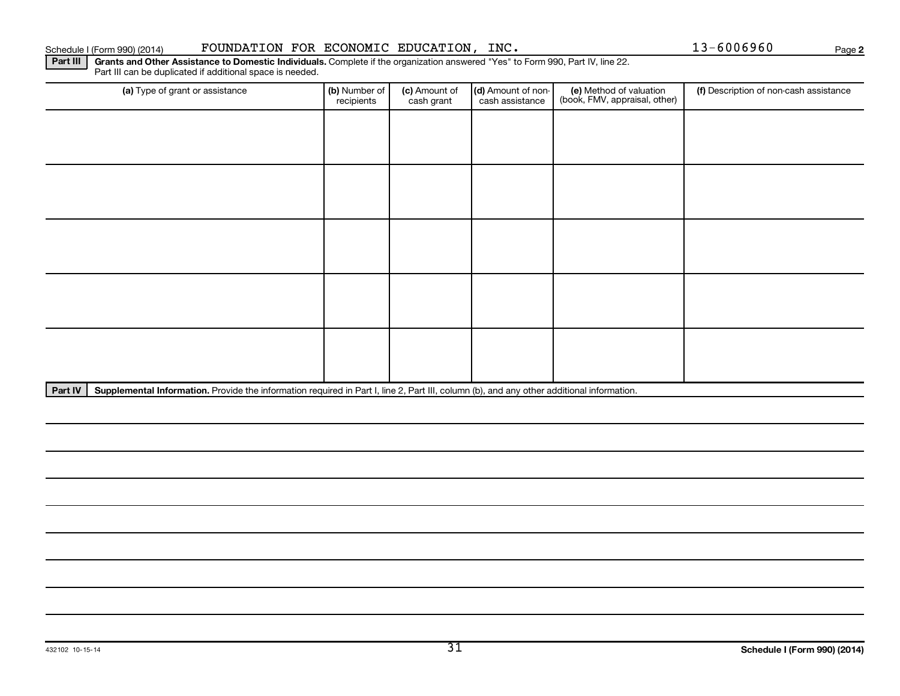432102 10-15-14

#### Schedule I (Form 990) (2014) POUNDATION FOR ECONOMIC EDUCATION, INC.  $13-6006960$  Page

Part III | Grants and Other Assistance to Domestic Individuals. Complete if the organization answered "Yes" to Form 990, Part IV, line 22. Part III can be duplicated if additional space is needed.

Part IV | Supplemental Information. Provide the information required in Part I, line 2, Part III, column (b), and any other additional information.

| (a) Type of grant or assistance | (b) Number of<br>recipients | (c) Amount of<br>cash grant | (d) Amount of non-<br>cash assistance | (e) Method of valuation<br>(book, FMV, appraisal, other) | (f) Description of non-cash assistance |
|---------------------------------|-----------------------------|-----------------------------|---------------------------------------|----------------------------------------------------------|----------------------------------------|
|                                 |                             |                             |                                       |                                                          |                                        |
|                                 |                             |                             |                                       |                                                          |                                        |
|                                 |                             |                             |                                       |                                                          |                                        |
|                                 |                             |                             |                                       |                                                          |                                        |
|                                 |                             |                             |                                       |                                                          |                                        |
|                                 |                             |                             |                                       |                                                          |                                        |
|                                 |                             |                             |                                       |                                                          |                                        |
|                                 |                             |                             |                                       |                                                          |                                        |
|                                 |                             |                             |                                       |                                                          |                                        |
|                                 |                             |                             |                                       |                                                          |                                        |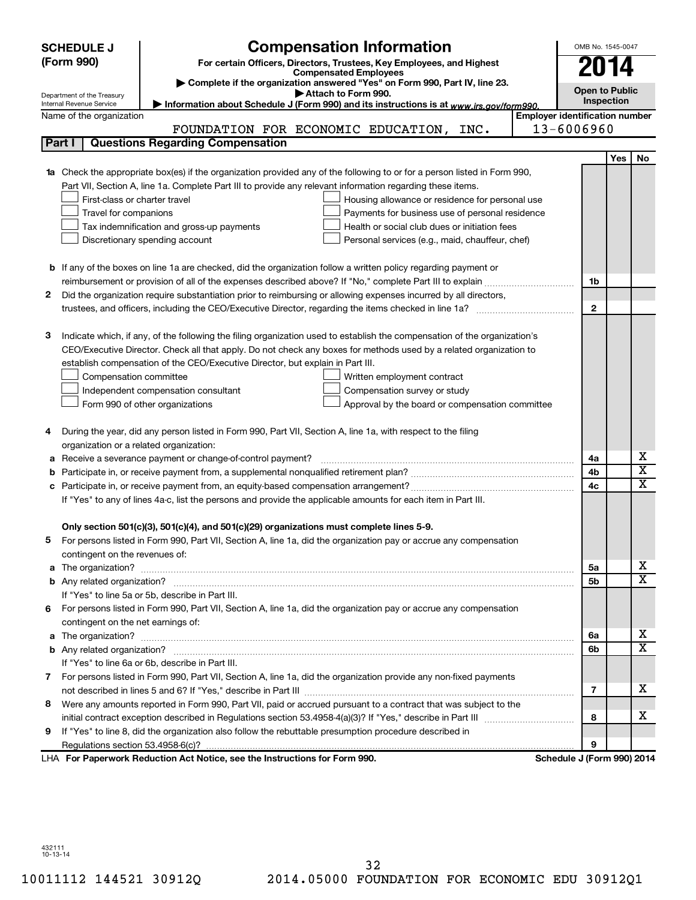| <b>SCHEDULE J</b>                                      | <b>Compensation Information</b>                                                                                                                                                                                                                 |                                       | OMB No. 1545-0047     |            |                              |
|--------------------------------------------------------|-------------------------------------------------------------------------------------------------------------------------------------------------------------------------------------------------------------------------------------------------|---------------------------------------|-----------------------|------------|------------------------------|
| (Form 990)                                             | For certain Officers, Directors, Trustees, Key Employees, and Highest                                                                                                                                                                           |                                       |                       |            |                              |
|                                                        | <b>Compensated Employees</b>                                                                                                                                                                                                                    |                                       | 2014                  |            |                              |
|                                                        | Complete if the organization answered "Yes" on Form 990, Part IV, line 23.<br>Attach to Form 990.                                                                                                                                               |                                       | <b>Open to Public</b> |            |                              |
| Department of the Treasury<br>Internal Revenue Service | Information about Schedule J (Form 990) and its instructions is at www.irs.gov/form990.                                                                                                                                                         |                                       | Inspection            |            |                              |
| Name of the organization                               |                                                                                                                                                                                                                                                 | <b>Employer identification number</b> |                       |            |                              |
|                                                        | FOUNDATION FOR ECONOMIC EDUCATION,<br>INC.                                                                                                                                                                                                      | 13-6006960                            |                       |            |                              |
| Part I                                                 | <b>Questions Regarding Compensation</b>                                                                                                                                                                                                         |                                       |                       |            |                              |
|                                                        |                                                                                                                                                                                                                                                 |                                       |                       | <b>Yes</b> | No                           |
| 1a                                                     | Check the appropriate box(es) if the organization provided any of the following to or for a person listed in Form 990,                                                                                                                          |                                       |                       |            |                              |
|                                                        | Part VII, Section A, line 1a. Complete Part III to provide any relevant information regarding these items.                                                                                                                                      |                                       |                       |            |                              |
|                                                        | First-class or charter travel<br>Housing allowance or residence for personal use                                                                                                                                                                |                                       |                       |            |                              |
|                                                        | Travel for companions<br>Payments for business use of personal residence                                                                                                                                                                        |                                       |                       |            |                              |
|                                                        | Health or social club dues or initiation fees<br>Tax indemnification and gross-up payments                                                                                                                                                      |                                       |                       |            |                              |
|                                                        | Discretionary spending account<br>Personal services (e.g., maid, chauffeur, chef)                                                                                                                                                               |                                       |                       |            |                              |
|                                                        |                                                                                                                                                                                                                                                 |                                       |                       |            |                              |
|                                                        | <b>b</b> If any of the boxes on line 1a are checked, did the organization follow a written policy regarding payment or                                                                                                                          |                                       |                       |            |                              |
|                                                        |                                                                                                                                                                                                                                                 |                                       | 1b                    |            |                              |
| 2                                                      | Did the organization require substantiation prior to reimbursing or allowing expenses incurred by all directors,                                                                                                                                |                                       |                       |            |                              |
|                                                        |                                                                                                                                                                                                                                                 |                                       | $\mathbf{2}$          |            |                              |
|                                                        |                                                                                                                                                                                                                                                 |                                       |                       |            |                              |
| З                                                      | Indicate which, if any, of the following the filing organization used to establish the compensation of the organization's<br>CEO/Executive Director. Check all that apply. Do not check any boxes for methods used by a related organization to |                                       |                       |            |                              |
|                                                        | establish compensation of the CEO/Executive Director, but explain in Part III.                                                                                                                                                                  |                                       |                       |            |                              |
|                                                        | Compensation committee<br>Written employment contract                                                                                                                                                                                           |                                       |                       |            |                              |
|                                                        | Independent compensation consultant<br>Compensation survey or study                                                                                                                                                                             |                                       |                       |            |                              |
|                                                        | Form 990 of other organizations<br>Approval by the board or compensation committee                                                                                                                                                              |                                       |                       |            |                              |
|                                                        |                                                                                                                                                                                                                                                 |                                       |                       |            |                              |
| 4                                                      | During the year, did any person listed in Form 990, Part VII, Section A, line 1a, with respect to the filing                                                                                                                                    |                                       |                       |            |                              |
|                                                        | organization or a related organization:                                                                                                                                                                                                         |                                       |                       |            |                              |
| а                                                      | Receive a severance payment or change-of-control payment?                                                                                                                                                                                       |                                       | 4a                    |            | x                            |
| b                                                      |                                                                                                                                                                                                                                                 |                                       | 4b                    |            | $\overline{\mathbf{X}}$      |
| c                                                      |                                                                                                                                                                                                                                                 |                                       | 4c                    |            | $\overline{\textbf{X}}$      |
|                                                        | If "Yes" to any of lines 4a-c, list the persons and provide the applicable amounts for each item in Part III.                                                                                                                                   |                                       |                       |            |                              |
|                                                        |                                                                                                                                                                                                                                                 |                                       |                       |            |                              |
|                                                        | Only section 501(c)(3), 501(c)(4), and 501(c)(29) organizations must complete lines 5-9.                                                                                                                                                        |                                       |                       |            |                              |
|                                                        | For persons listed in Form 990, Part VII, Section A, line 1a, did the organization pay or accrue any compensation                                                                                                                               |                                       |                       |            |                              |
| contingent on the revenues of:                         |                                                                                                                                                                                                                                                 |                                       |                       |            |                              |
|                                                        |                                                                                                                                                                                                                                                 |                                       | 5а                    |            | x                            |
|                                                        |                                                                                                                                                                                                                                                 |                                       | 5b                    |            | $\overline{\mathbf{x}}$      |
|                                                        | If "Yes" to line 5a or 5b, describe in Part III.                                                                                                                                                                                                |                                       |                       |            |                              |
|                                                        | 6 For persons listed in Form 990, Part VII, Section A, line 1a, did the organization pay or accrue any compensation                                                                                                                             |                                       |                       |            |                              |
|                                                        | contingent on the net earnings of:                                                                                                                                                                                                              |                                       |                       |            |                              |
|                                                        |                                                                                                                                                                                                                                                 |                                       | 6a                    |            | x<br>$\overline{\mathbf{X}}$ |
|                                                        |                                                                                                                                                                                                                                                 |                                       | 6b                    |            |                              |
|                                                        | If "Yes" to line 6a or 6b, describe in Part III.                                                                                                                                                                                                |                                       |                       |            |                              |
|                                                        | 7 For persons listed in Form 990, Part VII, Section A, line 1a, did the organization provide any non-fixed payments                                                                                                                             |                                       | 7                     |            | x                            |
| 8                                                      | Were any amounts reported in Form 990, Part VII, paid or accrued pursuant to a contract that was subject to the                                                                                                                                 |                                       |                       |            |                              |
|                                                        |                                                                                                                                                                                                                                                 |                                       | 8                     |            | x                            |
| 9                                                      | If "Yes" to line 8, did the organization also follow the rebuttable presumption procedure described in                                                                                                                                          |                                       |                       |            |                              |
|                                                        |                                                                                                                                                                                                                                                 |                                       | 9                     |            |                              |
|                                                        | LHA For Paperwork Reduction Act Notice, see the Instructions for Form 990.                                                                                                                                                                      | Schedule J (Form 990) 2014            |                       |            |                              |
|                                                        |                                                                                                                                                                                                                                                 |                                       |                       |            |                              |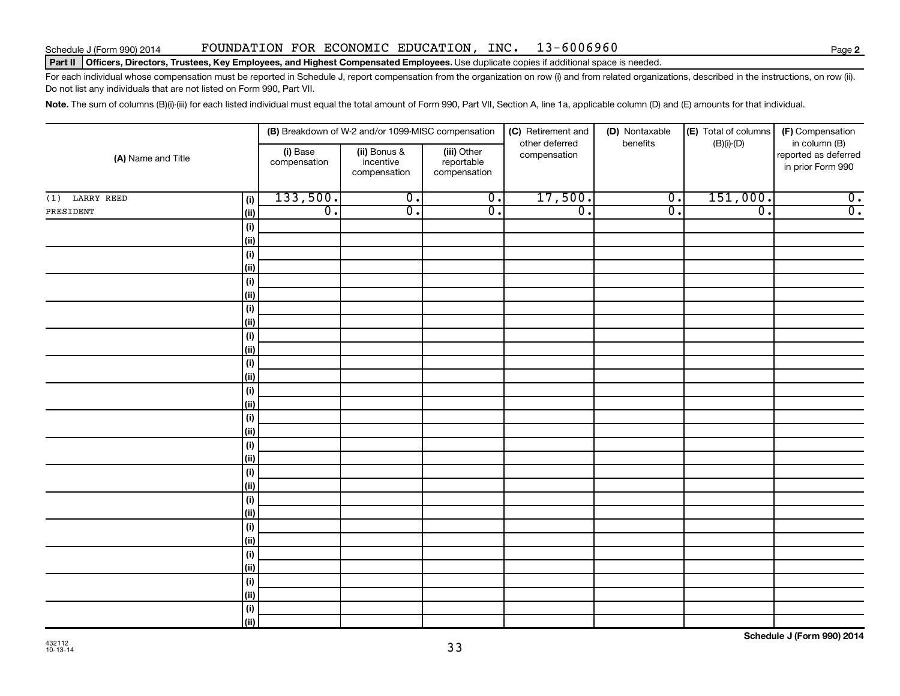#### Schedule J (Form 990) 2014 FOUNDATION FOR ECONOMIC EDUCATION,INC. 13-6006960

#### Part II | Officers, Directors, Trustees, Key Employees, and Highest Compensated Employees. Use duplicate copies if additional space is needed.

For each individual whose compensation must be reported in Schedule J, report compensation from the organization on row (i) and from related organizations, described in the instructions, on row (ii). Do not list any individuals that are not listed on Form 990, Part VII.

Note. The sum of columns (B)(i)-(iii) for each listed individual must equal the total amount of Form 990, Part VII, Section A, line 1a, applicable column (D) and (E) amounts for that individual.

|                    |             |                          | (B) Breakdown of W-2 and/or 1099-MISC compensation |                                           | (C) Retirement and             | (D) Nontaxable   | (E) Total of columns | (F) Compensation                                           |
|--------------------|-------------|--------------------------|----------------------------------------------------|-------------------------------------------|--------------------------------|------------------|----------------------|------------------------------------------------------------|
| (A) Name and Title |             | (i) Base<br>compensation | (ii) Bonus &<br>incentive<br>compensation          | (iii) Other<br>reportable<br>compensation | other deferred<br>compensation | benefits         | $(B)(i)-(D)$         | in column (B)<br>reported as deferred<br>in prior Form 990 |
| LARRY REED<br>(1)  | (i)         | 133,500.                 | $\overline{0}$ .                                   | $\overline{\mathbf{0}}$ .                 | 17,500.                        | $\overline{0}$ . | 151,000.             | $\overline{0}$ .                                           |
| PRESIDENT          | (ii)        | $\overline{0}$ .         | $\overline{0}$ .                                   | $\overline{0}$ .                          | $\overline{0}$ .               | $\overline{0}$ . | $\overline{0}$ .     | $\overline{0}$ .                                           |
|                    | (i)         |                          |                                                    |                                           |                                |                  |                      |                                                            |
|                    | (ii)        |                          |                                                    |                                           |                                |                  |                      |                                                            |
|                    | (i)         |                          |                                                    |                                           |                                |                  |                      |                                                            |
|                    | (ii)        |                          |                                                    |                                           |                                |                  |                      |                                                            |
|                    | (i)         |                          |                                                    |                                           |                                |                  |                      |                                                            |
|                    | (ii)        |                          |                                                    |                                           |                                |                  |                      |                                                            |
|                    | (i)         |                          |                                                    |                                           |                                |                  |                      |                                                            |
|                    | (ii)        |                          |                                                    |                                           |                                |                  |                      |                                                            |
|                    | (i)         |                          |                                                    |                                           |                                |                  |                      |                                                            |
|                    | (ii)        |                          |                                                    |                                           |                                |                  |                      |                                                            |
|                    | (i)<br>(ii) |                          |                                                    |                                           |                                |                  |                      |                                                            |
|                    | (i)         |                          |                                                    |                                           |                                |                  |                      |                                                            |
|                    | (ii)        |                          |                                                    |                                           |                                |                  |                      |                                                            |
|                    | (i)         |                          |                                                    |                                           |                                |                  |                      |                                                            |
|                    | (ii)        |                          |                                                    |                                           |                                |                  |                      |                                                            |
|                    | (i)         |                          |                                                    |                                           |                                |                  |                      |                                                            |
|                    | (ii)        |                          |                                                    |                                           |                                |                  |                      |                                                            |
|                    | (i)         |                          |                                                    |                                           |                                |                  |                      |                                                            |
|                    | (ii)        |                          |                                                    |                                           |                                |                  |                      |                                                            |
|                    | (i)         |                          |                                                    |                                           |                                |                  |                      |                                                            |
|                    | (ii)        |                          |                                                    |                                           |                                |                  |                      |                                                            |
|                    | (i)         |                          |                                                    |                                           |                                |                  |                      |                                                            |
|                    | (ii)        |                          |                                                    |                                           |                                |                  |                      |                                                            |
|                    | (i)         |                          |                                                    |                                           |                                |                  |                      |                                                            |
|                    | (ii)        |                          |                                                    |                                           |                                |                  |                      |                                                            |
|                    | (i)         |                          |                                                    |                                           |                                |                  |                      |                                                            |
|                    | (ii)        |                          |                                                    |                                           |                                |                  |                      |                                                            |
|                    | (i)         |                          |                                                    |                                           |                                |                  |                      |                                                            |
|                    | (ii)        |                          |                                                    |                                           |                                |                  |                      |                                                            |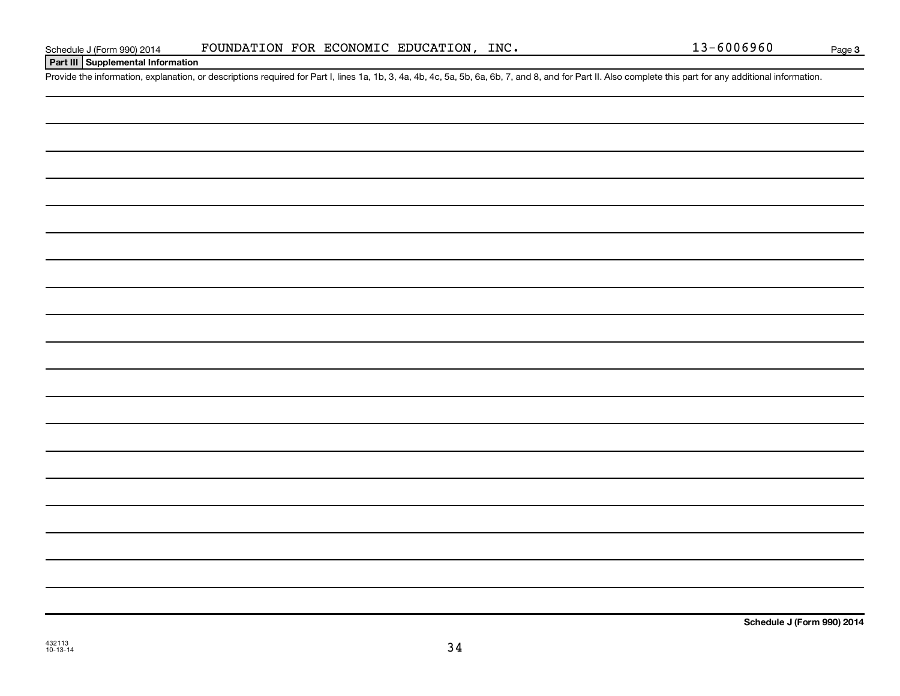#### **Part III Supplemental Information**

Provide the information, explanation, or descriptions required for Part I, lines 1a, 1b, 3, 4a, 4b, 4c, 5a, 5b, 6a, 6b, 7, and 8, and for Part II. Also complete this part for any additional information.

**Schedule J (Form 990) 2014**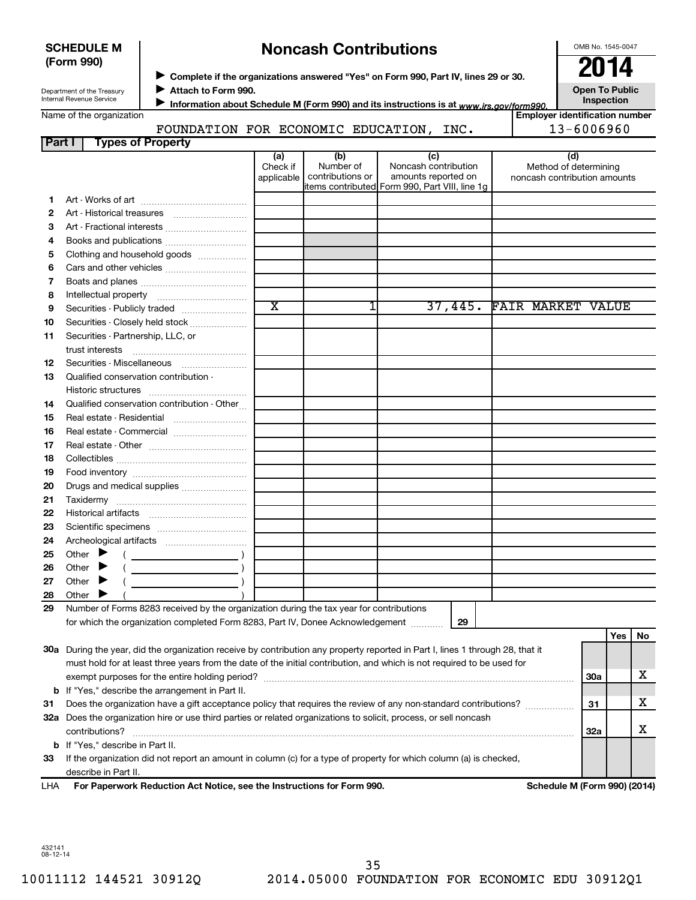| <b>SCHEDULE M</b> |  |
|-------------------|--|
| (Form 990)        |  |

## **Noncash Contributions**

OMB No. 1545-0047

Department of the Treasury Internal Revenue Service

**Complete if the organizations answered "Yes" on Form 990, Part IV, lines 29 or 30.**<br>• Complete if the organizations answered "Yes" on Form 990, Part IV, lines 29 or 30. **Attach to Form 990.**  $\blacktriangleright$ 

**Open To Public**

| Name of the organization |  |  |
|--------------------------|--|--|
|                          |  |  |

 $\blacktriangleright$ 

Information about Schedule M (Form 990) and its instructions is at <sub>www.irs.gov/form990.</sub> Inspection *www.irs.gov/form990.*

| Name of the organization             |                                    |  |      | Emplover identification number |
|--------------------------------------|------------------------------------|--|------|--------------------------------|
|                                      | FOUNDATION FOR ECONOMIC EDUCATION, |  | INC. | $13 - 6006960$                 |
| l Part I<br><b>Types of Property</b> |                                    |  |      |                                |

|              |                                                                                                                                                                                                                                                                                                                                                                                                                                                                                                             | (a)<br>Check if       | (b)<br>Number of | (c)<br>Noncash contribution                    |                              | (d)<br>Method of determining |     |    |
|--------------|-------------------------------------------------------------------------------------------------------------------------------------------------------------------------------------------------------------------------------------------------------------------------------------------------------------------------------------------------------------------------------------------------------------------------------------------------------------------------------------------------------------|-----------------------|------------------|------------------------------------------------|------------------------------|------------------------------|-----|----|
|              |                                                                                                                                                                                                                                                                                                                                                                                                                                                                                                             | applicable            | contributions or | amounts reported on                            | noncash contribution amounts |                              |     |    |
|              |                                                                                                                                                                                                                                                                                                                                                                                                                                                                                                             |                       |                  | items contributed Form 990, Part VIII, line 1g |                              |                              |     |    |
| 1.           |                                                                                                                                                                                                                                                                                                                                                                                                                                                                                                             |                       |                  |                                                |                              |                              |     |    |
| $\mathbf{2}$ |                                                                                                                                                                                                                                                                                                                                                                                                                                                                                                             |                       |                  |                                                |                              |                              |     |    |
| 3            | Art - Fractional interests                                                                                                                                                                                                                                                                                                                                                                                                                                                                                  |                       |                  |                                                |                              |                              |     |    |
| 4            | Books and publications                                                                                                                                                                                                                                                                                                                                                                                                                                                                                      |                       |                  |                                                |                              |                              |     |    |
| 5            | Clothing and household goods                                                                                                                                                                                                                                                                                                                                                                                                                                                                                |                       |                  |                                                |                              |                              |     |    |
| 6            |                                                                                                                                                                                                                                                                                                                                                                                                                                                                                                             |                       |                  |                                                |                              |                              |     |    |
| 7            |                                                                                                                                                                                                                                                                                                                                                                                                                                                                                                             |                       |                  |                                                |                              |                              |     |    |
| 8            |                                                                                                                                                                                                                                                                                                                                                                                                                                                                                                             |                       |                  |                                                |                              |                              |     |    |
| 9            | Securities - Publicly traded                                                                                                                                                                                                                                                                                                                                                                                                                                                                                | $\overline{\text{x}}$ | 1                | 37,445.                                        | <b>FAIR MARKET VALUE</b>     |                              |     |    |
| 10           | Securities - Closely held stock                                                                                                                                                                                                                                                                                                                                                                                                                                                                             |                       |                  |                                                |                              |                              |     |    |
| 11           | Securities - Partnership, LLC, or                                                                                                                                                                                                                                                                                                                                                                                                                                                                           |                       |                  |                                                |                              |                              |     |    |
|              |                                                                                                                                                                                                                                                                                                                                                                                                                                                                                                             |                       |                  |                                                |                              |                              |     |    |
| 12           |                                                                                                                                                                                                                                                                                                                                                                                                                                                                                                             |                       |                  |                                                |                              |                              |     |    |
| 13           | Qualified conservation contribution -                                                                                                                                                                                                                                                                                                                                                                                                                                                                       |                       |                  |                                                |                              |                              |     |    |
|              |                                                                                                                                                                                                                                                                                                                                                                                                                                                                                                             |                       |                  |                                                |                              |                              |     |    |
| 14           | Qualified conservation contribution - Other                                                                                                                                                                                                                                                                                                                                                                                                                                                                 |                       |                  |                                                |                              |                              |     |    |
| 15           |                                                                                                                                                                                                                                                                                                                                                                                                                                                                                                             |                       |                  |                                                |                              |                              |     |    |
| 16           | Real estate - Commercial                                                                                                                                                                                                                                                                                                                                                                                                                                                                                    |                       |                  |                                                |                              |                              |     |    |
| 17           |                                                                                                                                                                                                                                                                                                                                                                                                                                                                                                             |                       |                  |                                                |                              |                              |     |    |
| 18           |                                                                                                                                                                                                                                                                                                                                                                                                                                                                                                             |                       |                  |                                                |                              |                              |     |    |
| 19           |                                                                                                                                                                                                                                                                                                                                                                                                                                                                                                             |                       |                  |                                                |                              |                              |     |    |
| 20           | Drugs and medical supplies                                                                                                                                                                                                                                                                                                                                                                                                                                                                                  |                       |                  |                                                |                              |                              |     |    |
| 21           |                                                                                                                                                                                                                                                                                                                                                                                                                                                                                                             |                       |                  |                                                |                              |                              |     |    |
| 22           |                                                                                                                                                                                                                                                                                                                                                                                                                                                                                                             |                       |                  |                                                |                              |                              |     |    |
| 23           |                                                                                                                                                                                                                                                                                                                                                                                                                                                                                                             |                       |                  |                                                |                              |                              |     |    |
| 24           |                                                                                                                                                                                                                                                                                                                                                                                                                                                                                                             |                       |                  |                                                |                              |                              |     |    |
| 25           | Other $\blacktriangleright$<br>$\sqrt{2}$                                                                                                                                                                                                                                                                                                                                                                                                                                                                   |                       |                  |                                                |                              |                              |     |    |
| 26           | Other $\blacktriangleright$                                                                                                                                                                                                                                                                                                                                                                                                                                                                                 |                       |                  |                                                |                              |                              |     |    |
| 27           | Other $\blacktriangleright$                                                                                                                                                                                                                                                                                                                                                                                                                                                                                 |                       |                  |                                                |                              |                              |     |    |
| 28           | Other $\blacktriangleright$                                                                                                                                                                                                                                                                                                                                                                                                                                                                                 |                       |                  |                                                |                              |                              |     |    |
| 29           | Number of Forms 8283 received by the organization during the tax year for contributions                                                                                                                                                                                                                                                                                                                                                                                                                     |                       |                  |                                                |                              |                              |     |    |
|              | for which the organization completed Form 8283, Part IV, Donee Acknowledgement                                                                                                                                                                                                                                                                                                                                                                                                                              |                       |                  | 29                                             |                              |                              |     |    |
|              |                                                                                                                                                                                                                                                                                                                                                                                                                                                                                                             |                       |                  |                                                |                              |                              | Yes | No |
|              | 30a During the year, did the organization receive by contribution any property reported in Part I, lines 1 through 28, that it                                                                                                                                                                                                                                                                                                                                                                              |                       |                  |                                                |                              |                              |     |    |
|              | must hold for at least three years from the date of the initial contribution, and which is not required to be used for                                                                                                                                                                                                                                                                                                                                                                                      |                       |                  |                                                |                              |                              |     |    |
|              |                                                                                                                                                                                                                                                                                                                                                                                                                                                                                                             |                       |                  |                                                |                              |                              |     | X. |
|              |                                                                                                                                                                                                                                                                                                                                                                                                                                                                                                             |                       |                  |                                                |                              | <b>30a</b>                   |     |    |
|              | <b>b</b> If "Yes," describe the arrangement in Part II.                                                                                                                                                                                                                                                                                                                                                                                                                                                     |                       |                  |                                                |                              |                              |     | X. |
| 31           | Does the organization have a gift acceptance policy that requires the review of any non-standard contributions?                                                                                                                                                                                                                                                                                                                                                                                             |                       |                  |                                                |                              | 31                           |     |    |
|              | 32a Does the organization hire or use third parties or related organizations to solicit, process, or sell noncash                                                                                                                                                                                                                                                                                                                                                                                           |                       |                  |                                                |                              |                              |     |    |
|              | $\begin{minipage}[c]{0.5\textwidth} \centering \begin{tabular}[c]{@{}l@{}} \textbf{contributions?} \end{tabular} & \begin{tabular}[c]{@{}l@{}} \textbf{contributions?} \end{tabular} & \begin{tabular}[c]{@{}l@{}} \textbf{contributions?} \end{tabular} & \begin{tabular}[c]{@{}l@{}} \textbf{contribitions?} \end{tabular} & \begin{tabular}[c]{@{}l@{}} \textbf{contribitions?} \end{tabular} & \begin{tabular}[c]{@{}l@{}} \textbf{contribitions?} \end{tabular} & \begin{tabular}[c]{@{}l@{}} \textbf$ |                       |                  |                                                |                              | 32a                          |     | х  |
|              | <b>b</b> If "Yes," describe in Part II.                                                                                                                                                                                                                                                                                                                                                                                                                                                                     |                       |                  |                                                |                              |                              |     |    |
| 33           | If the organization did not report an amount in column (c) for a type of property for which column (a) is checked,                                                                                                                                                                                                                                                                                                                                                                                          |                       |                  |                                                |                              |                              |     |    |
|              | describe in Part II.                                                                                                                                                                                                                                                                                                                                                                                                                                                                                        |                       |                  |                                                |                              |                              |     |    |
| LHA          | For Paperwork Reduction Act Notice, see the Instructions for Form 990.                                                                                                                                                                                                                                                                                                                                                                                                                                      |                       |                  |                                                |                              | Schedule M (Form 990) (2014) |     |    |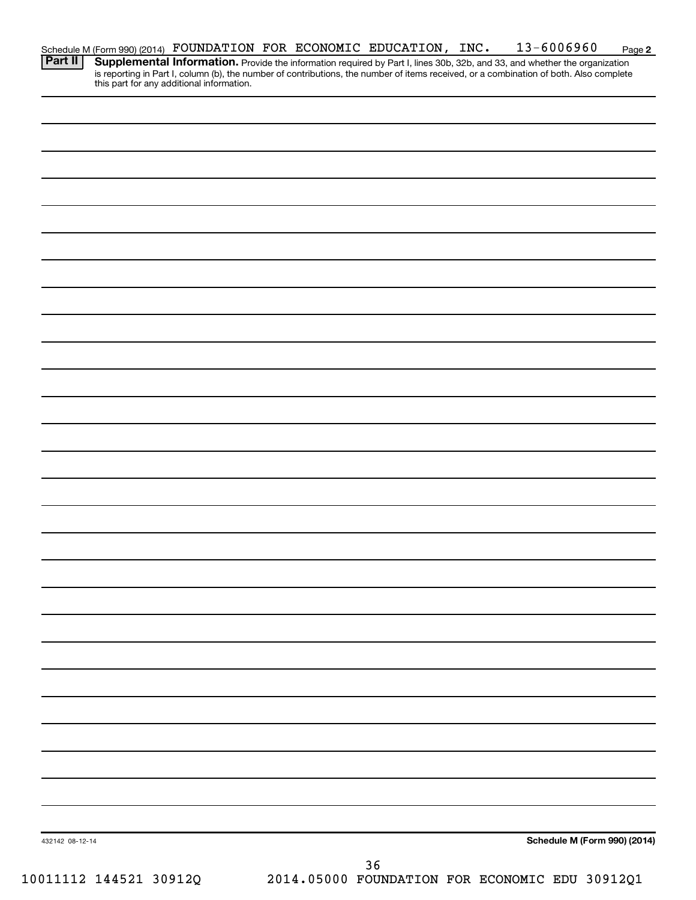| Schedule M (Form 990) (2014)                                                                                                                                                     |
|----------------------------------------------------------------------------------------------------------------------------------------------------------------------------------|
|                                                                                                                                                                                  |
| is reporting in Part I, column (b), the number of contributions, the number of items received, or a combination of both. Also complete this part for any additional information. |

Schedule M (Form 990) (2014)  $\hbox{ FOUNDATION}$   $\hbox{ FOR ECONOMIC }$   $\hbox{EDUCATION}$  ,  $\hbox{INC. }$   $\hbox{13-6006960 }$   $\hbox{Page}$ 

**Part II Supplemental Information.** 

Provide the information required by Part I, lines 30b, 32b, and 33, and whether the organization

**2**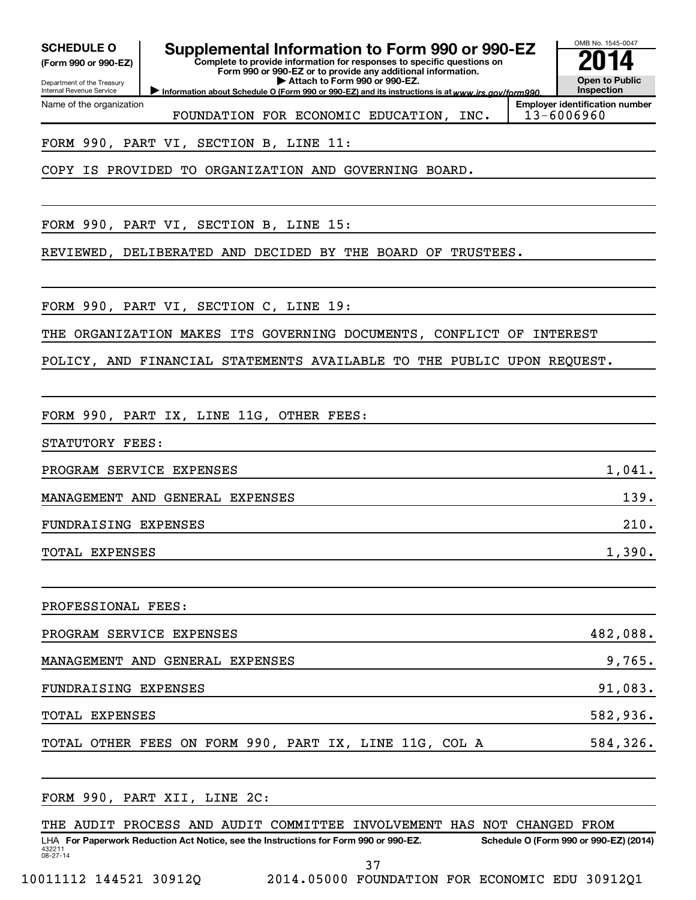Department of the Treasury **(Form 990 or 990-EZ)**

Name of the organization

Internal Revenue Service

**SCHEDULE O Supplemental Information to Form 990 or 990-EZ 2014** 

**Complete to provide information for responses to specific questions on Form 990 or 990-EZ or to provide any additional information. | Attach to Form 990 or 990-EZ.**

OMB No. 1545-0047

**Open to Public Inspection**

Information about Schedule O (Form 990 or 990-EZ) and its instructions is at www.irs.gov/form990.

**Employer identification number** FOUNDATION FOR ECONOMIC EDUCATION, INC. | 13-6006960

FORM 990, PART VI, SECTION B, LINE 11:

COPY IS PROVIDED TO ORGANIZATION AND GOVERNING BOARD.

FORM 990, PART VI, SECTION B, LINE 15:

REVIEWED, DELIBERATED AND DECIDED BY THE BOARD OF TRUSTEES.

FORM 990, PART VI, SECTION C, LINE 19:

THE ORGANIZATION MAKES ITS GOVERNING DOCUMENTS, CONFLICT OF INTEREST

POLICY, AND FINANCIAL STATEMENTS AVAILABLE TO THE PUBLIC UPON REQUEST.

FORM 990, PART IX, LINE 11G, OTHER FEES:

STATUTORY FEES:

PROGRAM SERVICE EXPENSES 1,041.

MANAGEMENT AND GENERAL EXPENSES 139.

FUNDRAISING EXPENSES 210.

TOTAL EXPENSES 1,390.

PROFESSIONAL FEES:

| PROGRAM SERVICE EXPENSES                               | 482,088.  |
|--------------------------------------------------------|-----------|
| MANAGEMENT AND GENERAL EXPENSES                        | 9,765.    |
| FUNDRAISING EXPENSES                                   | 91,083.   |
| <b>TOTAL EXPENSES</b>                                  | 582,936.  |
| TOTAL OTHER FEES ON FORM 990, PART IX, LINE 11G, COL A | 584, 326. |

432211 08-27-14 LHA For Paperwork Reduction Act Notice, see the Instructions for Form 990 or 990-EZ. Schedule O (Form 990 or 990-EZ) (2014) FORM 990, PART XII, LINE 2C: THE AUDIT PROCESS AND AUDIT COMMITTEE INVOLVEMENT HAS NOT CHANGED FROM

37